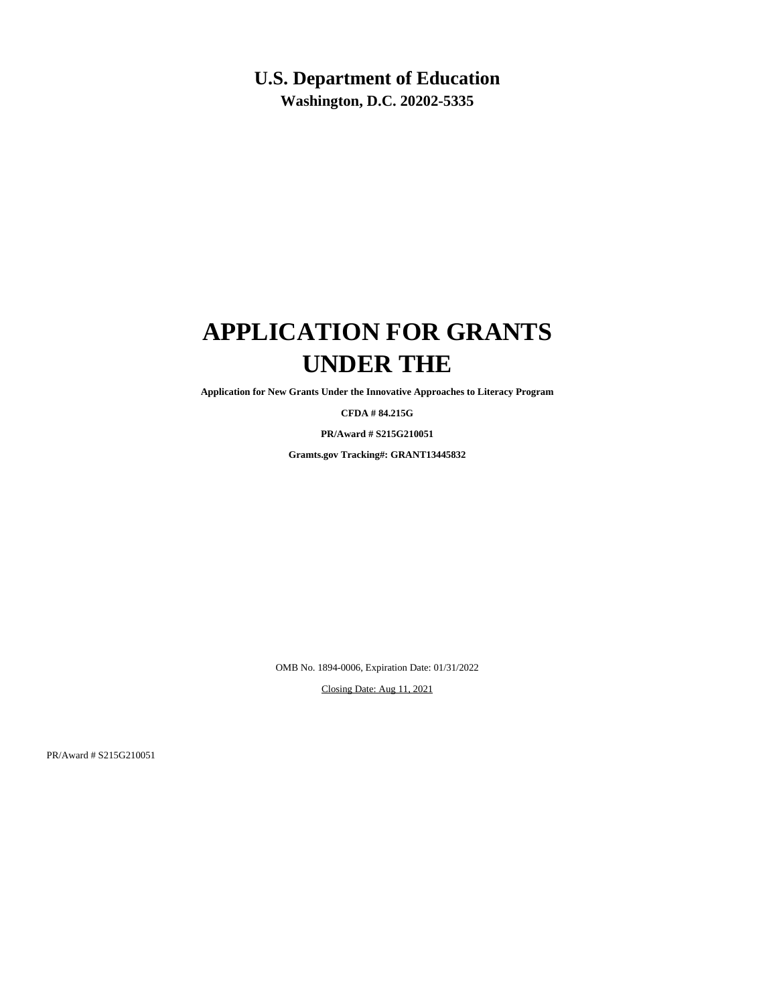## **U.S. Department of Education**

**Washington, D.C. 20202-5335**

# **APPLICATION FOR GRANTS UNDER THE**

**Application for New Grants Under the Innovative Approaches to Literacy Program**

**CFDA # 84.215G**

**PR/Award # S215G210051**

**Gramts.gov Tracking#: GRANT13445832**

OMB No. 1894-0006, Expiration Date: 01/31/2022

Closing Date: Aug 11, 2021

PR/Award # S215G210051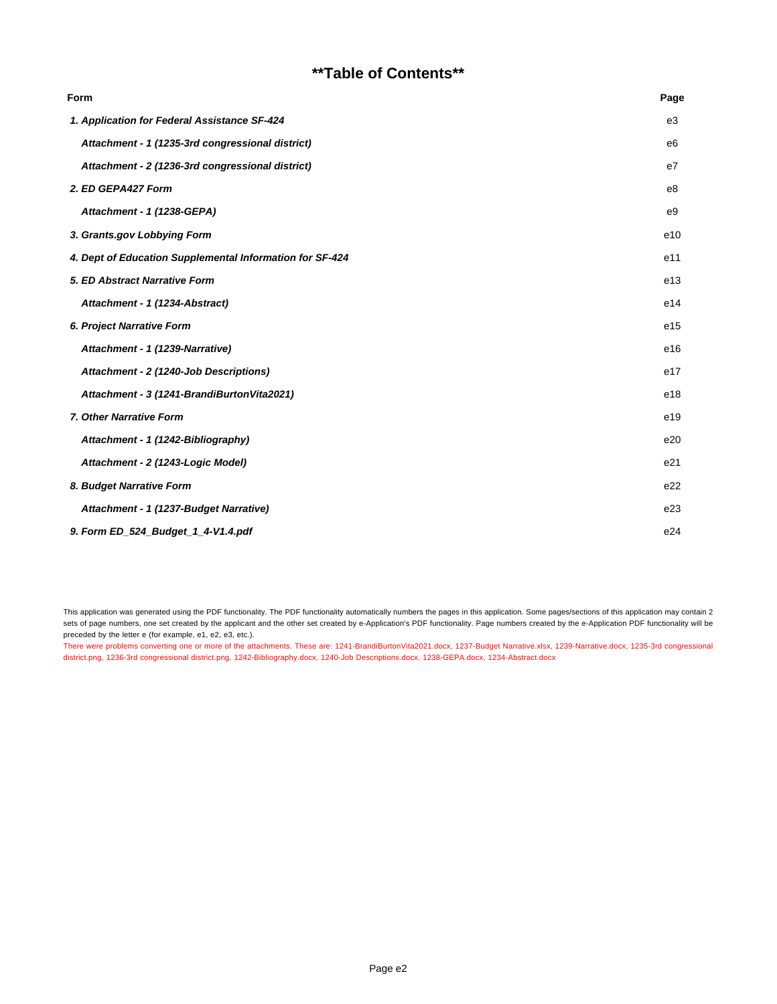#### **\*\*Table of Contents\*\***

| <b>Form</b>                                              | Page |
|----------------------------------------------------------|------|
| 1. Application for Federal Assistance SF-424             | e3   |
| Attachment - 1 (1235-3rd congressional district)         | e6   |
| Attachment - 2 (1236-3rd congressional district)         | e7   |
| 2. ED GEPA427 Form                                       | e8   |
| Attachment - 1 (1238-GEPA)                               | e9   |
| 3. Grants.gov Lobbying Form                              | e10  |
| 4. Dept of Education Supplemental Information for SF-424 | e11  |
| 5. ED Abstract Narrative Form                            | e13  |
| Attachment - 1 (1234-Abstract)                           | e14  |
| 6. Project Narrative Form                                | e15  |
| Attachment - 1 (1239-Narrative)                          | e16  |
| Attachment - 2 (1240-Job Descriptions)                   | e17  |
| Attachment - 3 (1241-BrandiBurtonVita2021)               | e18  |
| 7. Other Narrative Form                                  | e19  |
| Attachment - 1 (1242-Bibliography)                       | e20  |
| Attachment - 2 (1243-Logic Model)                        | e21  |
| 8. Budget Narrative Form                                 | e22  |
| Attachment - 1 (1237-Budget Narrative)                   | e23  |
| 9. Form ED_524_Budget_1_4-V1.4.pdf                       | e24  |

This application was generated using the PDF functionality. The PDF functionality automatically numbers the pages in this application. Some pages/sections of this application may contain 2 sets of page numbers, one set created by the applicant and the other set created by e-Application's PDF functionality. Page numbers created by the e-Application PDF functionality will be preceded by the letter e (for example, e1, e2, e3, etc.).

There were problems converting one or more of the attachments. These are: 1241-BrandiBurtonVita2021.docx, 1237-Budget Narrative.xlsx, 1239-Narrative.docx, 1235-3rd congressional district.png, 1236-3rd congressional district.png, 1242-Bibliography.docx, 1240-Job Descriptions.docx, 1238-GEPA.docx, 1234-Abstract.docx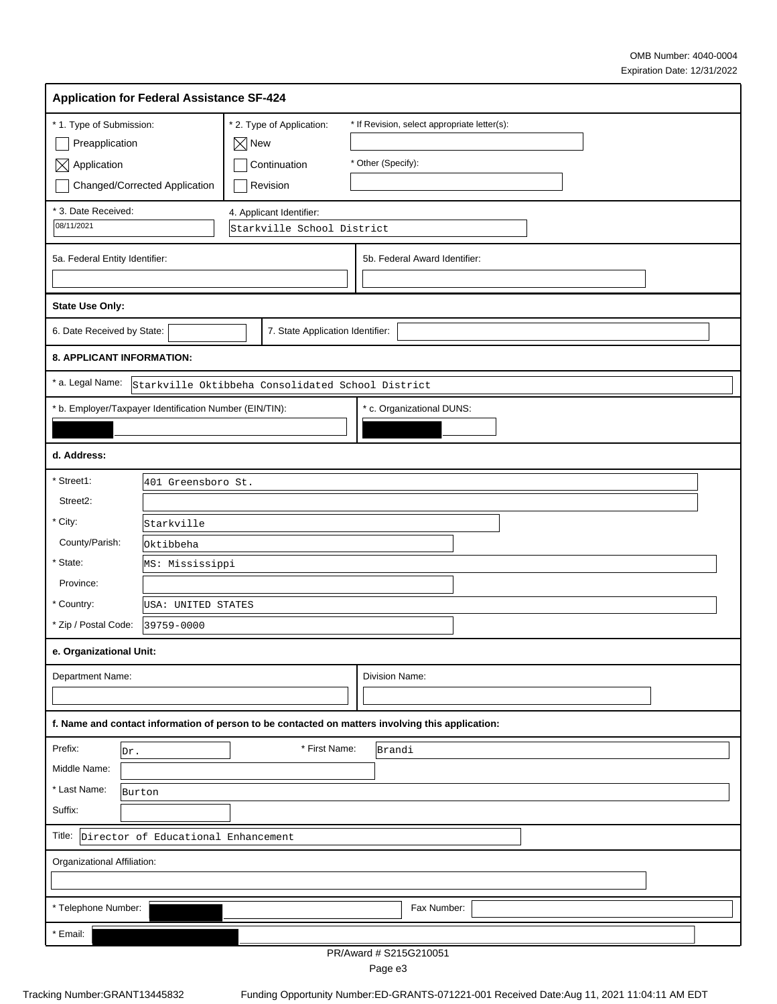| <b>Application for Federal Assistance SF-424</b>                                                                   |                                                                                                      |                                                                          |                                                                    |  |  |  |
|--------------------------------------------------------------------------------------------------------------------|------------------------------------------------------------------------------------------------------|--------------------------------------------------------------------------|--------------------------------------------------------------------|--|--|--|
| * 1. Type of Submission:<br>Preapplication<br>$\boxtimes$ Application                                              | Changed/Corrected Application                                                                        | * 2. Type of Application:<br>$\boxtimes$ New<br>Continuation<br>Revision | * If Revision, select appropriate letter(s):<br>* Other (Specify): |  |  |  |
| * 3. Date Received:<br>08/11/2021                                                                                  |                                                                                                      | 4. Applicant Identifier:<br>Starkville School District                   |                                                                    |  |  |  |
| 5a. Federal Entity Identifier:                                                                                     |                                                                                                      |                                                                          | 5b. Federal Award Identifier:                                      |  |  |  |
| <b>State Use Only:</b>                                                                                             |                                                                                                      |                                                                          |                                                                    |  |  |  |
| 6. Date Received by State:                                                                                         |                                                                                                      | 7. State Application Identifier:                                         |                                                                    |  |  |  |
| 8. APPLICANT INFORMATION:                                                                                          |                                                                                                      |                                                                          |                                                                    |  |  |  |
| * a. Legal Name:                                                                                                   |                                                                                                      | Starkville Oktibbeha Consolidated School District                        |                                                                    |  |  |  |
| * b. Employer/Taxpayer Identification Number (EIN/TIN):                                                            |                                                                                                      |                                                                          | * c. Organizational DUNS:                                          |  |  |  |
| d. Address:                                                                                                        |                                                                                                      |                                                                          |                                                                    |  |  |  |
| * Street1:<br>Street2:<br>* City:<br>County/Parish:<br>* State:<br>Province:<br>* Country:<br>* Zip / Postal Code: | 401 Greensboro St.<br>Starkville<br>Oktibbeha<br>MS: Mississippi<br>USA: UNITED STATES<br>39759-0000 |                                                                          |                                                                    |  |  |  |
| e. Organizational Unit:                                                                                            |                                                                                                      |                                                                          |                                                                    |  |  |  |
| Department Name:                                                                                                   |                                                                                                      |                                                                          | Division Name:                                                     |  |  |  |
| f. Name and contact information of person to be contacted on matters involving this application:                   |                                                                                                      |                                                                          |                                                                    |  |  |  |
| Prefix:<br>Dr.<br>Middle Name:<br>* Last Name:<br>Burton<br>Suffix:                                                |                                                                                                      | * First Name:                                                            | Brandi                                                             |  |  |  |
| Title:                                                                                                             | Director of Educational Enhancement                                                                  |                                                                          |                                                                    |  |  |  |
| Organizational Affiliation:                                                                                        |                                                                                                      |                                                                          |                                                                    |  |  |  |
| * Telephone Number:                                                                                                |                                                                                                      |                                                                          | Fax Number:                                                        |  |  |  |
| * Email:                                                                                                           |                                                                                                      |                                                                          | $D1$ $M1$ $M2$ $M2$ $R2$ $R2$ $R2$ $R2$                            |  |  |  |

PR/Award # S215G210051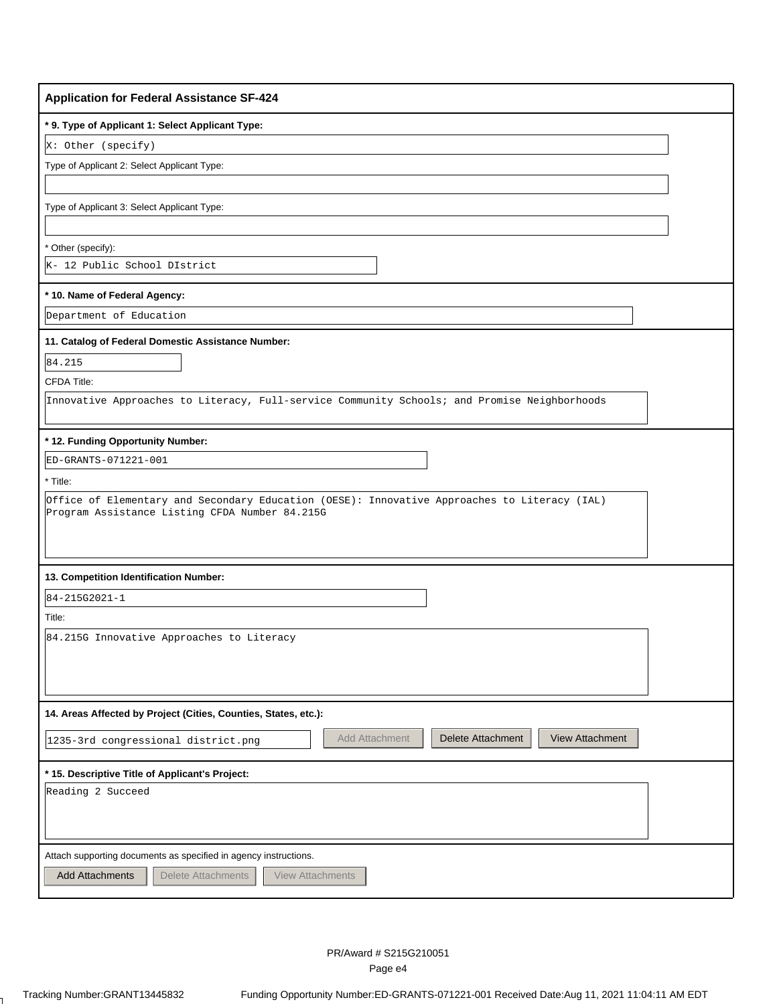| <b>Application for Federal Assistance SF-424</b>                                                                                               |
|------------------------------------------------------------------------------------------------------------------------------------------------|
| * 9. Type of Applicant 1: Select Applicant Type:                                                                                               |
| X: Other (specific)                                                                                                                            |
| Type of Applicant 2: Select Applicant Type:                                                                                                    |
|                                                                                                                                                |
| Type of Applicant 3: Select Applicant Type:                                                                                                    |
|                                                                                                                                                |
| * Other (specify):                                                                                                                             |
| K- 12 Public School DIstrict                                                                                                                   |
| * 10. Name of Federal Agency:                                                                                                                  |
| Department of Education                                                                                                                        |
| 11. Catalog of Federal Domestic Assistance Number:                                                                                             |
| 84.215                                                                                                                                         |
| <b>CFDA Title:</b>                                                                                                                             |
| Innovative Approaches to Literacy, Full-service Community Schools; and Promise Neighborhoods                                                   |
| * 12. Funding Opportunity Number:                                                                                                              |
| ED-GRANTS-071221-001                                                                                                                           |
| * Title:                                                                                                                                       |
| Office of Elementary and Secondary Education (OESE): Innovative Approaches to Literacy (IAL)<br>Program Assistance Listing CFDA Number 84.215G |
| 13. Competition Identification Number:                                                                                                         |
| $84 - 215G2021 - 1$                                                                                                                            |
| Title:                                                                                                                                         |
| 84.215G Innovative Approaches to Literacy                                                                                                      |
|                                                                                                                                                |
|                                                                                                                                                |
| 14. Areas Affected by Project (Cities, Counties, States, etc.):                                                                                |
| <b>Add Attachment</b><br>Delete Attachment<br><b>View Attachment</b><br>1235-3rd congressional district.png                                    |
| * 15. Descriptive Title of Applicant's Project:                                                                                                |
| Reading 2 Succeed                                                                                                                              |
|                                                                                                                                                |
|                                                                                                                                                |
| Attach supporting documents as specified in agency instructions.                                                                               |
| <b>Add Attachments</b><br><b>Delete Attachments</b><br><b>View Attachments</b>                                                                 |

 $\mathbf{L}$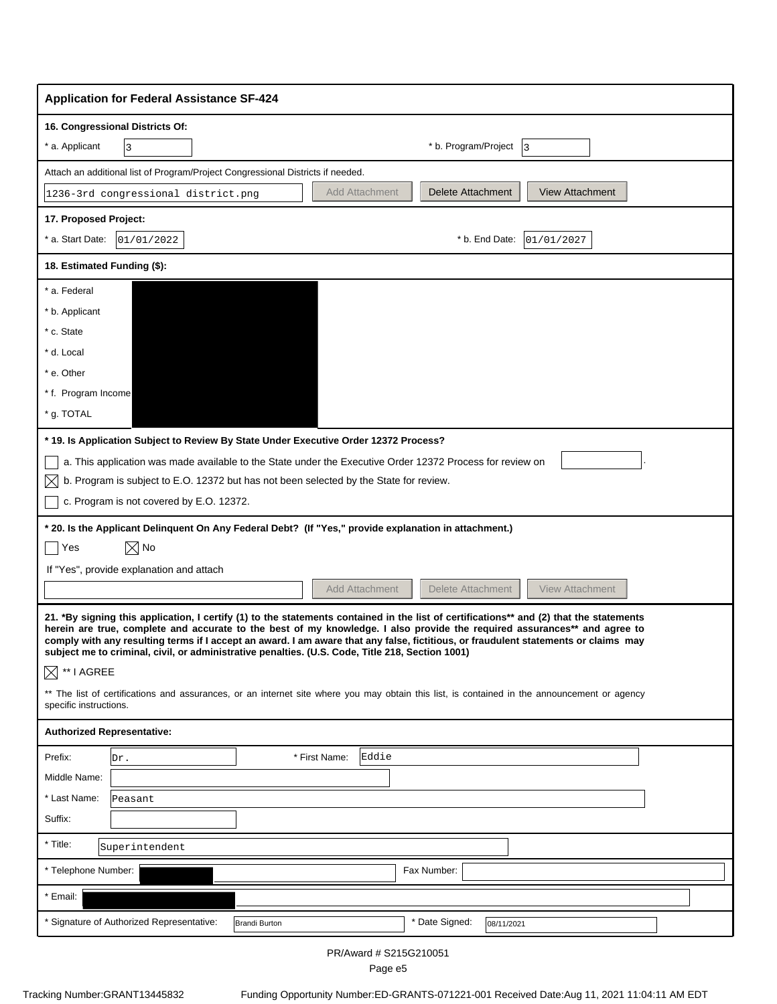| <b>Application for Federal Assistance SF-424</b>                                                                                                                                                                                                                                                                                                                                                                                                                                                                                                                                                                                                                                                             |  |  |  |  |  |  |
|--------------------------------------------------------------------------------------------------------------------------------------------------------------------------------------------------------------------------------------------------------------------------------------------------------------------------------------------------------------------------------------------------------------------------------------------------------------------------------------------------------------------------------------------------------------------------------------------------------------------------------------------------------------------------------------------------------------|--|--|--|--|--|--|
| 16. Congressional Districts Of:                                                                                                                                                                                                                                                                                                                                                                                                                                                                                                                                                                                                                                                                              |  |  |  |  |  |  |
| * b. Program/Project<br>* a. Applicant<br>3<br>13                                                                                                                                                                                                                                                                                                                                                                                                                                                                                                                                                                                                                                                            |  |  |  |  |  |  |
| Attach an additional list of Program/Project Congressional Districts if needed.                                                                                                                                                                                                                                                                                                                                                                                                                                                                                                                                                                                                                              |  |  |  |  |  |  |
| <b>Add Attachment</b><br><b>Delete Attachment</b><br><b>View Attachment</b><br>1236-3rd congressional district.png                                                                                                                                                                                                                                                                                                                                                                                                                                                                                                                                                                                           |  |  |  |  |  |  |
| 17. Proposed Project:                                                                                                                                                                                                                                                                                                                                                                                                                                                                                                                                                                                                                                                                                        |  |  |  |  |  |  |
| * a. Start Date:<br>* b. End Date:<br>01/01/2022<br>01/01/2027                                                                                                                                                                                                                                                                                                                                                                                                                                                                                                                                                                                                                                               |  |  |  |  |  |  |
| 18. Estimated Funding (\$):                                                                                                                                                                                                                                                                                                                                                                                                                                                                                                                                                                                                                                                                                  |  |  |  |  |  |  |
| * a. Federal                                                                                                                                                                                                                                                                                                                                                                                                                                                                                                                                                                                                                                                                                                 |  |  |  |  |  |  |
| * b. Applicant                                                                                                                                                                                                                                                                                                                                                                                                                                                                                                                                                                                                                                                                                               |  |  |  |  |  |  |
| * c. State                                                                                                                                                                                                                                                                                                                                                                                                                                                                                                                                                                                                                                                                                                   |  |  |  |  |  |  |
| * d. Local                                                                                                                                                                                                                                                                                                                                                                                                                                                                                                                                                                                                                                                                                                   |  |  |  |  |  |  |
| * e. Other                                                                                                                                                                                                                                                                                                                                                                                                                                                                                                                                                                                                                                                                                                   |  |  |  |  |  |  |
| * f. Program Income                                                                                                                                                                                                                                                                                                                                                                                                                                                                                                                                                                                                                                                                                          |  |  |  |  |  |  |
| * g. TOTAL                                                                                                                                                                                                                                                                                                                                                                                                                                                                                                                                                                                                                                                                                                   |  |  |  |  |  |  |
| * 19. Is Application Subject to Review By State Under Executive Order 12372 Process?                                                                                                                                                                                                                                                                                                                                                                                                                                                                                                                                                                                                                         |  |  |  |  |  |  |
| a. This application was made available to the State under the Executive Order 12372 Process for review on                                                                                                                                                                                                                                                                                                                                                                                                                                                                                                                                                                                                    |  |  |  |  |  |  |
| $\boxtimes$<br>b. Program is subject to E.O. 12372 but has not been selected by the State for review.                                                                                                                                                                                                                                                                                                                                                                                                                                                                                                                                                                                                        |  |  |  |  |  |  |
| c. Program is not covered by E.O. 12372.                                                                                                                                                                                                                                                                                                                                                                                                                                                                                                                                                                                                                                                                     |  |  |  |  |  |  |
| * 20. Is the Applicant Delinquent On Any Federal Debt? (If "Yes," provide explanation in attachment.)                                                                                                                                                                                                                                                                                                                                                                                                                                                                                                                                                                                                        |  |  |  |  |  |  |
| $\boxtimes$ No<br>Yes                                                                                                                                                                                                                                                                                                                                                                                                                                                                                                                                                                                                                                                                                        |  |  |  |  |  |  |
| If "Yes", provide explanation and attach                                                                                                                                                                                                                                                                                                                                                                                                                                                                                                                                                                                                                                                                     |  |  |  |  |  |  |
| View Attachment<br><b>Add Attachment</b><br>Delete Attachment                                                                                                                                                                                                                                                                                                                                                                                                                                                                                                                                                                                                                                                |  |  |  |  |  |  |
| 21. *By signing this application, I certify (1) to the statements contained in the list of certifications** and (2) that the statements<br>herein are true, complete and accurate to the best of my knowledge. I also provide the required assurances** and agree to<br>comply with any resulting terms if I accept an award. I am aware that any false, fictitious, or fraudulent statements or claims may<br>subject me to criminal, civil, or administrative penalties. (U.S. Code, Title 218, Section 1001)<br>⊠<br>** I AGREE<br>** The list of certifications and assurances, or an internet site where you may obtain this list, is contained in the announcement or agency<br>specific instructions. |  |  |  |  |  |  |
| <b>Authorized Representative:</b>                                                                                                                                                                                                                                                                                                                                                                                                                                                                                                                                                                                                                                                                            |  |  |  |  |  |  |
| * First Name:<br>Eddie<br>Prefix:<br>Dr.                                                                                                                                                                                                                                                                                                                                                                                                                                                                                                                                                                                                                                                                     |  |  |  |  |  |  |
| Middle Name:                                                                                                                                                                                                                                                                                                                                                                                                                                                                                                                                                                                                                                                                                                 |  |  |  |  |  |  |
| * Last Name:<br>Peasant                                                                                                                                                                                                                                                                                                                                                                                                                                                                                                                                                                                                                                                                                      |  |  |  |  |  |  |
| Suffix:                                                                                                                                                                                                                                                                                                                                                                                                                                                                                                                                                                                                                                                                                                      |  |  |  |  |  |  |
| * Title:<br>Superintendent                                                                                                                                                                                                                                                                                                                                                                                                                                                                                                                                                                                                                                                                                   |  |  |  |  |  |  |
| * Telephone Number:<br>Fax Number:                                                                                                                                                                                                                                                                                                                                                                                                                                                                                                                                                                                                                                                                           |  |  |  |  |  |  |
| * Email:                                                                                                                                                                                                                                                                                                                                                                                                                                                                                                                                                                                                                                                                                                     |  |  |  |  |  |  |
| * Signature of Authorized Representative:<br>* Date Signed:<br>Brandi Burton<br>08/11/2021                                                                                                                                                                                                                                                                                                                                                                                                                                                                                                                                                                                                                   |  |  |  |  |  |  |

PR/Award # S215G210051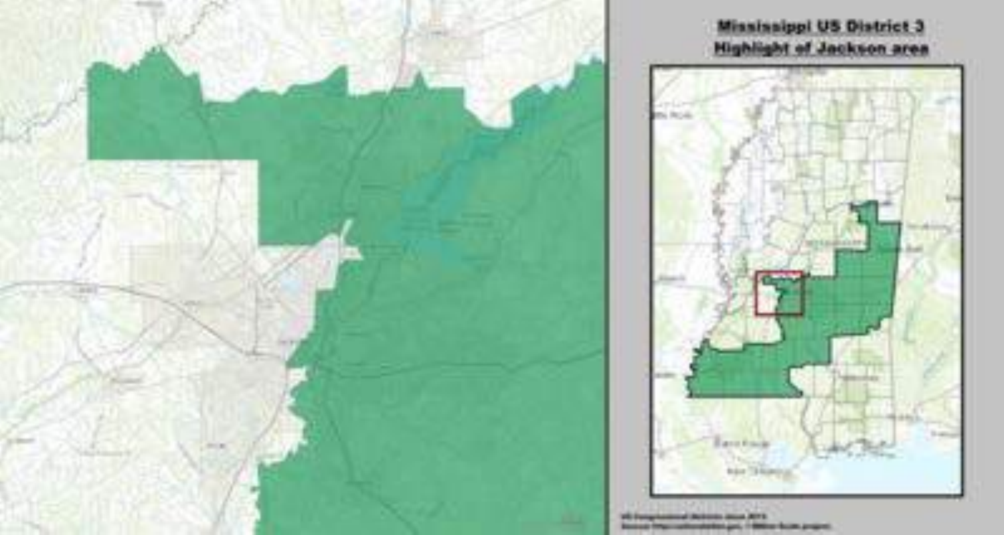

#### **Mississippi US District 3 Highlight of Jackson area**

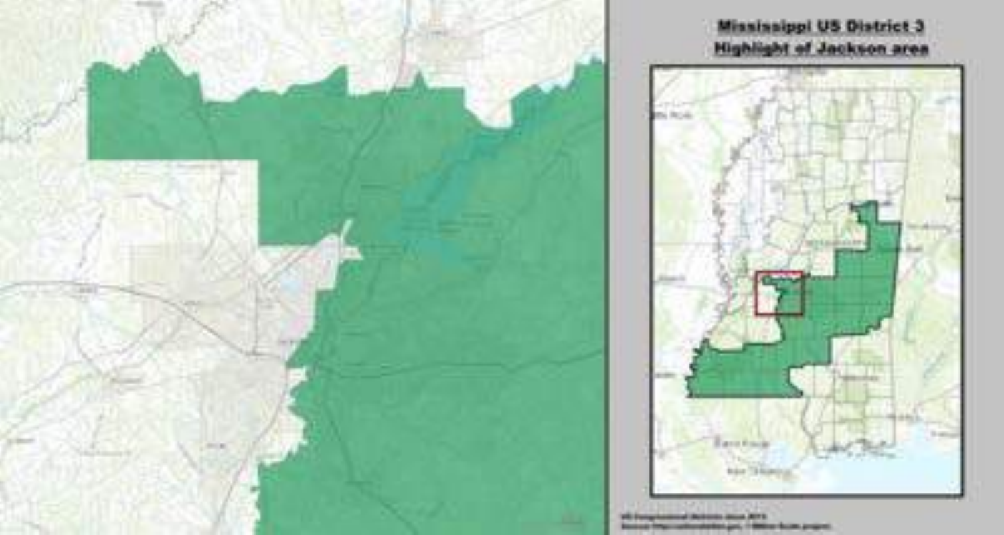

#### **Mississippi US District 3 Highlight of Jackson area**

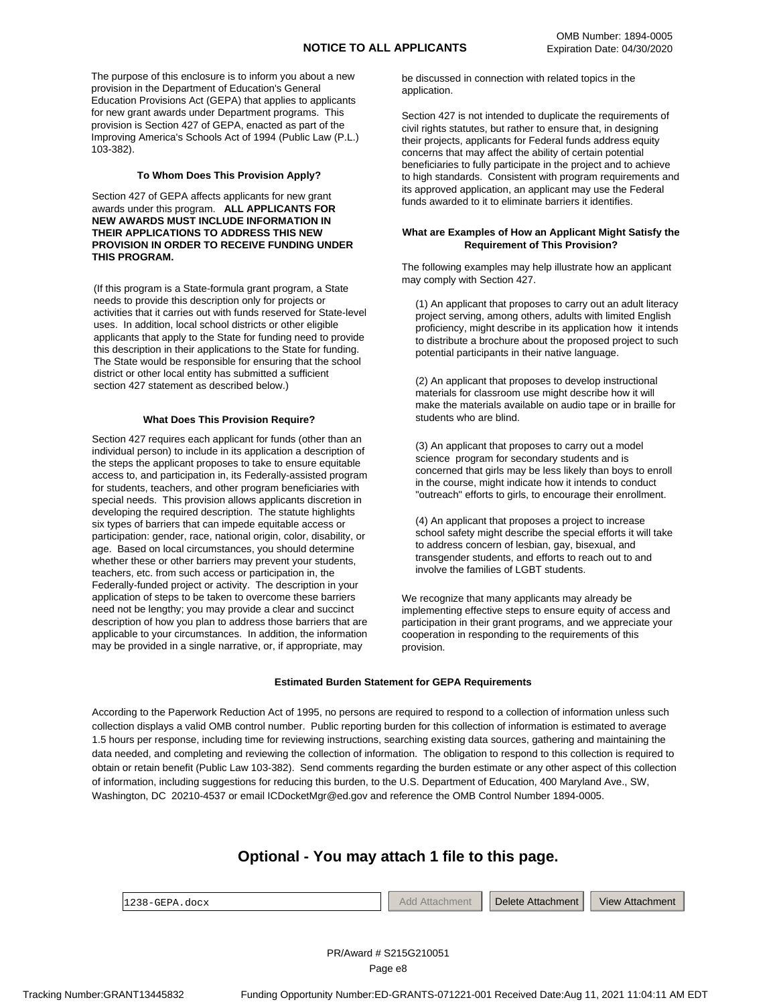The purpose of this enclosure is to inform you about a new provision in the Department of Education's General Education Provisions Act (GEPA) that applies to applicants for new grant awards under Department programs. This provision is Section 427 of GEPA, enacted as part of the Improving America's Schools Act of 1994 (Public Law (P.L.) 103-382).

#### **To Whom Does This Provision Apply?**

Section 427 of GEPA affects applicants for new grant awards under this program. **ALL APPLICANTS FOR NEW AWARDS MUST INCLUDE INFORMATION IN THEIR APPLICATIONS TO ADDRESS THIS NEW PROVISION IN ORDER TO RECEIVE FUNDING UNDER THIS PROGRAM.** 

(If this program is a State-formula grant program, a State needs to provide this description only for projects or activities that it carries out with funds reserved for State-level uses. In addition, local school districts or other eligible applicants that apply to the State for funding need to provide this description in their applications to the State for funding. The State would be responsible for ensuring that the school district or other local entity has submitted a sufficient section 427 statement as described below.)

#### **What Does This Provision Require?**

Section 427 requires each applicant for funds (other than an individual person) to include in its application a description of the steps the applicant proposes to take to ensure equitable access to, and participation in, its Federally-assisted program for students, teachers, and other program beneficiaries with special needs. This provision allows applicants discretion in developing the required description. The statute highlights six types of barriers that can impede equitable access or participation: gender, race, national origin, color, disability, or age. Based on local circumstances, you should determine whether these or other barriers may prevent your students, teachers, etc. from such access or participation in, the Federally-funded project or activity. The description in your application of steps to be taken to overcome these barriers need not be lengthy; you may provide a clear and succinct description of how you plan to address those barriers that are applicable to your circumstances. In addition, the information may be provided in a single narrative, or, if appropriate, may

be discussed in connection with related topics in the application.

Section 427 is not intended to duplicate the requirements of civil rights statutes, but rather to ensure that, in designing their projects, applicants for Federal funds address equity concerns that may affect the ability of certain potential beneficiaries to fully participate in the project and to achieve to high standards. Consistent with program requirements and its approved application, an applicant may use the Federal funds awarded to it to eliminate barriers it identifies.

#### **What are Examples of How an Applicant Might Satisfy the Requirement of This Provision?**

The following examples may help illustrate how an applicant may comply with Section 427.

(1) An applicant that proposes to carry out an adult literacy project serving, among others, adults with limited English proficiency, might describe in its application how it intends to distribute a brochure about the proposed project to such potential participants in their native language.

(2) An applicant that proposes to develop instructional materials for classroom use might describe how it will make the materials available on audio tape or in braille for students who are blind.

(3) An applicant that proposes to carry out a model science program for secondary students and is concerned that girls may be less likely than boys to enroll in the course, might indicate how it intends to conduct "outreach" efforts to girls, to encourage their enrollment.

(4) An applicant that proposes a project to increase school safety might describe the special efforts it will take to address concern of lesbian, gay, bisexual, and transgender students, and efforts to reach out to and involve the families of LGBT students.

We recognize that many applicants may already be implementing effective steps to ensure equity of access and participation in their grant programs, and we appreciate your cooperation in responding to the requirements of this provision.

#### **Estimated Burden Statement for GEPA Requirements**

According to the Paperwork Reduction Act of 1995, no persons are required to respond to a collection of information unless such collection displays a valid OMB control number. Public reporting burden for this collection of information is estimated to average 1.5 hours per response, including time for reviewing instructions, searching existing data sources, gathering and maintaining the data needed, and completing and reviewing the collection of information. The obligation to respond to this collection is required to obtain or retain benefit (Public Law 103-382). Send comments regarding the burden estimate or any other aspect of this collection of information, including suggestions for reducing this burden, to the U.S. Department of Education, 400 Maryland Ave., SW, Washington, DC 20210-4537 or email ICDocketMgr@ed.gov and reference the OMB Control Number 1894-0005.

## **Optional - You may attach 1 file to this page.**

|  | $738 - CFDA$<br>EPA.docx |  | Adc |  | <b>Delete</b><br>$\Lambda$ $\mu$ $\sim$<br>Aπachment |  | View Attachmen. |
|--|--------------------------|--|-----|--|------------------------------------------------------|--|-----------------|
|--|--------------------------|--|-----|--|------------------------------------------------------|--|-----------------|

PR/Award # S215G210051 Page e8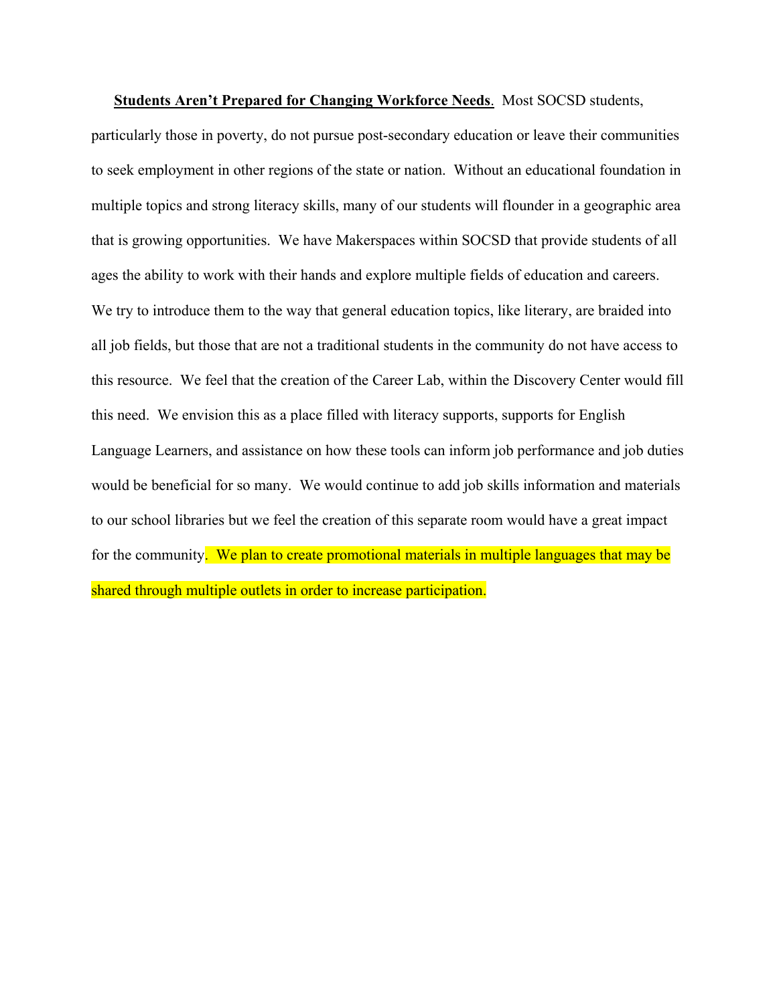**Students Aren't Prepared for Changing Workforce Needs**. Most SOCSD students,

 to seek employment in other regions of the state or nation. Without an educational foundation in this resource. We feel that the creation of the Career Lab, within the Discovery Center would fill to our school libraries but we feel the creation of this separate room would have a great impact for the community<mark>. We plan to create promotional materials in multiple languages that may be</mark> shared through multiple outlets in order to increase participation. particularly those in poverty, do not pursue post-secondary education or leave their communities multiple topics and strong literacy skills, many of our students will flounder in a geographic area that is growing opportunities. We have Makerspaces within SOCSD that provide students of all ages the ability to work with their hands and explore multiple fields of education and careers. We try to introduce them to the way that general education topics, like literary, are braided into all job fields, but those that are not a traditional students in the community do not have access to this need. We envision this as a place filled with literacy supports, supports for English Language Learners, and assistance on how these tools can inform job performance and job duties would be beneficial for so many. We would continue to add job skills information and materials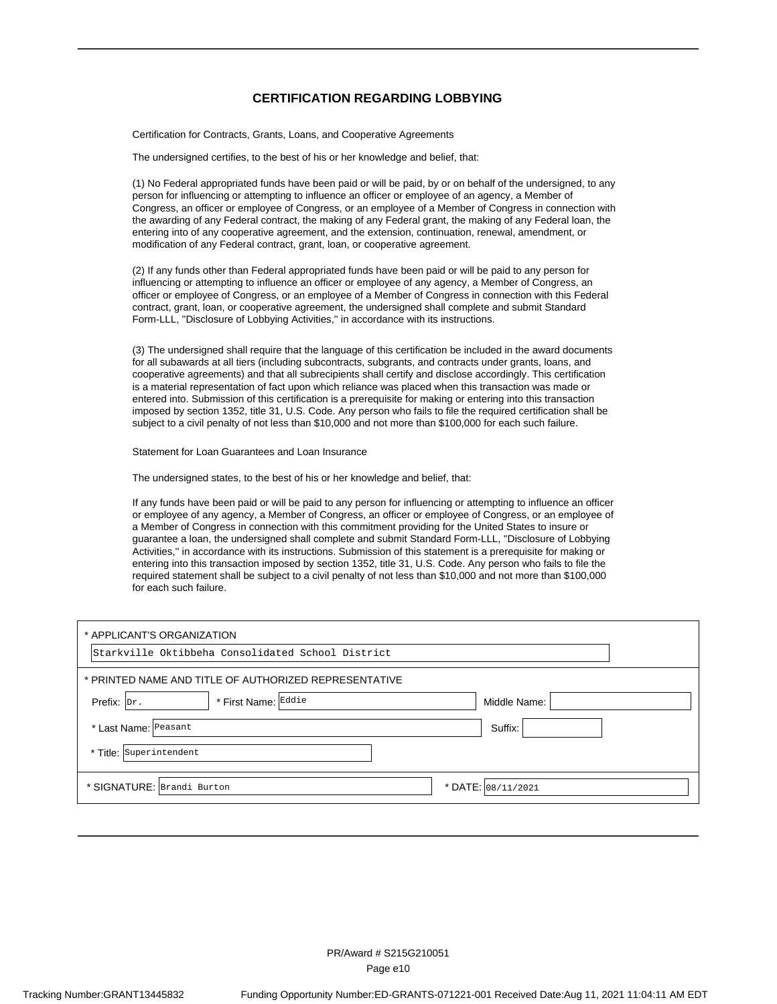#### **CERTIFICATION REGARDING LOBBYING**

Certification for Contracts, Grants, Loans, and Cooperative Agreements

The undersigned certifies, to the best of his or her knowledge and belief, that:

(1) No Federal appropriated funds have been paid or will be paid, by or on behalf of the undersigned, to any person for influencing or attempting to influence an officer or employee of an agency, a Member of Congress, an officer or employee of Congress, or an employee of a Member of Congress in connection with the awarding of any Federal contract, the making of any Federal grant, the making of any Federal loan, the entering into of any cooperative agreement, and the extension, continuation, renewal, amendment, or modification of any Federal contract, grant, loan, or cooperative agreement.

(2) If any funds other than Federal appropriated funds have been paid or will be paid to any person for influencing or attempting to influence an officer or employee of any agency, a Member of Congress, an officer or employee of Congress, or an employee of a Member of Congress in connection with this Federal contract, grant, loan, or cooperative agreement, the undersigned shall complete and submit Standard Form-LLL, ''Disclosure of Lobbying Activities,'' in accordance with its instructions.

(3) The undersigned shall require that the language of this certification be included in the award documents for all subawards at all tiers (including subcontracts, subgrants, and contracts under grants, loans, and cooperative agreements) and that all subrecipients shall certify and disclose accordingly. This certification is a material representation of fact upon which reliance was placed when this transaction was made or entered into. Submission of this certification is a prerequisite for making or entering into this transaction imposed by section 1352, title 31, U.S. Code. Any person who fails to file the required certification shall be subject to a civil penalty of not less than \$10,000 and not more than \$100,000 for each such failure.

Statement for Loan Guarantees and Loan Insurance

The undersigned states, to the best of his or her knowledge and belief, that:

If any funds have been paid or will be paid to any person for influencing or attempting to influence an officer or employee of any agency, a Member of Congress, an officer or employee of Congress, or an employee of a Member of Congress in connection with this commitment providing for the United States to insure or guarantee a loan, the undersigned shall complete and submit Standard Form-LLL, ''Disclosure of Lobbying Activities,'' in accordance with its instructions. Submission of this statement is a prerequisite for making or entering into this transaction imposed by section 1352, title 31, U.S. Code. Any person who fails to file the required statement shall be subject to a civil penalty of not less than \$10,000 and not more than \$100,000 for each such failure.

| * APPLICANT'S ORGANIZATION                            |                    |
|-------------------------------------------------------|--------------------|
| Starkville Oktibbeha Consolidated School District     |                    |
| * PRINTED NAME AND TITLE OF AUTHORIZED REPRESENTATIVE |                    |
| * First Name: Eddie<br>Prefix: $ Dr.$                 | Middle Name:       |
| * Last Name: Peasant                                  | Suffix:            |
| * Title: Superintendent                               |                    |
| * SIGNATURE: Brandi Burton                            | * DATE: 08/11/2021 |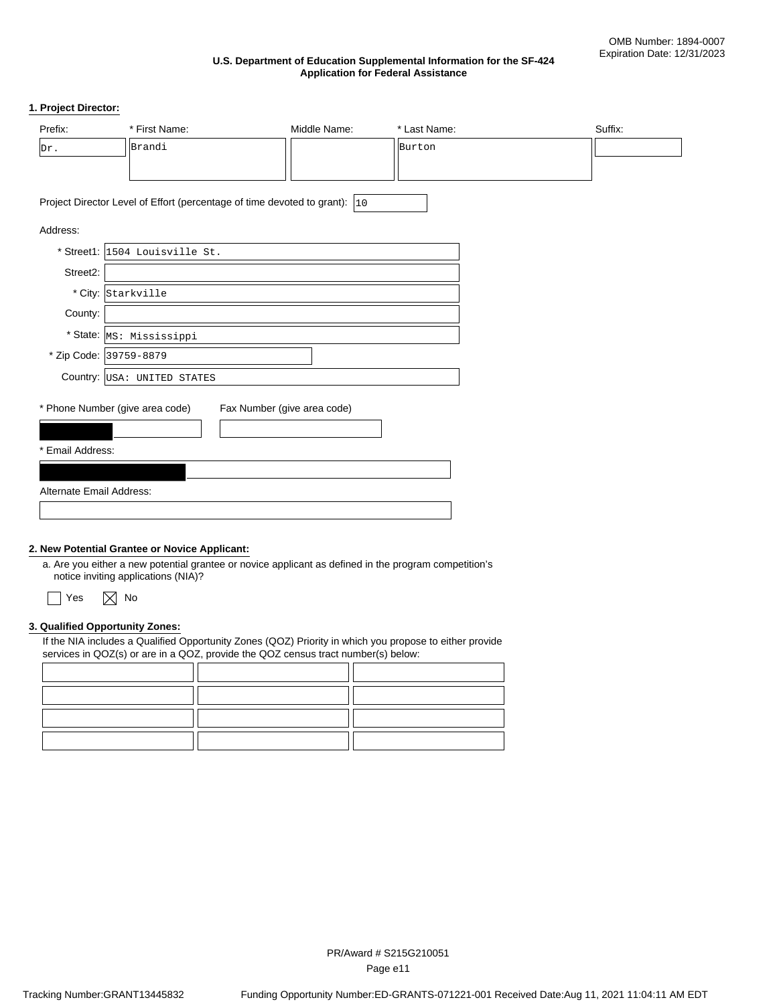#### **U.S. Department of Education Supplemental Information for the SF-424 Application for Federal Assistance**

#### **1. Project Director:**

| Prefix:                  | * First Name:                              | Middle Name:                                                               | * Last Name: | Suffix: |
|--------------------------|--------------------------------------------|----------------------------------------------------------------------------|--------------|---------|
| $\vert$ Dr.              | Brandi                                     |                                                                            | Burton       |         |
|                          |                                            |                                                                            |              |         |
|                          |                                            | Project Director Level of Effort (percentage of time devoted to grant): 10 |              |         |
| Address:                 |                                            |                                                                            |              |         |
|                          | * Street1: 1504 Louisville St.             |                                                                            |              |         |
| Street2:                 |                                            |                                                                            |              |         |
|                          | * City: Starkville                         |                                                                            |              |         |
| County:                  |                                            |                                                                            |              |         |
|                          | * State: MS: Mississippi                   |                                                                            |              |         |
| * Zip Code: 39759-8879   |                                            |                                                                            |              |         |
|                          | Country: USA: UNITED STATES                |                                                                            |              |         |
|                          | * Phone Number (give area code)            | Fax Number (give area code)                                                |              |         |
|                          |                                            |                                                                            |              |         |
| * Email Address:         |                                            |                                                                            |              |         |
|                          |                                            |                                                                            |              |         |
| Alternate Email Address: |                                            |                                                                            |              |         |
|                          |                                            |                                                                            |              |         |
|                          |                                            |                                                                            |              |         |
|                          | Now Potential Grantee or Novice Applicant: |                                                                            |              |         |

#### **2. New Potential Grantee or Novice Applicant:**

a. Are you either a new potential grantee or novice applicant as defined in the program competition's notice inviting applications (NIA)?



#### **3. Qualified Opportunity Zones:**

If the NIA includes a Qualified Opportunity Zones (QOZ) Priority in which you propose to either provide services in QOZ(s) or are in a QOZ, provide the QOZ census tract number(s) below: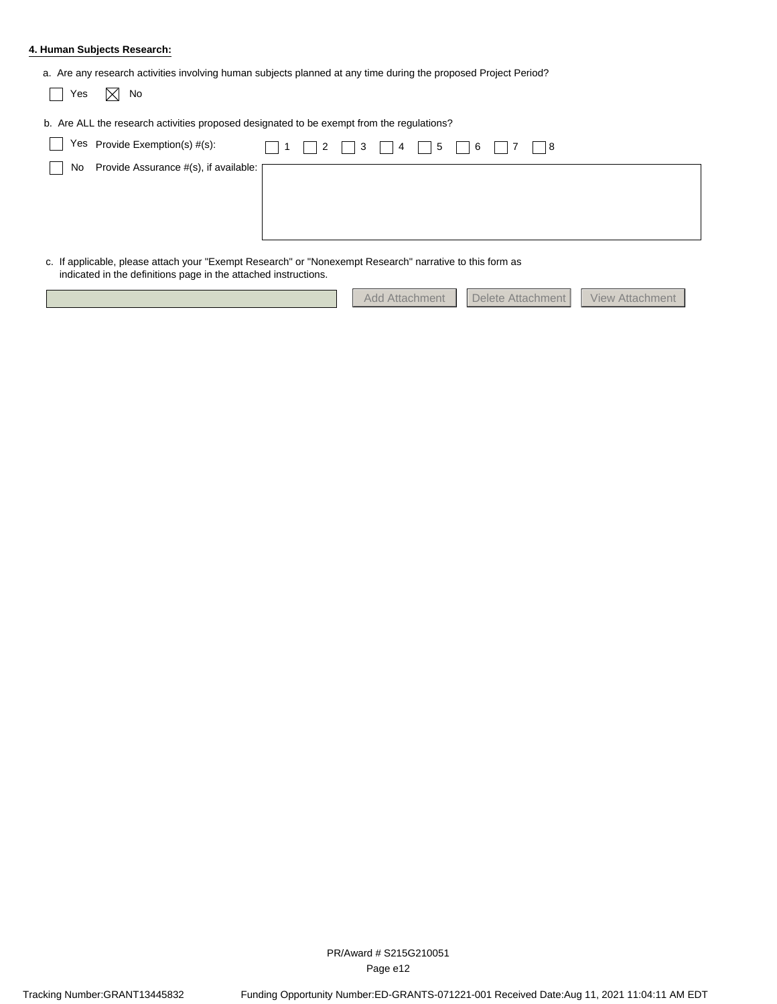#### **4. Human Subjects Research:**

| Yes | No                                                                                        |                     |                                                             |  |
|-----|-------------------------------------------------------------------------------------------|---------------------|-------------------------------------------------------------|--|
|     | b. Are ALL the research activities proposed designated to be exempt from the regulations? |                     |                                                             |  |
|     | Yes Provide Exemption(s) #(s):                                                            | $\vert$ 1 $\vert$ 2 | $\Box$ 3 $\Box$ 4 $\Box$ 5 $\Box$ 6 $\Box$ 7<br>$\vert$   8 |  |
| No  | Provide Assurance #(s), if available: [                                                   |                     |                                                             |  |
|     |                                                                                           |                     | .                                                           |  |

c. If applicable, please attach your "Exempt Research" or "Nonexempt Research" narrative to this form as indicated in the definitions page in the attached instructions.

|  | hbA | Attachment Delete Attachment | <b>View Attachment</b> |
|--|-----|------------------------------|------------------------|
|  |     |                              |                        |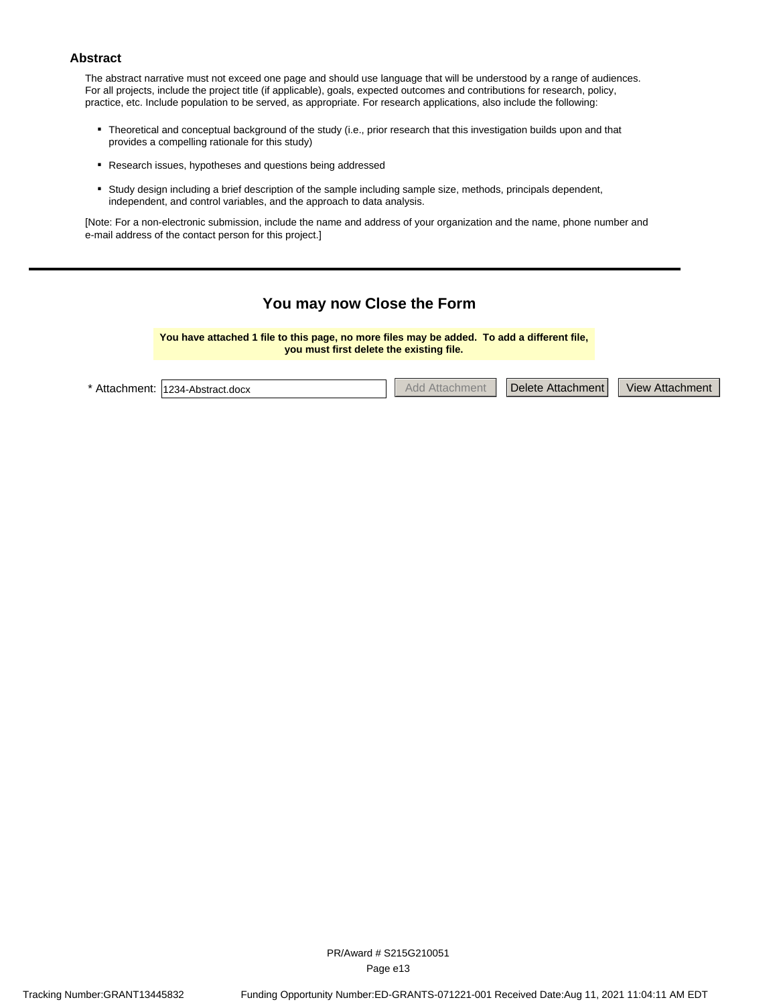#### **Abstract**

The abstract narrative must not exceed one page and should use language that will be understood by a range of audiences. For all projects, include the project title (if applicable), goals, expected outcomes and contributions for research, policy, practice, etc. Include population to be served, as appropriate. For research applications, also include the following:

- Theoretical and conceptual background of the study (i.e., prior research that this investigation builds upon and that provides a competition retired for this ctudy). provides a compelling rationale for this study)
- **·** Research issues, hypotheses and questions being addressed
- Study design including a brief description of the sample including sample size, methods, principals dependent, independent, independent, independent, and control variables, and the approach to data analysis.

[Note: For a non-electronic submission, include the name and address of your organization and the name, phone number and e-mail address of the contact person for this project.]

#### **You may now Close the Form**

**You have attached 1 file to this page, no more files may be added. To add a different file, you must first delete the existing file.**

\* Attachment: |1234-Abstract.docx Address Add Attachment | Delete Attachment | View Attachment | View Attachment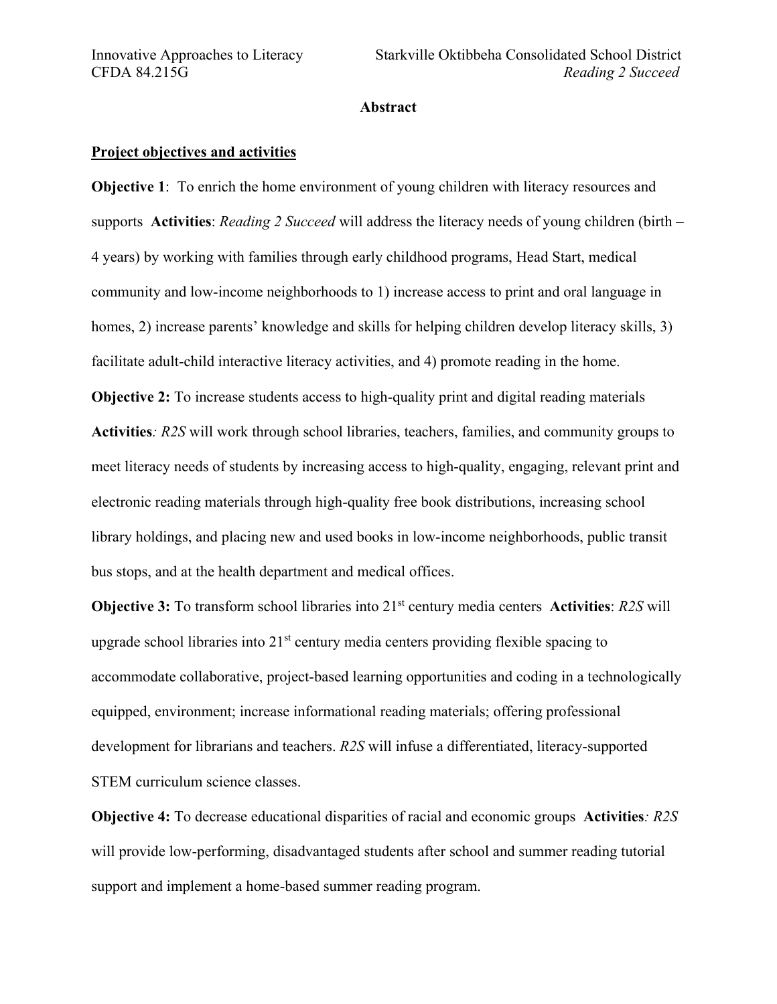#### **Abstract**

#### **Project objectives and activities**

 **Objective 1**: To enrich the home environment of young children with literacy resources and supports **Activities**: *Reading 2 Succeed* will address the literacy needs of young children (birth – community and low-income neighborhoods to 1) increase access to print and oral language in 4 years) by working with families through early childhood programs, Head Start, medical homes, 2) increase parents' knowledge and skills for helping children develop literacy skills, 3) facilitate adult-child interactive literacy activities, and 4) promote reading in the home.

 **Objective 2:** To increase students access to high-quality print and digital reading materials library holdings, and placing new and used books in low-income neighborhoods, public transit **Activities***: R2S* will work through school libraries, teachers, families, and community groups to meet literacy needs of students by increasing access to high-quality, engaging, relevant print and electronic reading materials through high-quality free book distributions, increasing school bus stops, and at the health department and medical offices.

 **Objective 3:** To transform school libraries into 21st century media centers **Activities**: *R2S* will upgrade school libraries into 21<sup>st</sup> century media centers providing flexible spacing to development for librarians and teachers. *R2S* will infuse a differentiated, literacy-supported accommodate collaborative, project-based learning opportunities and coding in a technologically equipped, environment; increase informational reading materials; offering professional STEM curriculum science classes.

 will provide low-performing, disadvantaged students after school and summer reading tutorial support and implement a home-based summer reading program. **Objective 4:** To decrease educational disparities of racial and economic groups **Activities***: R2S*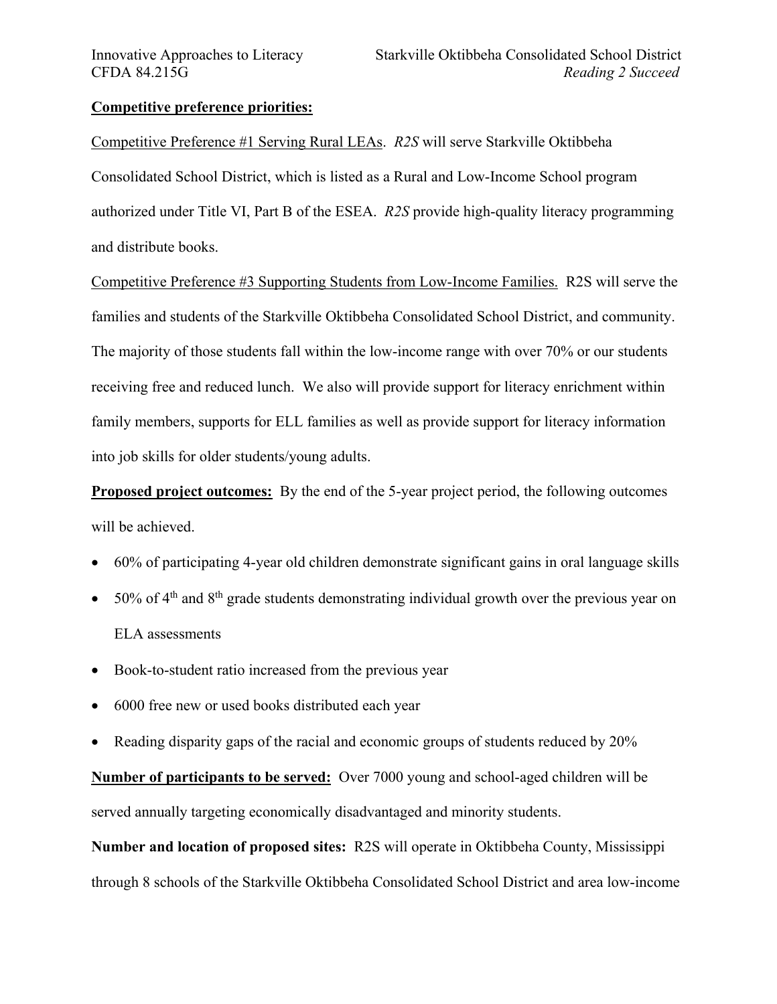#### **Competitive preference priorities:**

 Competitive Preference #1 Serving Rural LEAs. *R2S* will serve Starkville Oktibbeha authorized under Title VI, Part B of the ESEA. *R2S* provide high-quality literacy programming Consolidated School District, which is listed as a Rural and Low-Income School program and distribute books.

 Competitive Preference #3 Supporting Students from Low-Income Families. R2S will serve the family members, supports for ELL families as well as provide support for literacy information families and students of the Starkville Oktibbeha Consolidated School District, and community. The majority of those students fall within the low-income range with over 70% or our students receiving free and reduced lunch. We also will provide support for literacy enrichment within into job skills for older students/young adults.

 **Proposed project outcomes:** By the end of the 5-year project period, the following outcomes will be achieved.

- 60% of participating 4-year old children demonstrate significant gains in oral language skills
- 50% of  $4<sup>th</sup>$  and  $8<sup>th</sup>$  grade students demonstrating individual growth over the previous year on ELA assessments
- Book-to-student ratio increased from the previous year
- 6000 free new or used books distributed each year
- Reading disparity gaps of the racial and economic groups of students reduced by 20%

 **Number of participants to be served:** Over 7000 young and school-aged children will be served annually targeting economically disadvantaged and minority students.

**Number and location of proposed sites:** R2S will operate in Oktibbeha County, Mississippi through 8 schools of the Starkville Oktibbeha Consolidated School District and area low-income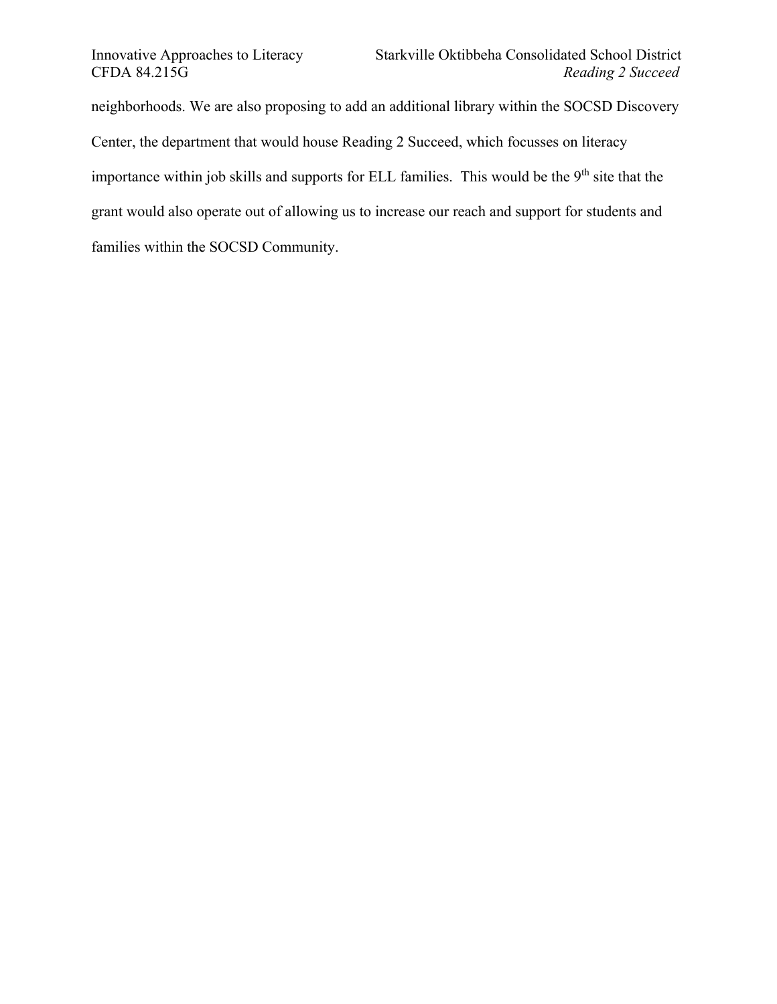importance within job skills and supports for ELL families. This would be the 9<sup>th</sup> site that the families within the SOCSD Community. neighborhoods. We are also proposing to add an additional library within the SOCSD Discovery Center, the department that would house Reading 2 Succeed, which focusses on literacy grant would also operate out of allowing us to increase our reach and support for students and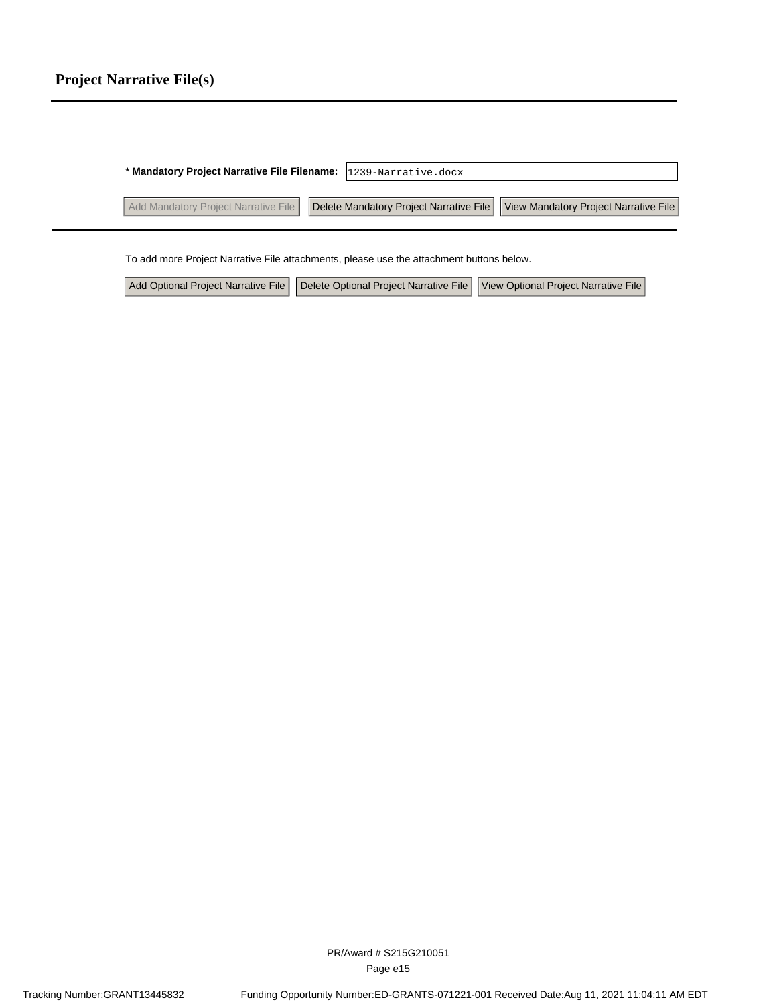| * Mandatory Project Narrative File Filename: 1239-Narrative.docx |                                                                                 |
|------------------------------------------------------------------|---------------------------------------------------------------------------------|
| Add Mandatory Project Narrative File                             | Delete Mandatory Project Narrative File   View Mandatory Project Narrative File |

To add more Project Narrative File attachments, please use the attachment buttons below.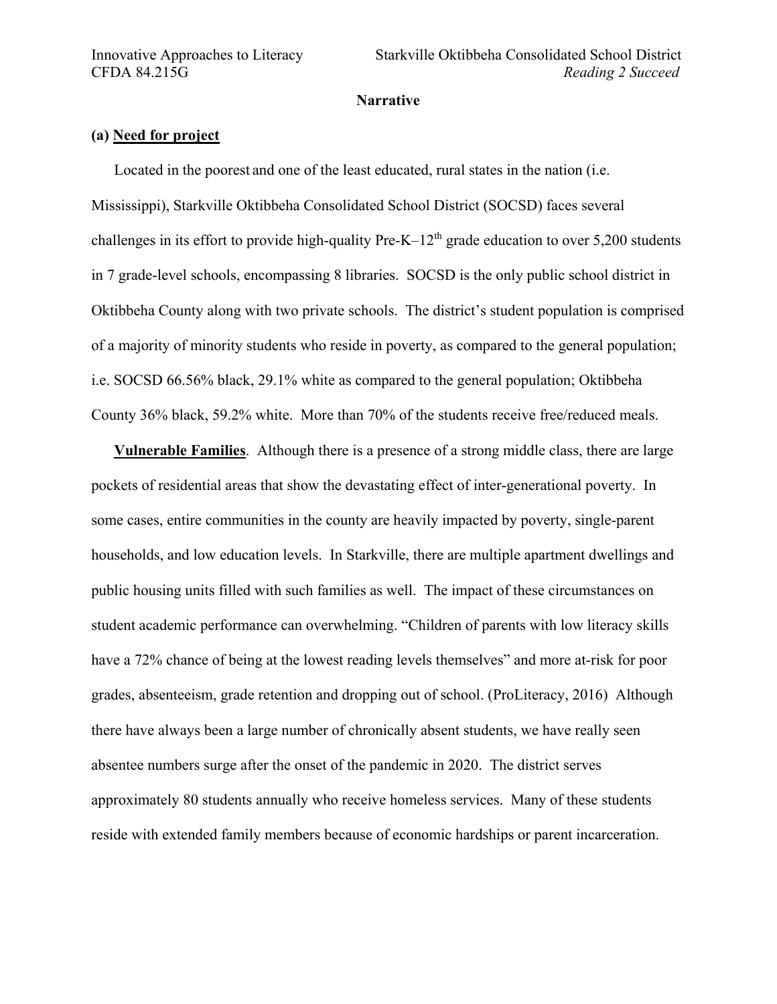#### **Narrative**

#### **(a) Need for project**

 of a majority of minority students who reside in poverty, as compared to the general population; County 36% black, 59.2% white. More than 70% of the students receive free/reduced meals. Located in the poorest and one of the least educated, rural states in the nation (i.e. Mississippi), Starkville Oktibbeha Consolidated School District (SOCSD) faces several challenges in its effort to provide high-quality Pre-K–12<sup>th</sup> grade education to over 5,200 students in 7 grade-level schools, encompassing 8 libraries. SOCSD is the only public school district in Oktibbeha County along with two private schools. The district's student population is comprised i.e. SOCSD 66.56% black, 29.1% white as compared to the general population; Oktibbeha

 households, and low education levels. In Starkville, there are multiple apartment dwellings and student academic performance can overwhelming. "Children of parents with low literacy skills have a 72% chance of being at the lowest reading levels themselves" and more at-risk for poor grades, absenteeism, grade retention and dropping out of school. (ProLiteracy, 2016) Although approximately 80 students annually who receive homeless services. Many of these students **Vulnerable Families**. Although there is a presence of a strong middle class, there are large pockets of residential areas that show the devastating effect of inter-generational poverty. In some cases, entire communities in the county are heavily impacted by poverty, single-parent public housing units filled with such families as well. The impact of these circumstances on there have always been a large number of chronically absent students, we have really seen absentee numbers surge after the onset of the pandemic in 2020. The district serves reside with extended family members because of economic hardships or parent incarceration.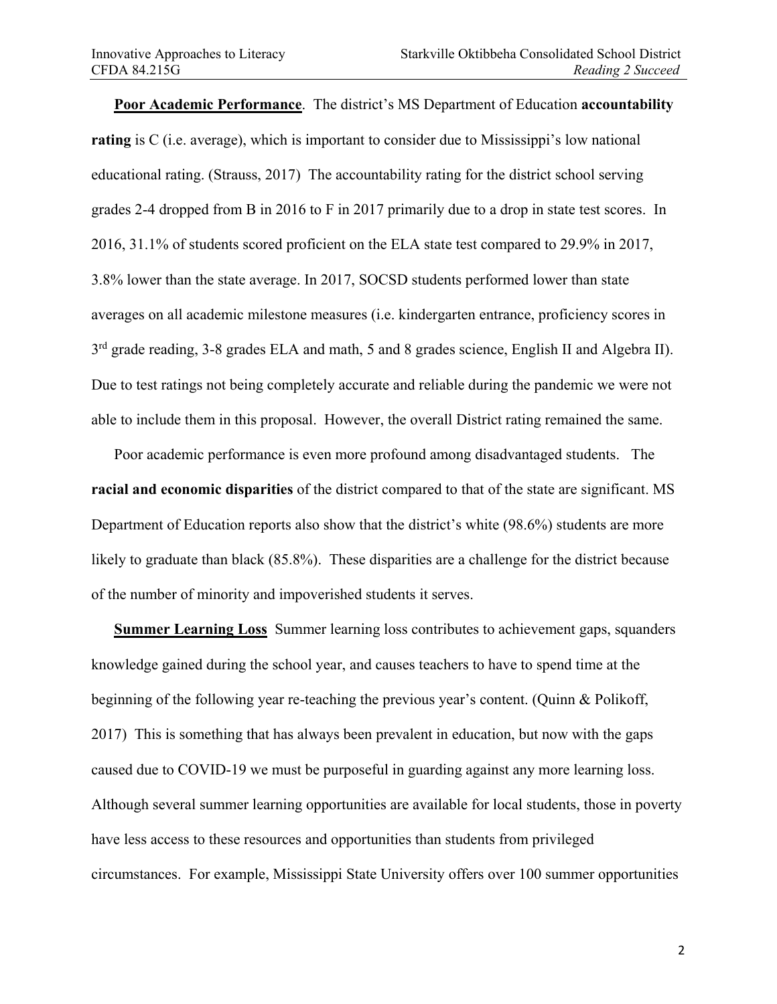educational rating. (Strauss, 2017) The accountability rating for the district school serving 2016, 31.1% of students scored proficient on the ELA state test compared to 29.9% in 2017, 3.8% lower than the state average. In 2017, SOCSD students performed lower than state 3<sup>rd</sup> grade reading, 3-8 grades ELA and math, 5 and 8 grades science, English II and Algebra II). Due to test ratings not being completely accurate and reliable during the pandemic we were not **Poor Academic Performance**. The district's MS Department of Education **accountability rating** is C (i.e. average), which is important to consider due to Mississippi's low national grades 2-4 dropped from B in 2016 to F in 2017 primarily due to a drop in state test scores. In averages on all academic milestone measures (i.e. kindergarten entrance, proficiency scores in

 able to include them in this proposal. However, the overall District rating remained the same. Poor academic performance is even more profound among disadvantaged students. The Department of Education reports also show that the district's white (98.6%) students are more of the number of minority and impoverished students it serves. **racial and economic disparities** of the district compared to that of the state are significant. MS likely to graduate than black (85.8%). These disparities are a challenge for the district because

 **Summer Learning Loss** Summer learning loss contributes to achievement gaps, squanders 2017) This is something that has always been prevalent in education, but now with the gaps circumstances. For example, Mississippi State University offers over 100 summer opportunities knowledge gained during the school year, and causes teachers to have to spend time at the beginning of the following year re-teaching the previous year's content. (Quinn & Polikoff, caused due to COVID-19 we must be purposeful in guarding against any more learning loss. Although several summer learning opportunities are available for local students, those in poverty have less access to these resources and opportunities than students from privileged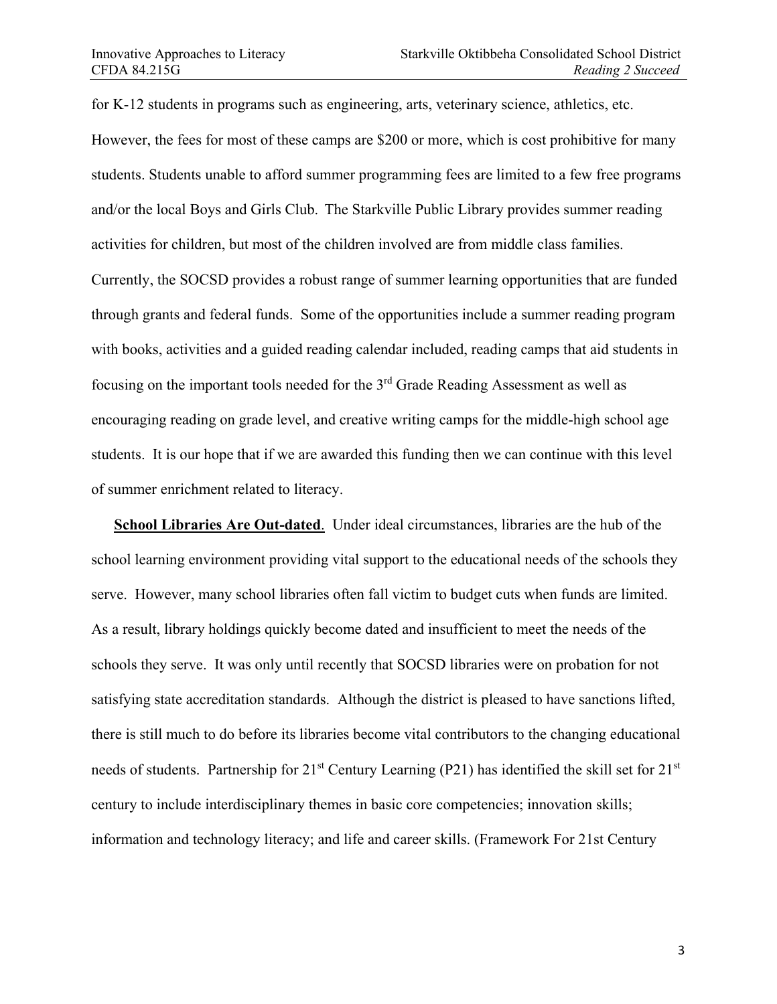for K-12 students in programs such as engineering, arts, veterinary science, athletics, etc. for K-12 students in programs such as engineering, arts, veterinary science, athletics, etc.<br>However, the fees for most of these camps are \$200 or more, which is cost prohibitive for many students. Students unable to afford summer programming fees are limited to a few free programs and/or the local Boys and Girls Club. The Starkville Public Library provides summer reading activities for children, but most of the children involved are from middle class families. through grants and federal funds. Some of the opportunities include a summer reading program encouraging reading on grade level, and creative writing camps for the middle-high school age students. It is our hope that if we are awarded this funding then we can continue with this level of summer enrichment related to literacy. Currently, the SOCSD provides a robust range of summer learning opportunities that are funded with books, activities and a guided reading calendar included, reading camps that aid students in focusing on the important tools needed for the 3rd Grade Reading Assessment as well as

 **School Libraries Are Out-dated**. Under ideal circumstances, libraries are the hub of the schools they serve. It was only until recently that SOCSD libraries were on probation for not satisfying state accreditation standards. Although the district is pleased to have sanctions lifted, there is still much to do before its libraries become vital contributors to the changing educational needs of students. Partnership for 21<sup>st</sup> Century Learning (P21) has identified the skill set for 21<sup>st</sup> school learning environment providing vital support to the educational needs of the schools they serve. However, many school libraries often fall victim to budget cuts when funds are limited. As a result, library holdings quickly become dated and insufficient to meet the needs of the century to include interdisciplinary themes in basic core competencies; innovation skills; information and technology literacy; and life and career skills. (Framework For 21st Century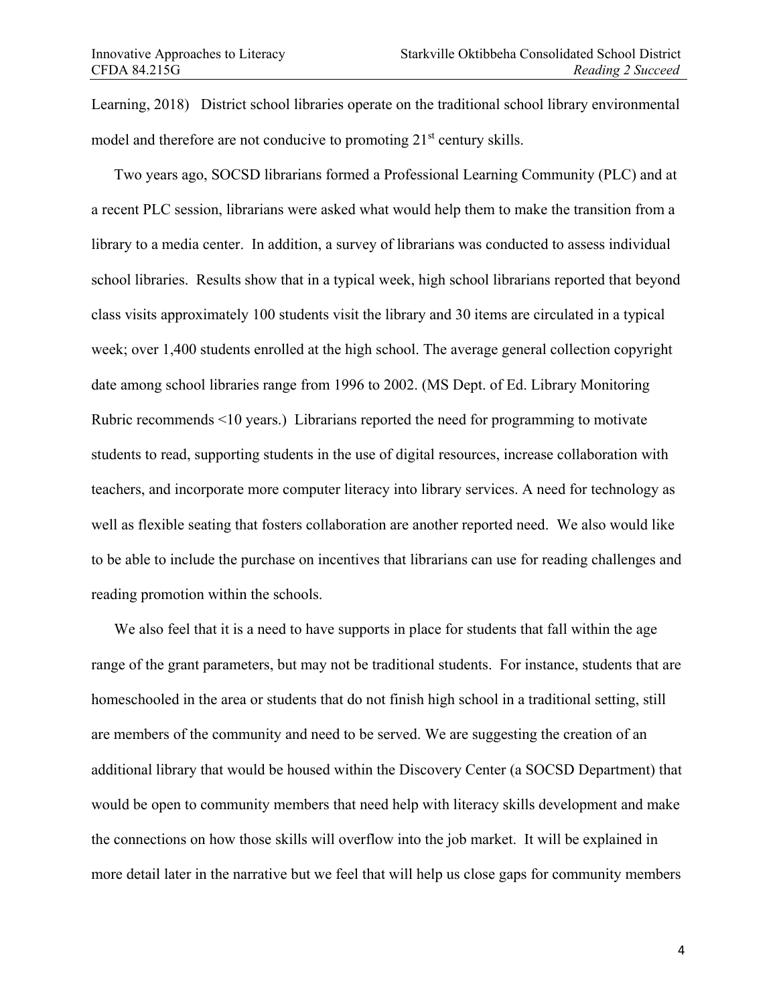Learning, 2018) District school libraries operate on the traditional school library environmental model and therefore are not conducive to promoting 21<sup>st</sup> century skills.

 library to a media center. In addition, a survey of librarians was conducted to assess individual class visits approximately 100 students visit the library and 30 items are circulated in a typical date among school libraries range from 1996 to 2002. (MS Dept. of Ed. Library Monitoring students to read, supporting students in the use of digital resources, increase collaboration with teachers, and incorporate more computer literacy into library services. A need for technology as well as flexible seating that fosters collaboration are another reported need. We also would like to be able to include the purchase on incentives that librarians can use for reading challenges and Two years ago, SOCSD librarians formed a Professional Learning Community (PLC) and at a recent PLC session, librarians were asked what would help them to make the transition from a school libraries. Results show that in a typical week, high school librarians reported that beyond week; over 1,400 students enrolled at the high school. The average general collection copyright Rubric recommends <10 years.) Librarians reported the need for programming to motivate reading promotion within the schools.

We also feel that it is a need to have supports in place for students that fall within the age range of the grant parameters, but may not be traditional students. For instance, students that are homeschooled in the area or students that do not finish high school in a traditional setting, still are members of the community and need to be served. We are suggesting the creation of an additional library that would be housed within the Discovery Center (a SOCSD Department) that would be open to community members that need help with literacy skills development and make the connections on how those skills will overflow into the job market. It will be explained in more detail later in the narrative but we feel that will help us close gaps for community members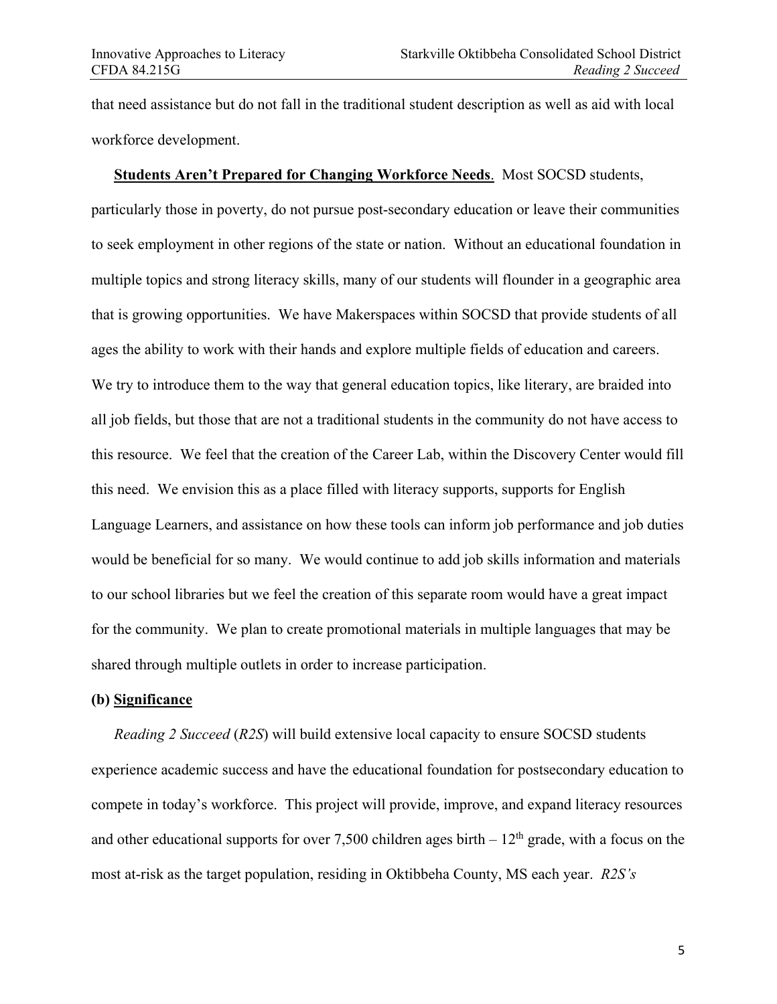that need assistance but do not fall in the traditional student description as well as aid with local workforce development.

#### **Students Aren't Prepared for Changing Workforce Needs**. Most SOCSD students,

 particularly those in poverty, do not pursue post-secondary education or leave their communities to seek employment in other regions of the state or nation. Without an educational foundation in multiple topics and strong literacy skills, many of our students will flounder in a geographic area that is growing opportunities. We have Makerspaces within SOCSD that provide students of all would be beneficial for so many. We would continue to add job skills information and materials to our school libraries but we feel the creation of this separate room would have a great impact for the community. We plan to create promotional materials in multiple languages that may be shared through multiple outlets in order to increase participation. ages the ability to work with their hands and explore multiple fields of education and careers. We try to introduce them to the way that general education topics, like literary, are braided into all job fields, but those that are not a traditional students in the community do not have access to this resource. We feel that the creation of the Career Lab, within the Discovery Center would fill this need. We envision this as a place filled with literacy supports, supports for English Language Learners, and assistance on how these tools can inform job performance and job duties

#### **(b) Significance**

and other educational supports for over 7,500 children ages birth  $-12<sup>th</sup>$  grade, with a focus on the most at-risk as the target population, residing in Oktibbeha County, MS each year. *R2S's Reading 2 Succeed* (*R2S*) will build extensive local capacity to ensure SOCSD students experience academic success and have the educational foundation for postsecondary education to compete in today's workforce. This project will provide, improve, and expand literacy resources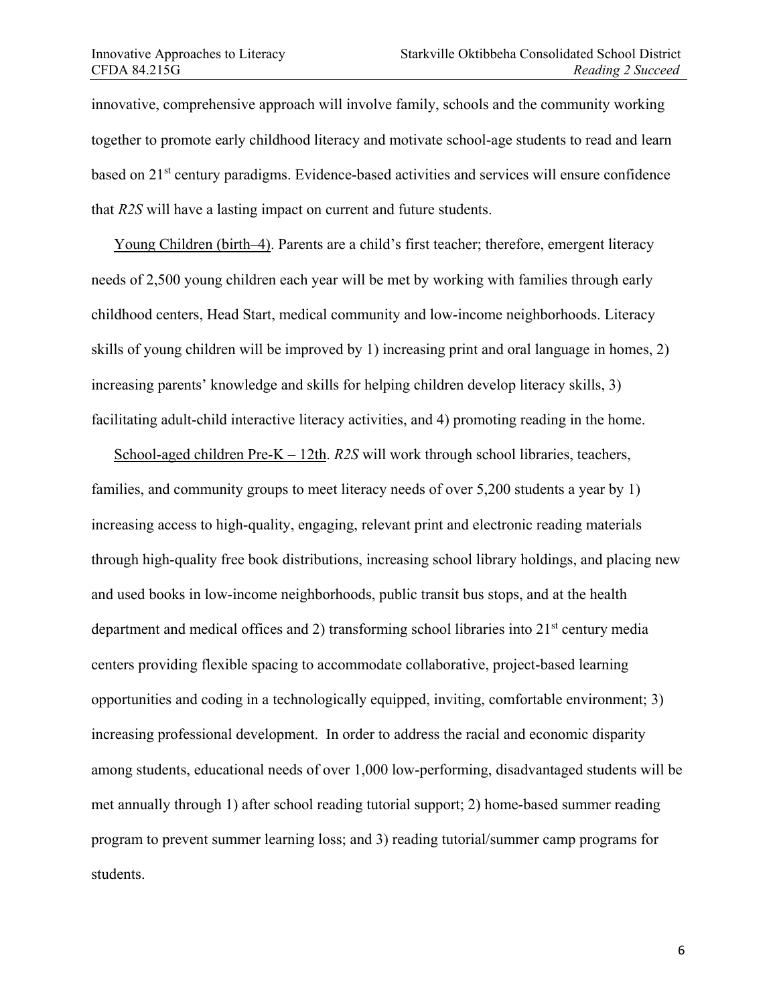that *R2S* will have a lasting impact on current and future students. innovative, comprehensive approach will involve family, schools and the community working together to promote early childhood literacy and motivate school-age students to read and learn based on 21<sup>st</sup> century paradigms. Evidence-based activities and services will ensure confidence

 needs of 2,500 young children each year will be met by working with families through early childhood centers, Head Start, medical community and low-income neighborhoods. Literacy skills of young children will be improved by 1) increasing print and oral language in homes, 2) increasing parents' knowledge and skills for helping children develop literacy skills, 3) facilitating adult-child interactive literacy activities, and 4) promoting reading in the home. Young Children (birth–4). Parents are a child's first teacher; therefore, emergent literacy

 School-aged children Pre-K – 12th. *R2S* will work through school libraries, teachers, families, and community groups to meet literacy needs of over 5,200 students a year by 1) department and medical offices and 2) transforming school libraries into 21<sup>st</sup> century media opportunities and coding in a technologically equipped, inviting, comfortable environment; 3) program to prevent summer learning loss; and 3) reading tutorial/summer camp programs for students. increasing access to high-quality, engaging, relevant print and electronic reading materials through high-quality free book distributions, increasing school library holdings, and placing new and used books in low-income neighborhoods, public transit bus stops, and at the health centers providing flexible spacing to accommodate collaborative, project-based learning increasing professional development. In order to address the racial and economic disparity among students, educational needs of over 1,000 low-performing, disadvantaged students will be met annually through 1) after school reading tutorial support; 2) home-based summer reading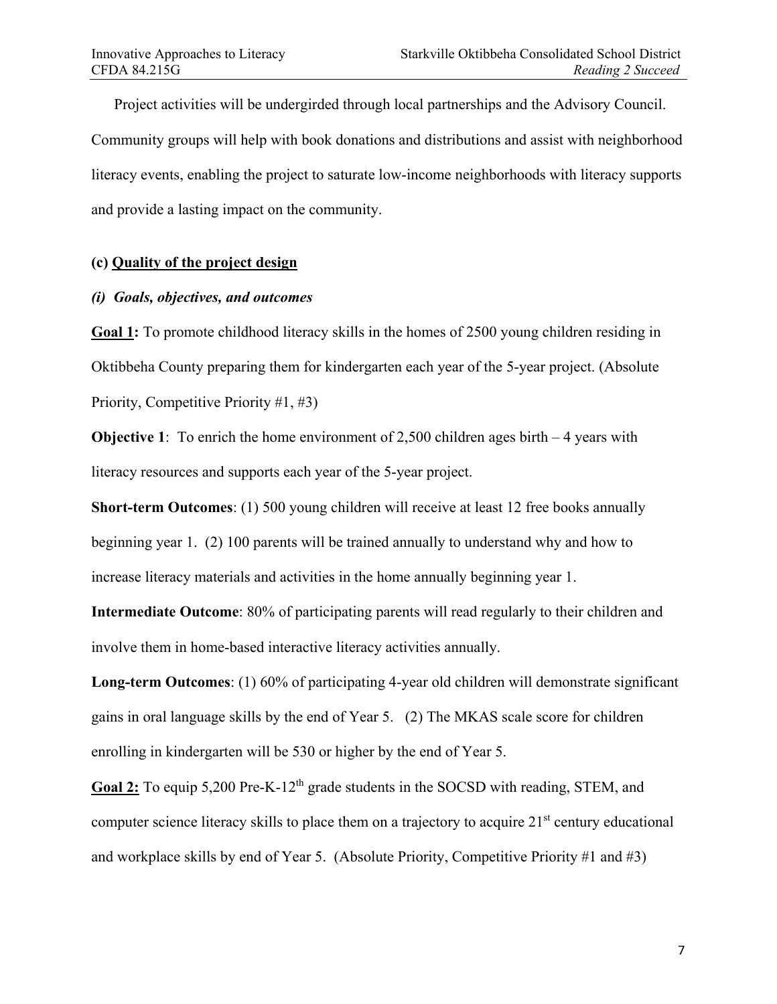Community groups will help with book donations and distributions and assist with neighborhood Project activities will be undergirded through local partnerships and the Advisory Council. literacy events, enabling the project to saturate low-income neighborhoods with literacy supports and provide a lasting impact on the community.

#### **(c) Quality of the project design**

#### *(i) Goals, objectives, and outcomes*

**Goal 1:** To promote childhood literacy skills in the homes of 2500 young children residing in Oktibbeha County preparing them for kindergarten each year of the 5-year project. (Absolute Priority, Competitive Priority #1, #3)

 **Objective 1**: To enrich the home environment of 2,500 children ages birth – 4 years with literacy resources and supports each year of the 5-year project.

 **Short-term Outcomes**: (1) 500 young children will receive at least 12 free books annually beginning year 1. (2) 100 parents will be trained annually to understand why and how to increase literacy materials and activities in the home annually beginning year 1.

 involve them in home-based interactive literacy activities annually. **Intermediate Outcome**: 80% of participating parents will read regularly to their children and

 enrolling in kindergarten will be 530 or higher by the end of Year 5. **Long-term Outcomes**: (1) 60% of participating 4-year old children will demonstrate significant gains in oral language skills by the end of Year 5. (2) The MKAS scale score for children

Goal 2: To equip 5,200 Pre-K-12<sup>th</sup> grade students in the SOCSD with reading, STEM, and computer science literacy skills to place them on a trajectory to acquire 21<sup>st</sup> century educational and workplace skills by end of Year 5. (Absolute Priority, Competitive Priority #1 and #3)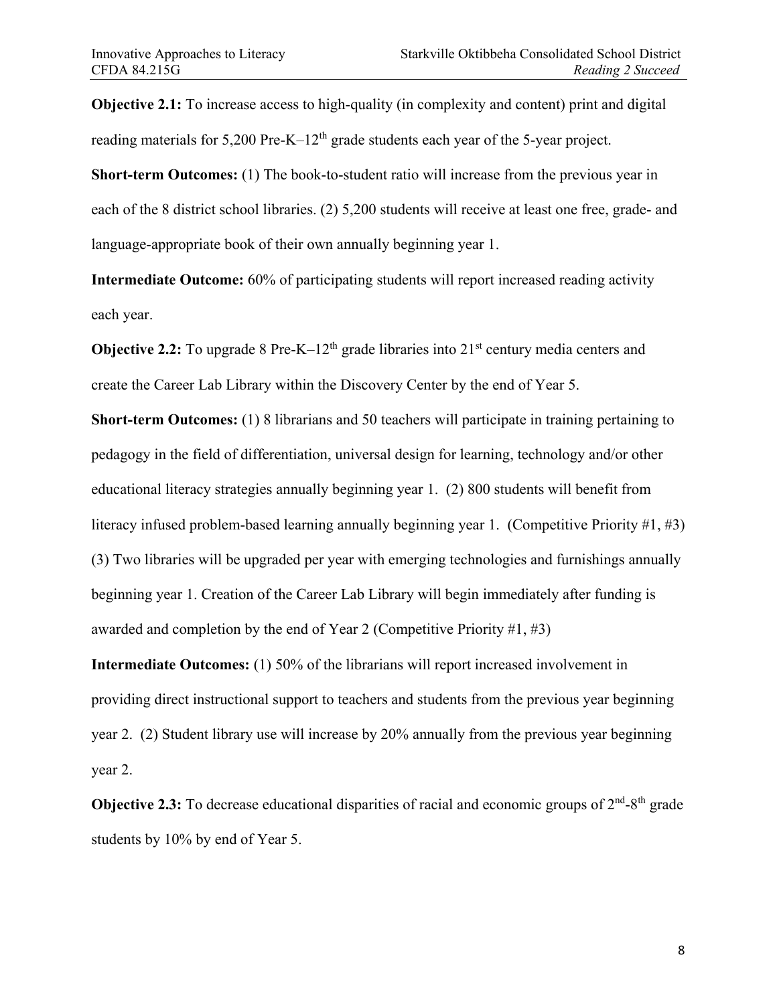**Objective 2.1:** To increase access to high-quality (in complexity and content) print and digital reading materials for 5,200 Pre-K $-12<sup>th</sup>$  grade students each year of the 5-year project.

**Short-term Outcomes:** (1) The book-to-student ratio will increase from the previous year in each of the 8 district school libraries. (2) 5,200 students will receive at least one free, grade- and language-appropriate book of their own annually beginning year 1.

**Intermediate Outcome:** 60% of participating students will report increased reading activity each year.

**Objective 2.2:** To upgrade 8 Pre-K–12<sup>th</sup> grade libraries into 21<sup>st</sup> century media centers and create the Career Lab Library within the Discovery Center by the end of Year 5.

 **Short-term Outcomes:** (1) 8 librarians and 50 teachers will participate in training pertaining to educational literacy strategies annually beginning year 1. (2) 800 students will benefit from literacy infused problem-based learning annually beginning year 1. (Competitive Priority #1, #3) pedagogy in the field of differentiation, universal design for learning, technology and/or other (3) Two libraries will be upgraded per year with emerging technologies and furnishings annually beginning year 1. Creation of the Career Lab Library will begin immediately after funding is awarded and completion by the end of Year 2 (Competitive Priority #1, #3)

 **Intermediate Outcomes:** (1) 50% of the librarians will report increased involvement in providing direct instructional support to teachers and students from the previous year beginning year 2. (2) Student library use will increase by 20% annually from the previous year beginning year 2.

**Objective 2.3:** To decrease educational disparities of racial and economic groups of 2<sup>nd</sup>-8<sup>th</sup> grade students by 10% by end of Year 5.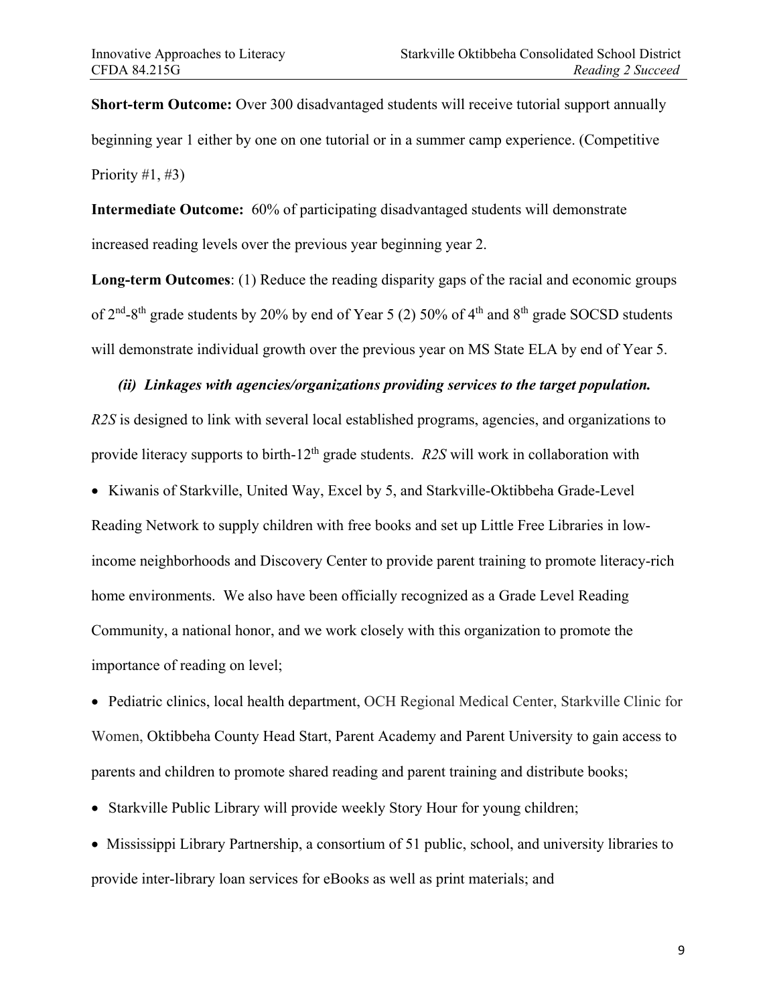**Short-term Outcome:** Over 300 disadvantaged students will receive tutorial support annually beginning year 1 either by one on one tutorial or in a summer camp experience. (Competitive Priority  $\#1, \#3$ )

 **Intermediate Outcome:** 60% of participating disadvantaged students will demonstrate increased reading levels over the previous year beginning year 2.

of  $2<sup>nd</sup>$ -8<sup>th</sup> grade students by 20% by end of Year 5 (2) 50% of 4<sup>th</sup> and 8<sup>th</sup> grade SOCSD students **Long-term Outcomes**: (1) Reduce the reading disparity gaps of the racial and economic groups will demonstrate individual growth over the previous year on MS State ELA by end of Year 5.

#### *(ii) Linkages with agencies/organizations providing services to the target population.*

 *R2S* is designed to link with several local established programs, agencies, and organizations to provide literacy supports to birth-12<sup>th</sup> grade students. *R2S* will work in collaboration with

 importance of reading on level; • Kiwanis of Starkville, United Way, Excel by 5, and Starkville-Oktibbeha Grade-Level Reading Network to supply children with free books and set up Little Free Libraries in lowincome neighborhoods and Discovery Center to provide parent training to promote literacy-rich home environments. We also have been officially recognized as a Grade Level Reading Community, a national honor, and we work closely with this organization to promote the

 • Pediatric clinics, local health department, OCH Regional Medical Center, Starkville Clinic for Women, Oktibbeha County Head Start, Parent Academy and Parent University to gain access to parents and children to promote shared reading and parent training and distribute books;

• Starkville Public Library will provide weekly Story Hour for young children;

 • Mississippi Library Partnership, a consortium of 51 public, school, and university libraries to provide inter-library loan services for eBooks as well as print materials; and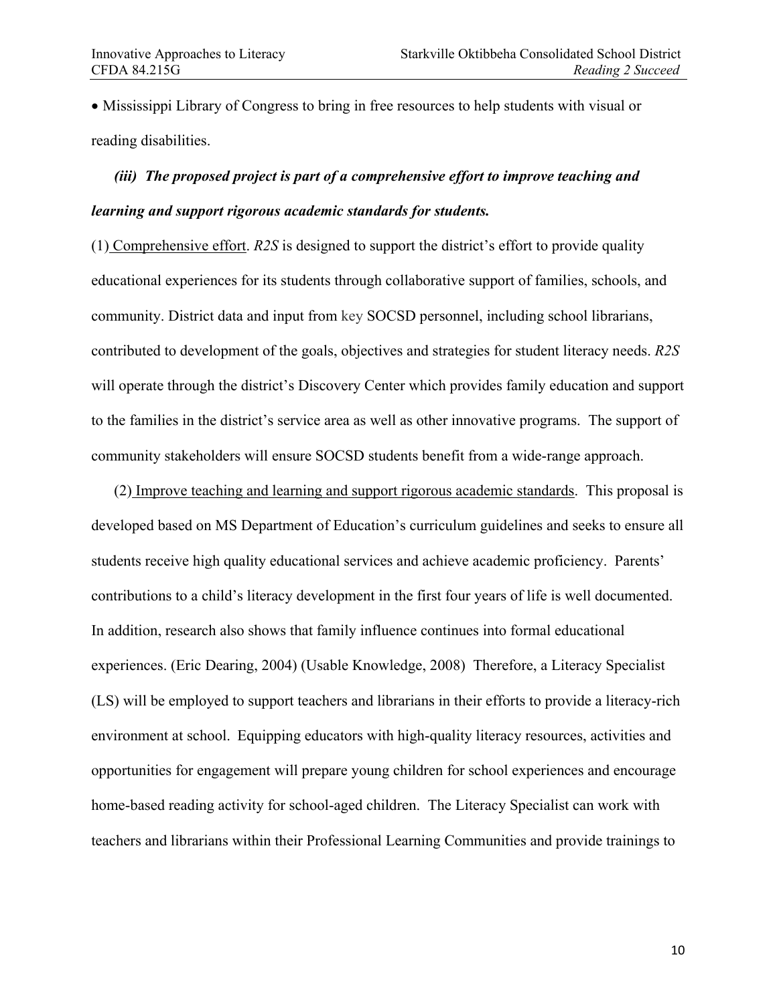reading disabilities. • Mississippi Library of Congress to bring in free resources to help students with visual or

# *learning and support rigorous academic standards for students. (iii) The proposed project is part of a comprehensive effort to improve teaching and*

 educational experiences for its students through collaborative support of families, schools, and contributed to development of the goals, objectives and strategies for student literacy needs. *R2S*  (1) Comprehensive effort. *R2S* is designed to support the district's effort to provide quality community. District data and input from key SOCSD personnel, including school librarians, will operate through the district's Discovery Center which provides family education and support to the families in the district's service area as well as other innovative programs. The support of community stakeholders will ensure SOCSD students benefit from a wide-range approach.

 experiences. (Eric Dearing, 2004) (Usable Knowledge, 2008) Therefore, a Literacy Specialist (LS) will be employed to support teachers and librarians in their efforts to provide a literacy-rich home-based reading activity for school-aged children. The Literacy Specialist can work with teachers and librarians within their Professional Learning Communities and provide trainings to (2) Improve teaching and learning and support rigorous academic standards. This proposal is developed based on MS Department of Education's curriculum guidelines and seeks to ensure all students receive high quality educational services and achieve academic proficiency. Parents' contributions to a child's literacy development in the first four years of life is well documented. In addition, research also shows that family influence continues into formal educational environment at school. Equipping educators with high-quality literacy resources, activities and opportunities for engagement will prepare young children for school experiences and encourage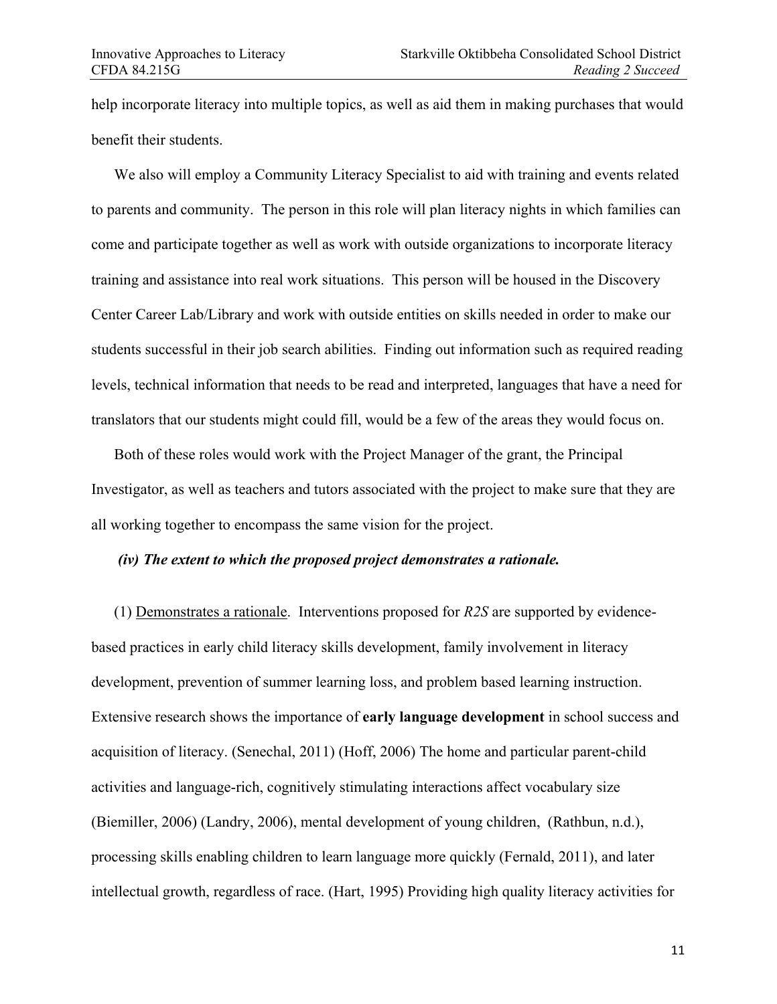benefit their students. help incorporate literacy into multiple topics, as well as aid them in making purchases that would

 Center Career Lab/Library and work with outside entities on skills needed in order to make our levels, technical information that needs to be read and interpreted, languages that have a need for We also will employ a Community Literacy Specialist to aid with training and events related to parents and community. The person in this role will plan literacy nights in which families can come and participate together as well as work with outside organizations to incorporate literacy training and assistance into real work situations. This person will be housed in the Discovery students successful in their job search abilities. Finding out information such as required reading translators that our students might could fill, would be a few of the areas they would focus on.

 Both of these roles would work with the Project Manager of the grant, the Principal Investigator, as well as teachers and tutors associated with the project to make sure that they are all working together to encompass the same vision for the project.

#### *(iv) The extent to which the proposed project demonstrates a rationale.*

 (1) Demonstrates a rationale. Interventions proposed for *R2S* are supported by evidence- based practices in early child literacy skills development, family involvement in literacy (Biemiller, 2006) (Landry, 2006), mental development of young children, (Rathbun, n.d.), intellectual growth, regardless of race. (Hart, 1995) Providing high quality literacy activities for development, prevention of summer learning loss, and problem based learning instruction. Extensive research shows the importance of **early language development** in school success and acquisition of literacy. (Senechal, 2011) (Hoff, 2006) The home and particular parent-child activities and language-rich, cognitively stimulating interactions affect vocabulary size processing skills enabling children to learn language more quickly (Fernald, 2011), and later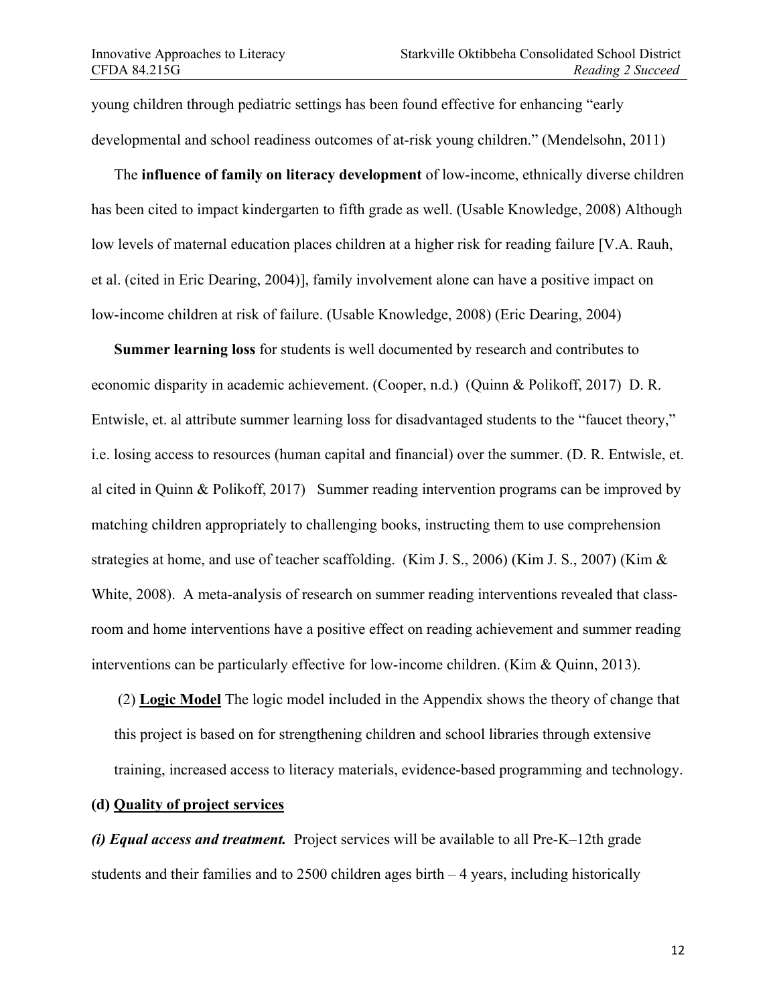developmental and school readiness outcomes of at-risk young children." (Mendelsohn, 2011) young children through pediatric settings has been found effective for enhancing "early

 has been cited to impact kindergarten to fifth grade as well. (Usable Knowledge, 2008) Although low-income children at risk of failure. (Usable Knowledge, 2008) (Eric Dearing, 2004) The **influence of family on literacy development** of low-income, ethnically diverse children low levels of maternal education places children at a higher risk for reading failure [V.A. Rauh, et al. (cited in Eric Dearing, 2004)], family involvement alone can have a positive impact on

 **Summer learning loss** for students is well documented by research and contributes to economic disparity in academic achievement. (Cooper, n.d.) (Quinn & Polikoff, 2017) D. R. al cited in Quinn & Polikoff, 2017) Summer reading intervention programs can be improved by White, 2008). A meta-analysis of research on summer reading interventions revealed that class- interventions can be particularly effective for low-income children. (Kim & Quinn, 2013). Entwisle, et. al attribute summer learning loss for disadvantaged students to the "faucet theory," i.e. losing access to resources (human capital and financial) over the summer. (D. R. Entwisle, et. matching children appropriately to challenging books, instructing them to use comprehension strategies at home, and use of teacher scaffolding. (Kim J. S., 2006) (Kim J. S., 2007) (Kim & room and home interventions have a positive effect on reading achievement and summer reading

 (2) **Logic Model** The logic model included in the Appendix shows the theory of change that training, increased access to literacy materials, evidence-based programming and technology. this project is based on for strengthening children and school libraries through extensive

#### **(d) Quality of project services**

 *(i) Equal access and treatment.* Project services will be available to all Pre-K–12th grade students and their families and to 2500 children ages birth – 4 years, including historically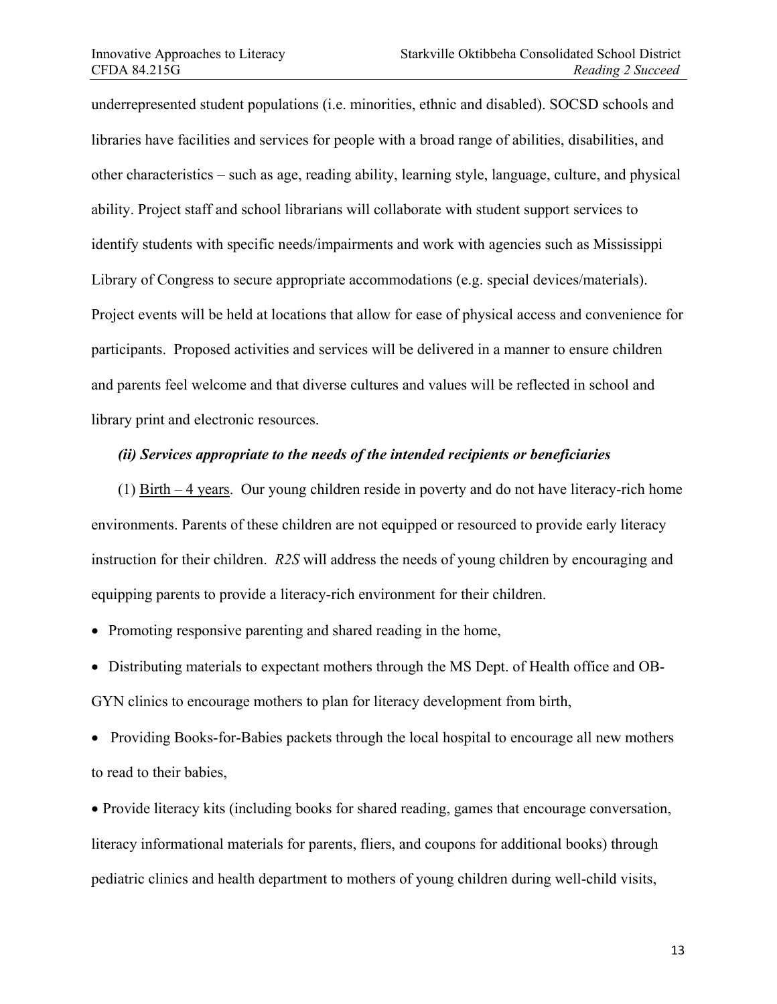participants. Proposed activities and services will be delivered in a manner to ensure children and parents feel welcome and that diverse cultures and values will be reflected in school and library print and electronic resources. underrepresented student populations (i.e. minorities, ethnic and disabled). SOCSD schools and libraries have facilities and services for people with a broad range of abilities, disabilities, and other characteristics – such as age, reading ability, learning style, language, culture, and physical ability. Project staff and school librarians will collaborate with student support services to identify students with specific needs/impairments and work with agencies such as Mississippi Library of Congress to secure appropriate accommodations (e.g. special devices/materials). Project events will be held at locations that allow for ease of physical access and convenience for

#### *(ii) Services appropriate to the needs of the intended recipients or beneficiaries*

(1)  $Birth-4 years. Our young children reside in poverty and do not have literary-rich home$ </u> environments. Parents of these children are not equipped or resourced to provide early literacy instruction for their children. *R2S* will address the needs of young children by encouraging and equipping parents to provide a literacy-rich environment for their children.

• Promoting responsive parenting and shared reading in the home,

 GYN clinics to encourage mothers to plan for literacy development from birth, • Distributing materials to expectant mothers through the MS Dept. of Health office and OB-

 • Providing Books-for-Babies packets through the local hospital to encourage all new mothers to read to their babies,

 pediatric clinics and health department to mothers of young children during well-child visits, • Provide literacy kits (including books for shared reading, games that encourage conversation, literacy informational materials for parents, fliers, and coupons for additional books) through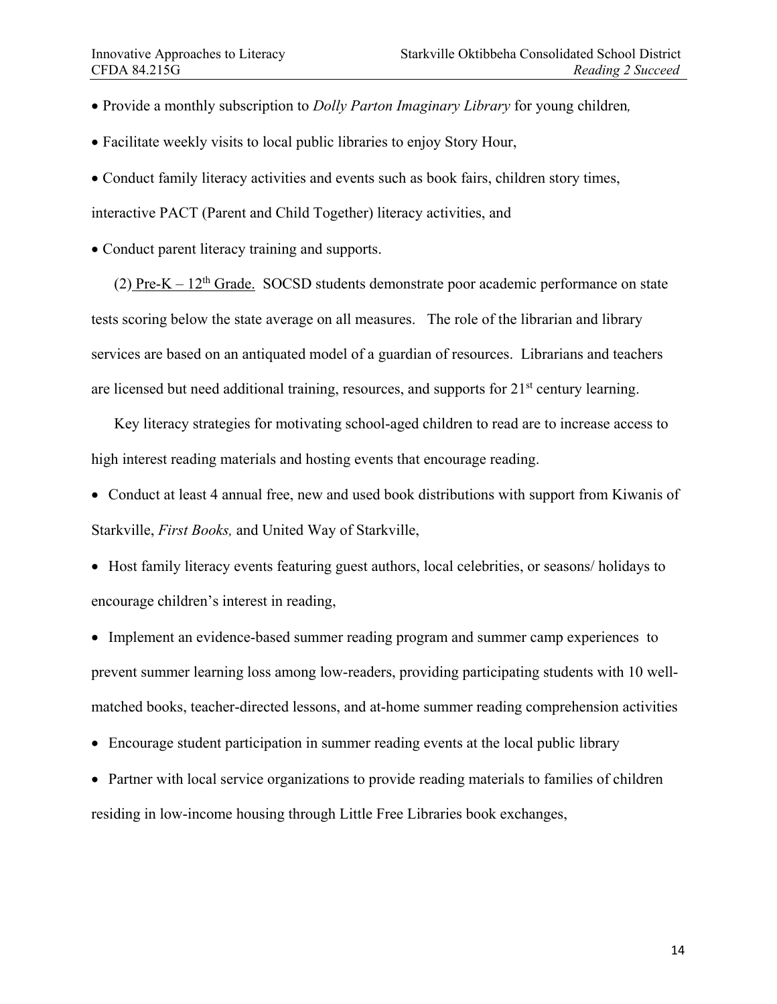- Provide a monthly subscription to *Dolly Parton Imaginary Library* for young children*,*
- Facilitate weekly visits to local public libraries to enjoy Story Hour,
- Conduct family literacy activities and events such as book fairs, children story times,

interactive PACT (Parent and Child Together) literacy activities, and

• Conduct parent literacy training and supports.

 $(2)$  Pre-K –  $12<sup>th</sup>$  Grade. SOCSD students demonstrate poor academic performance on state tests scoring below the state average on all measures. The role of the librarian and library services are based on an antiquated model of a guardian of resources. Librarians and teachers are licensed but need additional training, resources, and supports for 21<sup>st</sup> century learning.

Key literacy strategies for motivating school-aged children to read are to increase access to high interest reading materials and hosting events that encourage reading.

- Conduct at least 4 annual free, new and used book distributions with support from Kiwanis of Starkville, *First Books,* and United Way of Starkville,
- Host family literacy events featuring guest authors, local celebrities, or seasons/ holidays to encourage children's interest in reading,

• Implement an evidence-based summer reading program and summer camp experiences to prevent summer learning loss among low-readers, providing participating students with 10 wellmatched books, teacher-directed lessons, and at-home summer reading comprehension activities

- Encourage student participation in summer reading events at the local public library
- Partner with local service organizations to provide reading materials to families of children residing in low-income housing through Little Free Libraries book exchanges,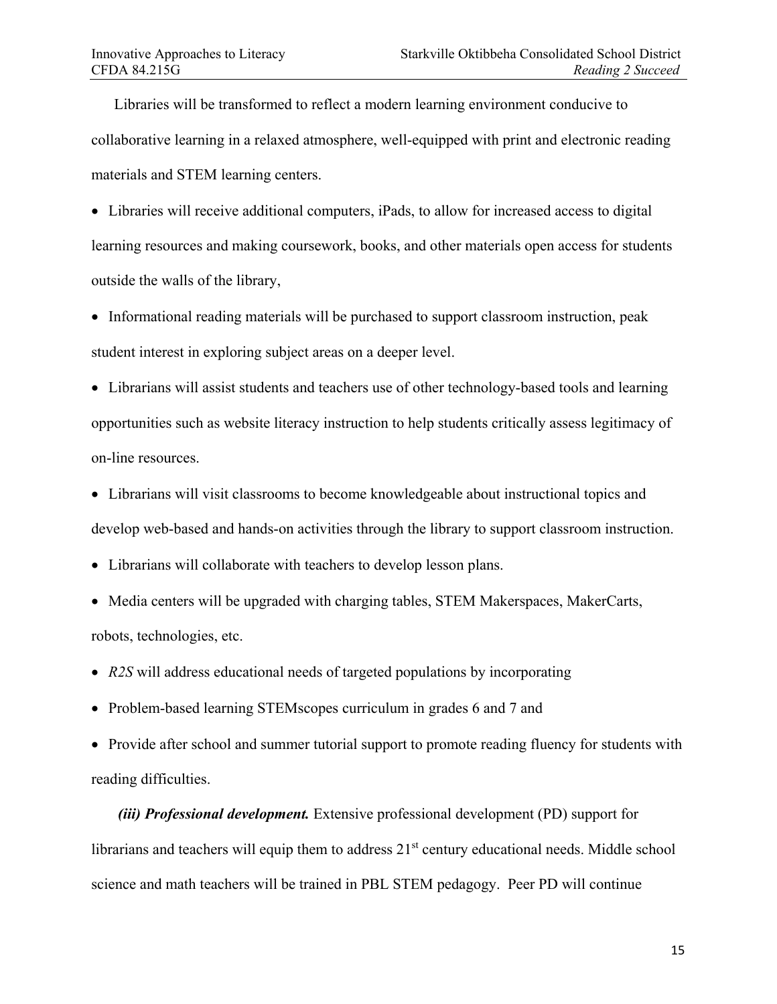materials and STEM learning centers. Libraries will be transformed to reflect a modern learning environment conducive to collaborative learning in a relaxed atmosphere, well-equipped with print and electronic reading

 outside the walls of the library, • Libraries will receive additional computers, iPads, to allow for increased access to digital learning resources and making coursework, books, and other materials open access for students

 student interest in exploring subject areas on a deeper level. • Informational reading materials will be purchased to support classroom instruction, peak

 • Librarians will assist students and teachers use of other technology-based tools and learning on-line resources. opportunities such as website literacy instruction to help students critically assess legitimacy of

- • Librarians will visit classrooms to become knowledgeable about instructional topics and develop web-based and hands-on activities through the library to support classroom instruction.
- Librarians will collaborate with teachers to develop lesson plans.
- • Media centers will be upgraded with charging tables, STEM Makerspaces, MakerCarts, robots, technologies, etc.
- *R2S* will address educational needs of targeted populations by incorporating
- Problem-based learning STEMscopes curriculum in grades 6 and 7 and

• Provide after school and summer tutorial support to promote reading fluency for students with reading difficulties.

*(iii) Professional development.* Extensive professional development (PD) support for librarians and teachers will equip them to address  $21<sup>st</sup>$  century educational needs. Middle school science and math teachers will be trained in PBL STEM pedagogy. Peer PD will continue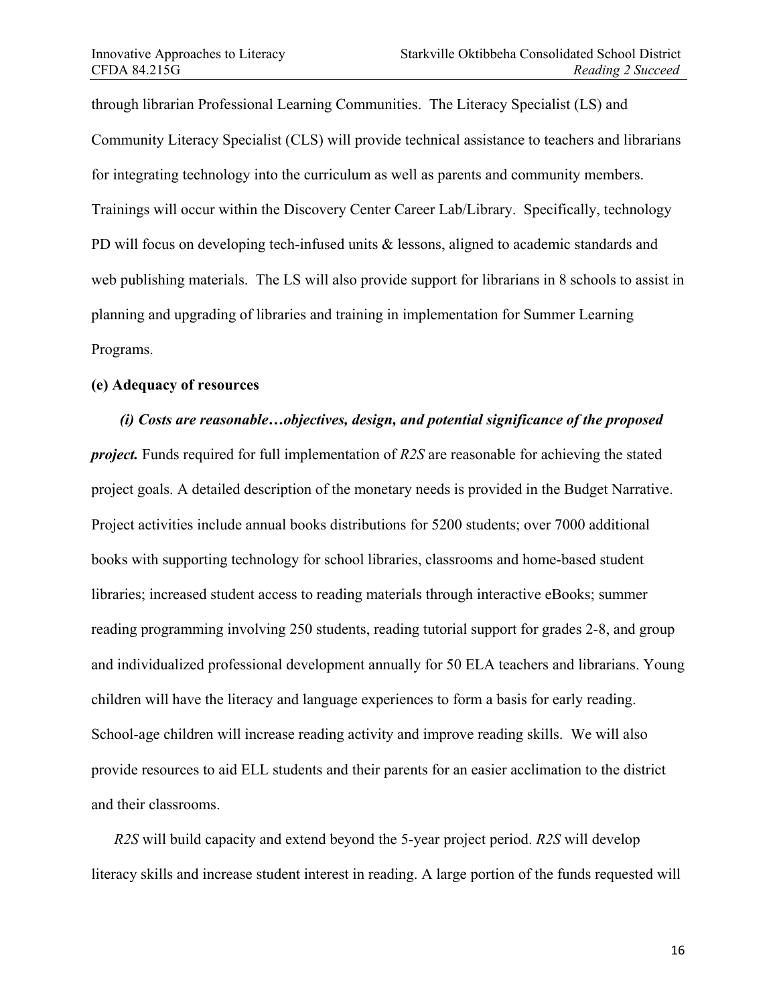Trainings will occur within the Discovery Center Career Lab/Library. Specifically, technology web publishing materials. The LS will also provide support for librarians in 8 schools to assist in through librarian Professional Learning Communities. The Literacy Specialist (LS) and Community Literacy Specialist (CLS) will provide technical assistance to teachers and librarians for integrating technology into the curriculum as well as parents and community members. PD will focus on developing tech-infused units & lessons, aligned to academic standards and planning and upgrading of libraries and training in implementation for Summer Learning Programs.

#### **(e) Adequacy of resources**

 *project.* Funds required for full implementation of *R2S* are reasonable for achieving the stated project goals. A detailed description of the monetary needs is provided in the Budget Narrative. Project activities include annual books distributions for 5200 students; over 7000 additional and individualized professional development annually for 50 ELA teachers and librarians. Young provide resources to aid ELL students and their parents for an easier acclimation to the district *(i) Costs are reasonable…objectives, design, and potential significance of the proposed*  books with supporting technology for school libraries, classrooms and home-based student libraries; increased student access to reading materials through interactive eBooks; summer reading programming involving 250 students, reading tutorial support for grades 2-8, and group children will have the literacy and language experiences to form a basis for early reading. School-age children will increase reading activity and improve reading skills. We will also and their classrooms.

 literacy skills and increase student interest in reading. A large portion of the funds requested will *R2S* will build capacity and extend beyond the 5-year project period. *R2S* will develop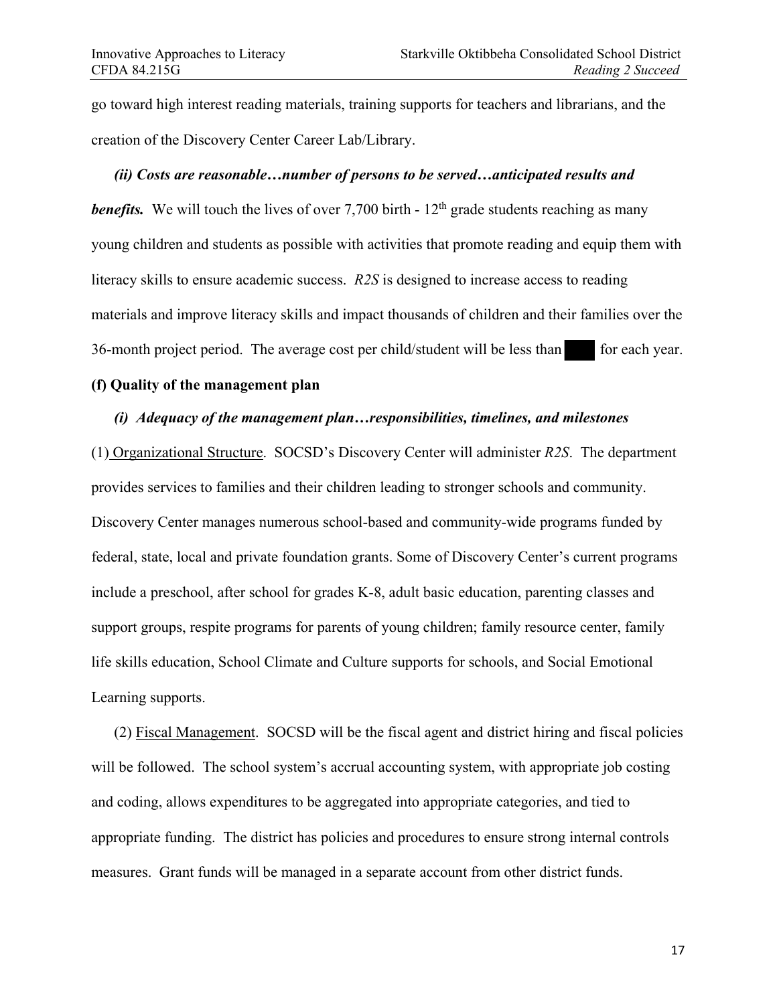go toward high interest reading materials, training supports for teachers and librarians, and the creation of the Discovery Center Career Lab/Library.

#### *(ii) Costs are reasonable…number of persons to be served…anticipated results and*

*benefits.* We will touch the lives of over 7,700 birth - 12<sup>th</sup> grade students reaching as many literacy skills to ensure academic success. *R2S* is designed to increase access to reading 36-month project period. The average cost per child/student will be less than for each year. young children and students as possible with activities that promote reading and equip them with materials and improve literacy skills and impact thousands of children and their families over the

#### **(f) Quality of the management plan**

#### *(i) Adequacy of the management plan…responsibilities, timelines, and milestones*

 federal, state, local and private foundation grants. Some of Discovery Center's current programs life skills education, School Climate and Culture supports for schools, and Social Emotional (1) Organizational Structure. SOCSD's Discovery Center will administer *R2S*. The department provides services to families and their children leading to stronger schools and community. Discovery Center manages numerous school-based and community-wide programs funded by include a preschool, after school for grades K-8, adult basic education, parenting classes and support groups, respite programs for parents of young children; family resource center, family Learning supports.

 appropriate funding. The district has policies and procedures to ensure strong internal controls (2) Fiscal Management. SOCSD will be the fiscal agent and district hiring and fiscal policies will be followed. The school system's accrual accounting system, with appropriate job costing and coding, allows expenditures to be aggregated into appropriate categories, and tied to measures. Grant funds will be managed in a separate account from other district funds.

17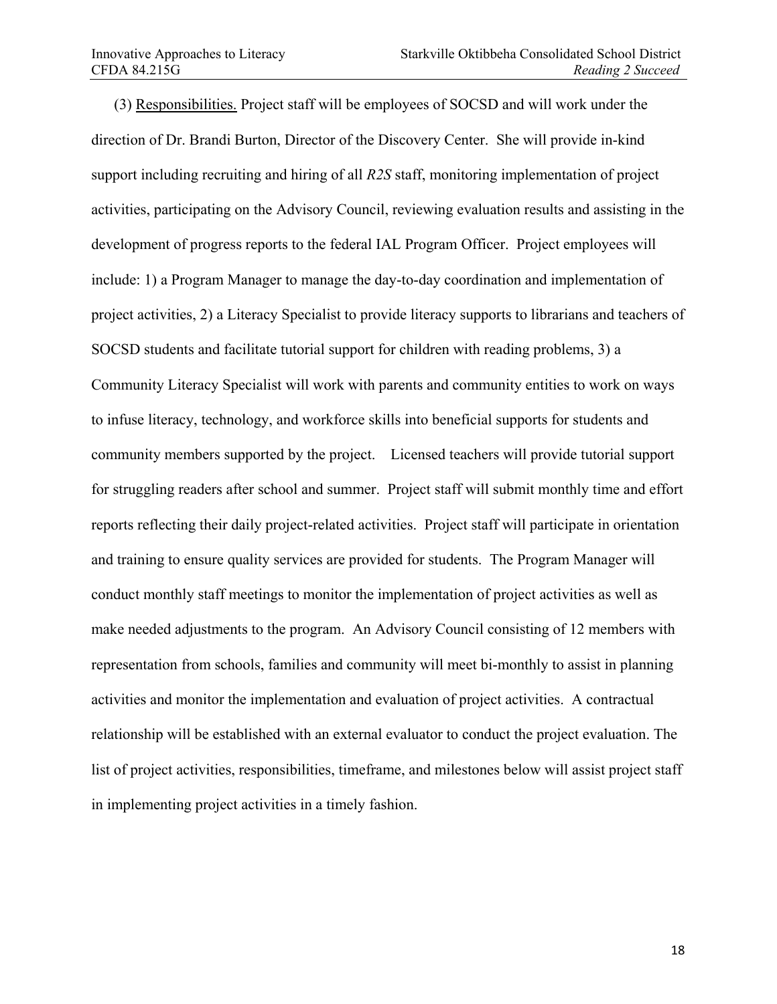(3) Responsibilities. Project staff will be employees of SOCSD and will work under the direction of Dr. Brandi Burton, Director of the Discovery Center. She will provide in-kind support including recruiting and hiring of all *R2S* staff, monitoring implementation of project Community Literacy Specialist will work with parents and community entities to work on ways community members supported by the project. Licensed teachers will provide tutorial support reports reflecting their daily project-related activities. Project staff will participate in orientation list of project activities, responsibilities, timeframe, and milestones below will assist project staff activities, participating on the Advisory Council, reviewing evaluation results and assisting in the development of progress reports to the federal IAL Program Officer. Project employees will include: 1) a Program Manager to manage the day-to-day coordination and implementation of project activities, 2) a Literacy Specialist to provide literacy supports to librarians and teachers of SOCSD students and facilitate tutorial support for children with reading problems, 3) a to infuse literacy, technology, and workforce skills into beneficial supports for students and for struggling readers after school and summer. Project staff will submit monthly time and effort and training to ensure quality services are provided for students. The Program Manager will conduct monthly staff meetings to monitor the implementation of project activities as well as make needed adjustments to the program. An Advisory Council consisting of 12 members with representation from schools, families and community will meet bi-monthly to assist in planning activities and monitor the implementation and evaluation of project activities. A contractual relationship will be established with an external evaluator to conduct the project evaluation. The in implementing project activities in a timely fashion.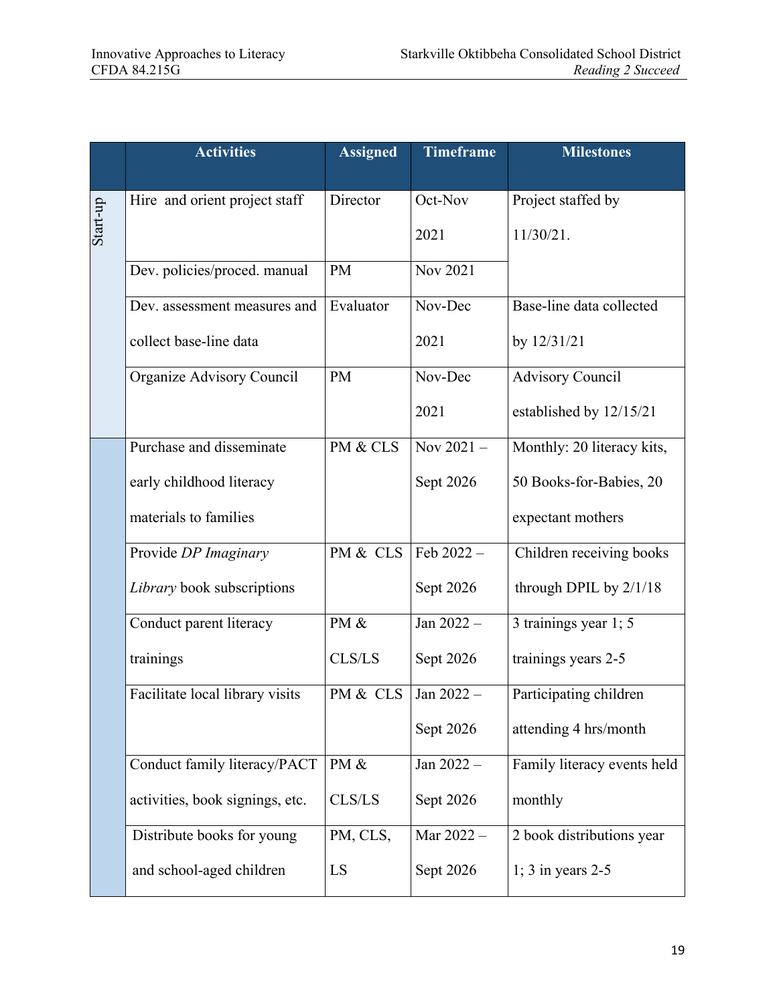|          | <b>Activities</b>               | <b>Assigned</b> | <b>Timeframe</b> | <b>Milestones</b>           |
|----------|---------------------------------|-----------------|------------------|-----------------------------|
|          | Hire and orient project staff   | Director        | Oct-Nov          | Project staffed by          |
| Start-up |                                 |                 | 2021             | 11/30/21.                   |
|          | Dev. policies/proced. manual    | <b>PM</b>       | Nov 2021         |                             |
|          | Dev. assessment measures and    | Evaluator       | Nov-Dec          | Base-line data collected    |
|          | collect base-line data          |                 | 2021             | by 12/31/21                 |
|          | Organize Advisory Council       | <b>PM</b>       | Nov-Dec          | <b>Advisory Council</b>     |
|          |                                 |                 | 2021             | established by 12/15/21     |
|          | Purchase and disseminate        | PM & CLS        | Nov $2021 -$     | Monthly: 20 literacy kits,  |
|          | early childhood literacy        |                 | Sept 2026        | 50 Books-for-Babies, 20     |
|          | materials to families           |                 |                  | expectant mothers           |
|          | Provide DP Imaginary            | PM & CLS        | Feb $2022 -$     | Children receiving books    |
|          | Library book subscriptions      |                 | Sept 2026        | through DPIL by $2/1/18$    |
|          | Conduct parent literacy         | PM &            | Jan 2022 -       | 3 trainings year 1; 5       |
|          | trainings                       | CLS/LS          | Sept 2026        | trainings years 2-5         |
|          | Facilitate local library visits | PM & CLS        | Jan 2022 -       | Participating children      |
|          |                                 |                 | Sept 2026        | attending 4 hrs/month       |
|          | Conduct family literacy/PACT    | PM $\&$         | Jan 2022 -       | Family literacy events held |
|          | activities, book signings, etc. | CLS/LS          | Sept 2026        | monthly                     |
|          | Distribute books for young      | PM, CLS,        | Mar 2022 -       | 2 book distributions year   |
|          | and school-aged children        | LS              | Sept 2026        | $1; 3$ in years 2-5         |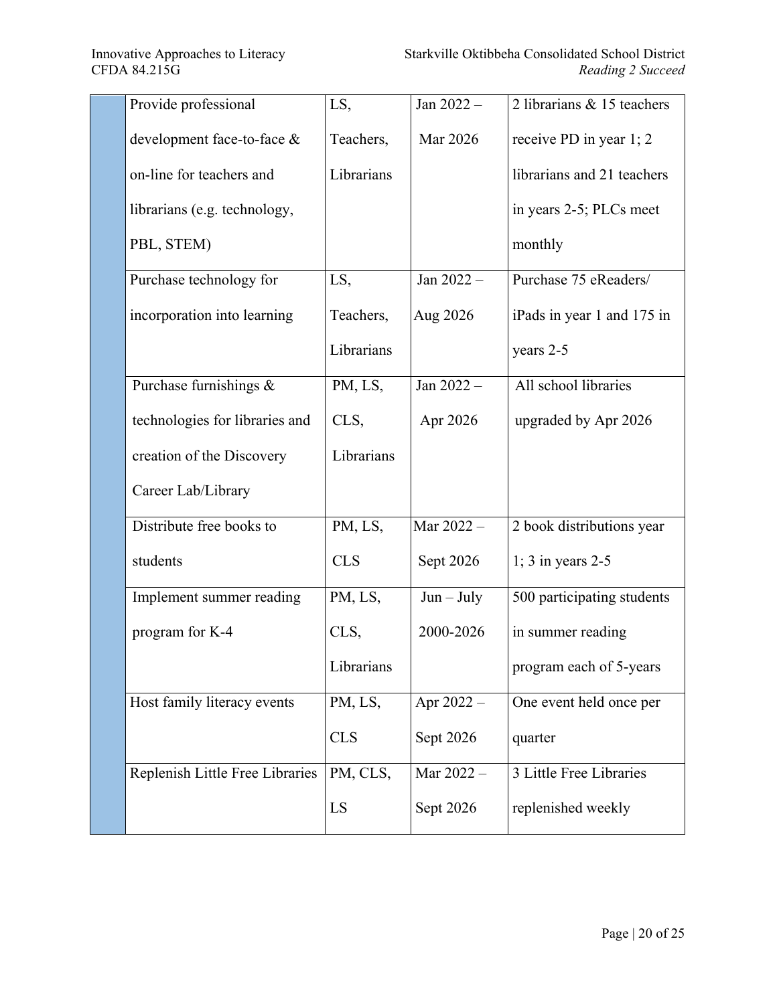| Provide professional            | LS,        | Jan 2022 -   | $\overline{2}$ librarians & 15 teachers |
|---------------------------------|------------|--------------|-----------------------------------------|
| development face-to-face &      | Teachers,  | Mar 2026     | receive PD in year 1; 2                 |
| on-line for teachers and        | Librarians |              | librarians and 21 teachers              |
| librarians (e.g. technology,    |            |              | in years 2-5; PLCs meet                 |
| PBL, STEM)                      |            |              | monthly                                 |
| Purchase technology for         | LS,        | Jan 2022 -   | Purchase 75 eReaders/                   |
| incorporation into learning     | Teachers,  | Aug 2026     | iPads in year 1 and 175 in              |
|                                 | Librarians |              | years 2-5                               |
| Purchase furnishings &          | PM, LS,    | Jan 2022 -   | All school libraries                    |
| technologies for libraries and  | CLS,       | Apr 2026     | upgraded by Apr 2026                    |
| creation of the Discovery       | Librarians |              |                                         |
| Career Lab/Library              |            |              |                                         |
| Distribute free books to        | PM, LS,    | Mar 2022 -   | 2 book distributions year               |
| students                        | <b>CLS</b> | Sept 2026    | $1; 3$ in years 2-5                     |
| Implement summer reading        | PM, LS,    | $Jun - July$ | 500 participating students              |
| program for K-4                 | CLS,       | 2000-2026    | in summer reading                       |
|                                 | Librarians |              | program each of 5-years                 |
| Host family literacy events     | PM, LS,    | Apr 2022 -   | One event held once per                 |
|                                 | <b>CLS</b> | Sept 2026    | quarter                                 |
| Replenish Little Free Libraries | PM, CLS,   | Mar 2022 -   | 3 Little Free Libraries                 |
|                                 | LS         | Sept 2026    | replenished weekly                      |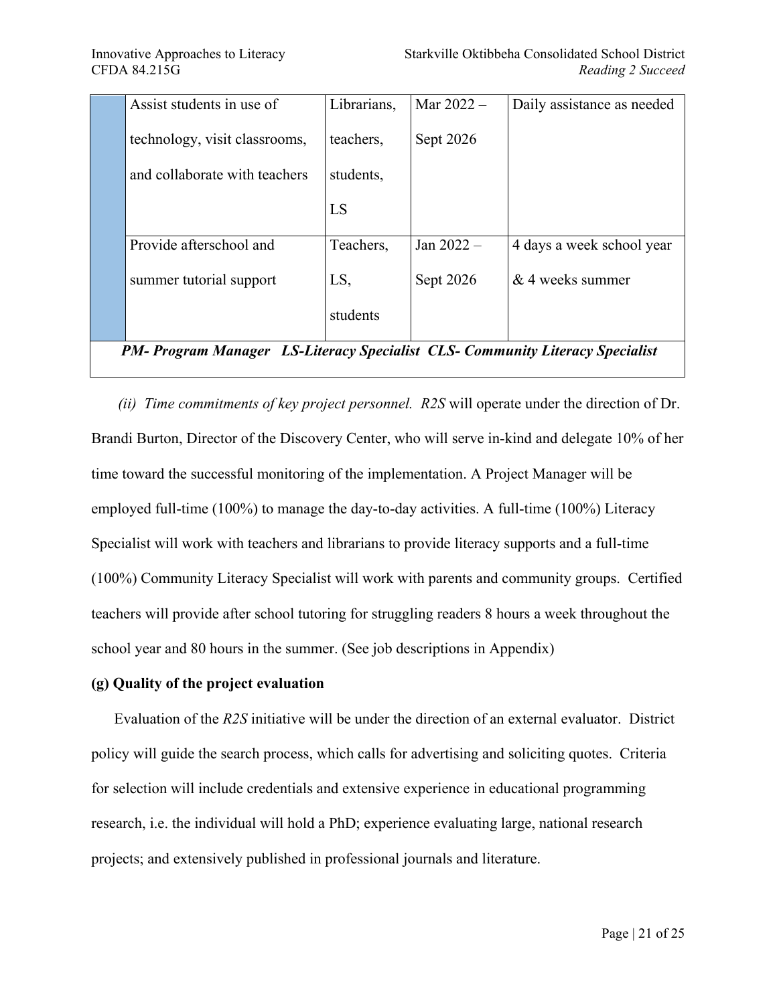| Assist students in use of     | Librarians, | Mar 2022 - | Daily assistance as needed |
|-------------------------------|-------------|------------|----------------------------|
| technology, visit classrooms, | teachers,   | Sept 2026  |                            |
| and collaborate with teachers | students,   |            |                            |
|                               | LS          |            |                            |
| Provide afterschool and       | Teachers,   | Jan 2022 - | 4 days a week school year  |
| summer tutorial support       | LS,         | Sept 2026  | & 4 weeks summer           |
|                               | students    |            |                            |

*PM- Program Manager LS-Literacy Specialist CLS- Community Literacy Specialist* 

 *(ii) Time commitments of key project personnel. R2S* will operate under the direction of Dr. Brandi Burton, Director of the Discovery Center, who will serve in-kind and delegate 10% of her (100%) Community Literacy Specialist will work with parents and community groups. Certified school year and 80 hours in the summer. (See job descriptions in Appendix) time toward the successful monitoring of the implementation. A Project Manager will be employed full-time (100%) to manage the day-to-day activities. A full-time (100%) Literacy Specialist will work with teachers and librarians to provide literacy supports and a full-time teachers will provide after school tutoring for struggling readers 8 hours a week throughout the

#### **(g) Quality of the project evaluation**

 Evaluation of the *R2S* initiative will be under the direction of an external evaluator. District research, i.e. the individual will hold a PhD; experience evaluating large, national research policy will guide the search process, which calls for advertising and soliciting quotes. Criteria for selection will include credentials and extensive experience in educational programming projects; and extensively published in professional journals and literature.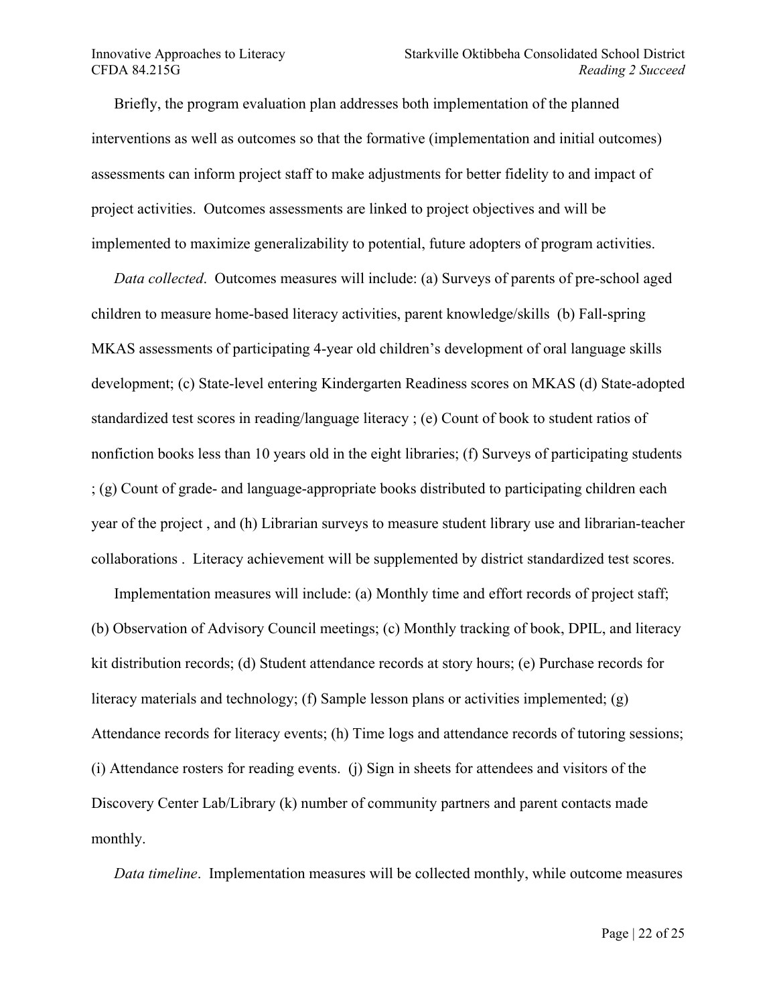implemented to maximize generalizability to potential, future adopters of program activities. Briefly, the program evaluation plan addresses both implementation of the planned interventions as well as outcomes so that the formative (implementation and initial outcomes) assessments can inform project staff to make adjustments for better fidelity to and impact of project activities. Outcomes assessments are linked to project objectives and will be

 development; (c) State-level entering Kindergarten Readiness scores on MKAS (d) State-adopted standardized test scores in reading/language literacy ; (e) Count of book to student ratios of ; (g) Count of grade- and language-appropriate books distributed to participating children each year of the project , and (h) Librarian surveys to measure student library use and librarian-teacher collaborations. Literacy achievement will be supplemented by district standardized test scores. *Data collected*. Outcomes measures will include: (a) Surveys of parents of pre-school aged children to measure home-based literacy activities, parent knowledge/skills (b) Fall-spring MKAS assessments of participating 4-year old children's development of oral language skills nonfiction books less than 10 years old in the eight libraries; (f) Surveys of participating students

 (i) Attendance rosters for reading events. (j) Sign in sheets for attendees and visitors of the Discovery Center Lab/Library (k) number of community partners and parent contacts made Implementation measures will include: (a) Monthly time and effort records of project staff; (b) Observation of Advisory Council meetings; (c) Monthly tracking of book, DPIL, and literacy kit distribution records; (d) Student attendance records at story hours; (e) Purchase records for literacy materials and technology; (f) Sample lesson plans or activities implemented; (g) Attendance records for literacy events; (h) Time logs and attendance records of tutoring sessions; monthly.

*Data timeline*. Implementation measures will be collected monthly, while outcome measures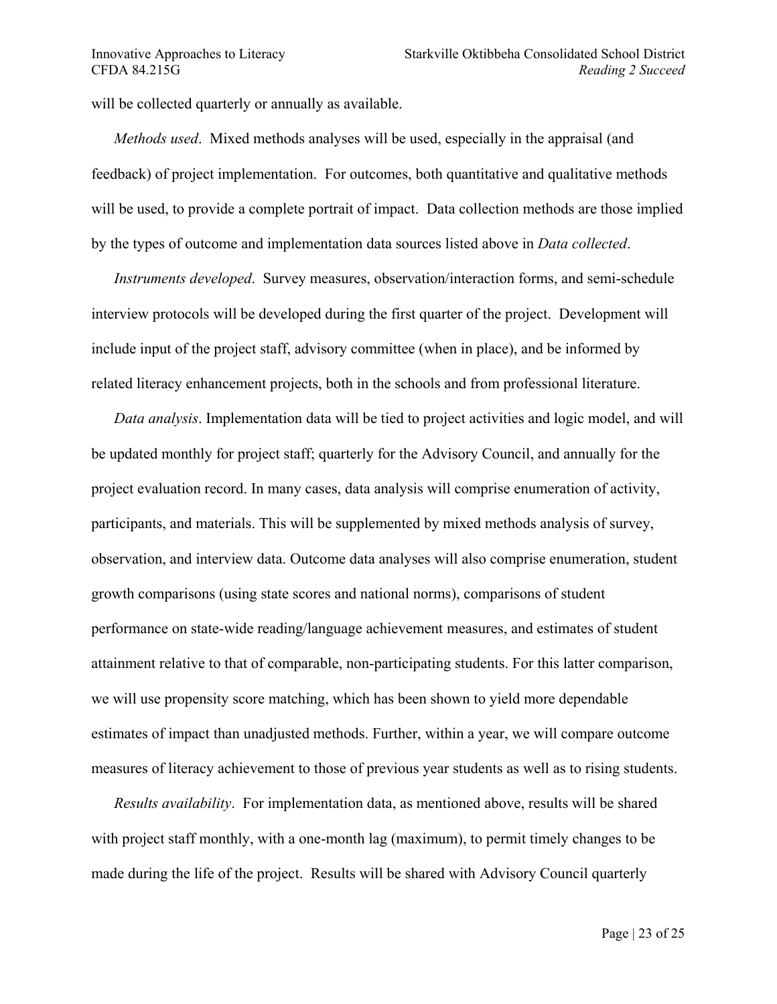will be collected quarterly or annually as available.

 feedback) of project implementation. For outcomes, both quantitative and qualitative methods will be used, to provide a complete portrait of impact. Data collection methods are those implied by the types of outcome and implementation data sources listed above in *Data collected*. *Methods used*. Mixed methods analyses will be used, especially in the appraisal (and

 interview protocols will be developed during the first quarter of the project. Development will *Instruments developed*. Survey measures, observation/interaction forms, and semi-schedule include input of the project staff, advisory committee (when in place), and be informed by related literacy enhancement projects, both in the schools and from professional literature.

 *Data analysis*. Implementation data will be tied to project activities and logic model, and will be updated monthly for project staff; quarterly for the Advisory Council, and annually for the performance on state-wide reading/language achievement measures, and estimates of student measures of literacy achievement to those of previous year students as well as to rising students. project evaluation record. In many cases, data analysis will comprise enumeration of activity, participants, and materials. This will be supplemented by mixed methods analysis of survey, observation, and interview data. Outcome data analyses will also comprise enumeration, student growth comparisons (using state scores and national norms), comparisons of student attainment relative to that of comparable, non-participating students. For this latter comparison, we will use propensity score matching, which has been shown to yield more dependable estimates of impact than unadjusted methods. Further, within a year, we will compare outcome

 with project staff monthly, with a one-month lag (maximum), to permit timely changes to be *Results availability*. For implementation data, as mentioned above, results will be shared made during the life of the project. Results will be shared with Advisory Council quarterly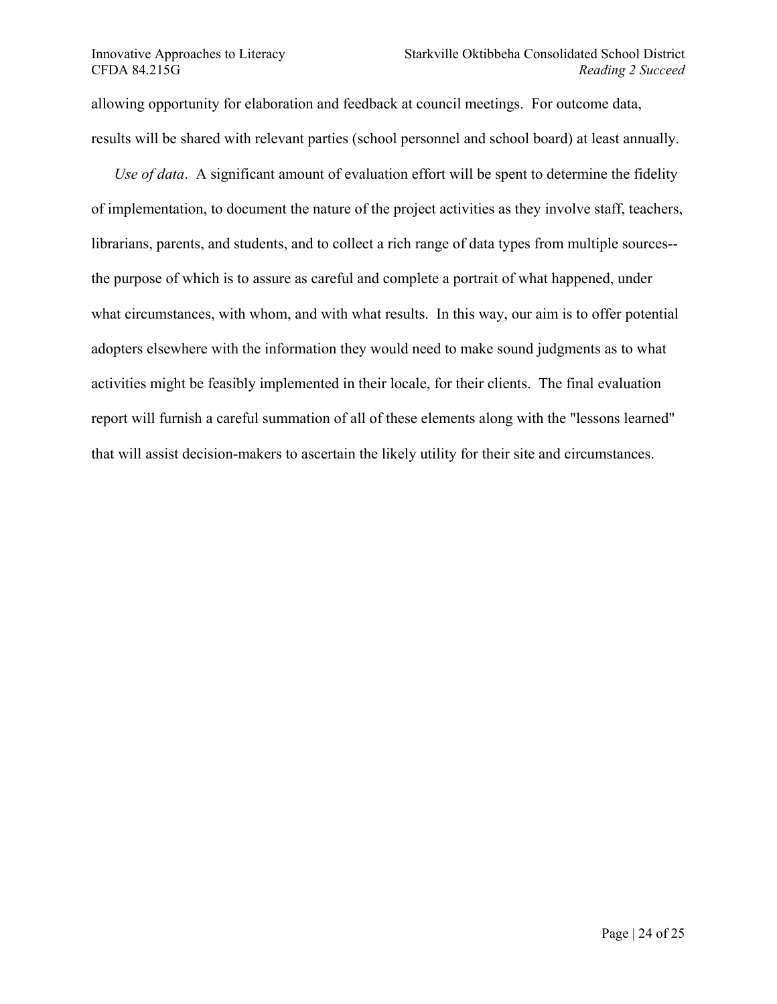allowing opportunity for elaboration and feedback at council meetings. For outcome data, results will be shared with relevant parties (school personnel and school board) at least annually.

 *Use of data*. A significant amount of evaluation effort will be spent to determine the fidelity activities might be feasibly implemented in their locale, for their clients. The final evaluation of implementation, to document the nature of the project activities as they involve staff, teachers, librarians, parents, and students, and to collect a rich range of data types from multiple sources- the purpose of which is to assure as careful and complete a portrait of what happened, under what circumstances, with whom, and with what results. In this way, our aim is to offer potential adopters elsewhere with the information they would need to make sound judgments as to what report will furnish a careful summation of all of these elements along with the "lessons learned" that will assist decision-makers to ascertain the likely utility for their site and circumstances.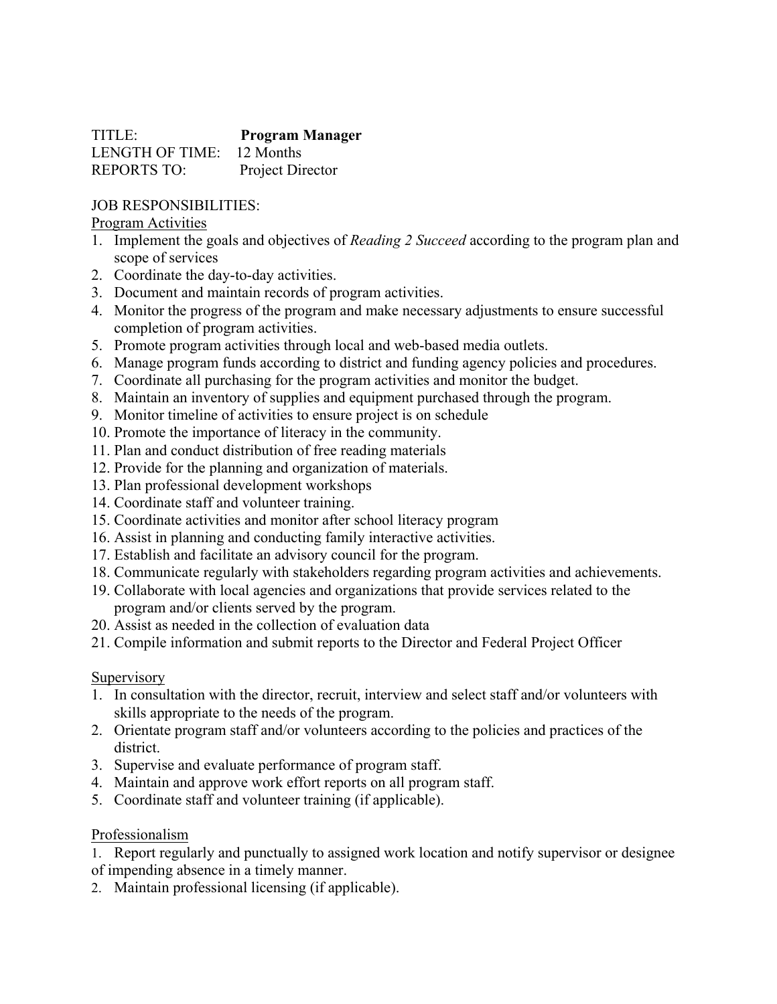| TITLE:                 | <b>Program Manager</b> |
|------------------------|------------------------|
| <b>LENGTH OF TIME:</b> | 12 Months              |
| <b>REPORTS TO:</b>     | Project Director       |

#### JOB RESPONSIBILITIES:

Program Activities

- 1. Implement the goals and objectives of *Reading 2 Succeed* according to the program plan and scope of services
- 2. Coordinate the day-to-day activities.
- 3. Document and maintain records of program activities.
- 4. Monitor the progress of the program and make necessary adjustments to ensure successful completion of program activities.
- 5. Promote program activities through local and web-based media outlets.
- 6. Manage program funds according to district and funding agency policies and procedures.
- 7. Coordinate all purchasing for the program activities and monitor the budget.
- 8. Maintain an inventory of supplies and equipment purchased through the program.
- 9. Monitor timeline of activities to ensure project is on schedule
- 10. Promote the importance of literacy in the community.
- 11. Plan and conduct distribution of free reading materials
- 12. Provide for the planning and organization of materials.
- 13. Plan professional development workshops
- 14. Coordinate staff and volunteer training.
- 15. Coordinate activities and monitor after school literacy program
- 16. Assist in planning and conducting family interactive activities.
- 17. Establish and facilitate an advisory council for the program.
- 18. Communicate regularly with stakeholders regarding program activities and achievements.
- program and/or clients served by the program. 19. Collaborate with local agencies and organizations that provide services related to the
- 20. Assist as needed in the collection of evaluation data
- 21. Compile information and submit reports to the Director and Federal Project Officer

#### Supervisory

- 1. In consultation with the director, recruit, interview and select staff and/or volunteers with skills appropriate to the needs of the program.
- 2. Orientate program staff and/or volunteers according to the policies and practices of the district.
- 3. Supervise and evaluate performance of program staff.
- 4. Maintain and approve work effort reports on all program staff.
- 5. Coordinate staff and volunteer training (if applicable).

#### Professionalism

1. Report regularly and punctually to assigned work location and notify supervisor or designee of impending absence in a timely manner.

2. Maintain professional licensing (if applicable).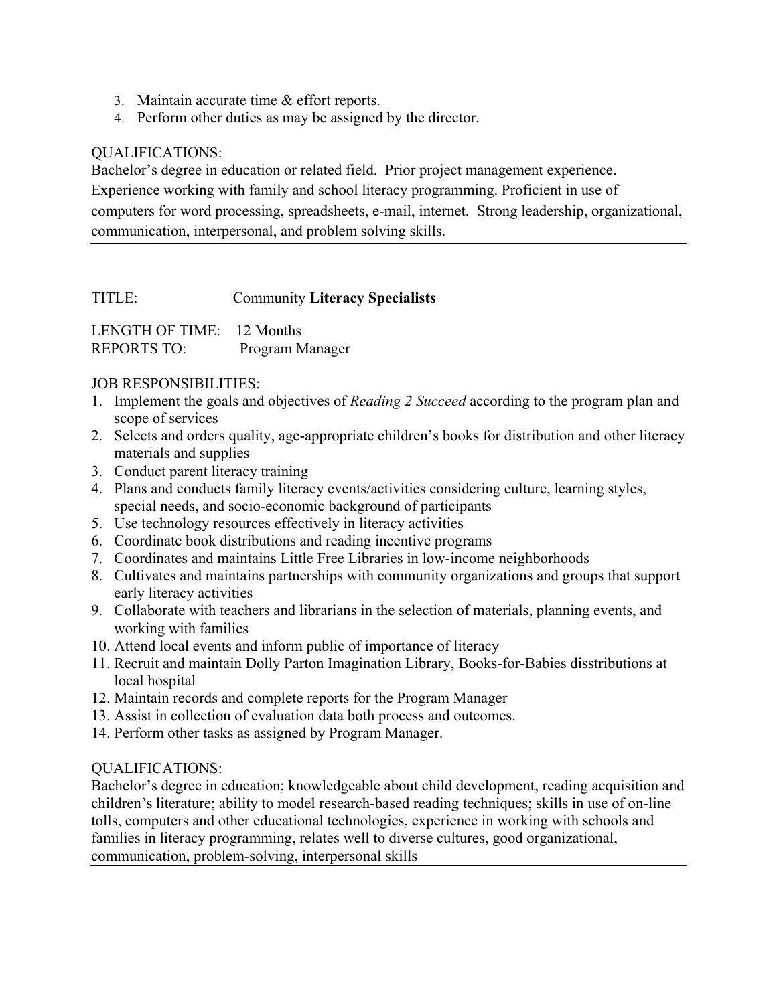- 3. Maintain accurate time & effort reports.
- 4. Perform other duties as may be assigned by the director.

#### QUALIFICATIONS:

Bachelor's degree in education or related field. Prior project management experience. Experience working with family and school literacy programming. Proficient in use of computers for word processing, spreadsheets, e-mail, internet. Strong leadership, organizational, communication, interpersonal, and problem solving skills.

#### TITLE: **Community Literacy Specialists**

**REPORTS TO:** LENGTH OF TIME: 12 Months Program Manager

#### JOB RESPONSIBILITIES:

- 1. Implement the goals and objectives of *Reading 2 Succeed* according to the program plan and scope of services
- 2. Selects and orders quality, age-appropriate children's books for distribution and other literacy materials and supplies
- 3. Conduct parent literacy training
- 4. Plans and conducts family literacy events/activities considering culture, learning styles, special needs, and socio-economic background of participants
- 5. Use technology resources effectively in literacy activities
- 6. Coordinate book distributions and reading incentive programs
- 7. Coordinates and maintains Little Free Libraries in low-income neighborhoods
- 8. Cultivates and maintains partnerships with community organizations and groups that support early literacy activities
- 9. Collaborate with teachers and librarians in the selection of materials, planning events, and working with families
- 10. Attend local events and inform public of importance of literacy
- 11. Recruit and maintain Dolly Parton Imagination Library, Books-for-Babies disstributions at local hospital
- 12. Maintain records and complete reports for the Program Manager
- 13. Assist in collection of evaluation data both process and outcomes.
- 14. Perform other tasks as assigned by Program Manager.

#### QUALIFICATIONS:

 children's literature; ability to model research-based reading techniques; skills in use of on-line Bachelor's degree in education; knowledgeable about child development, reading acquisition and tolls, computers and other educational technologies, experience in working with schools and families in literacy programming, relates well to diverse cultures, good organizational, communication, problem-solving, interpersonal skills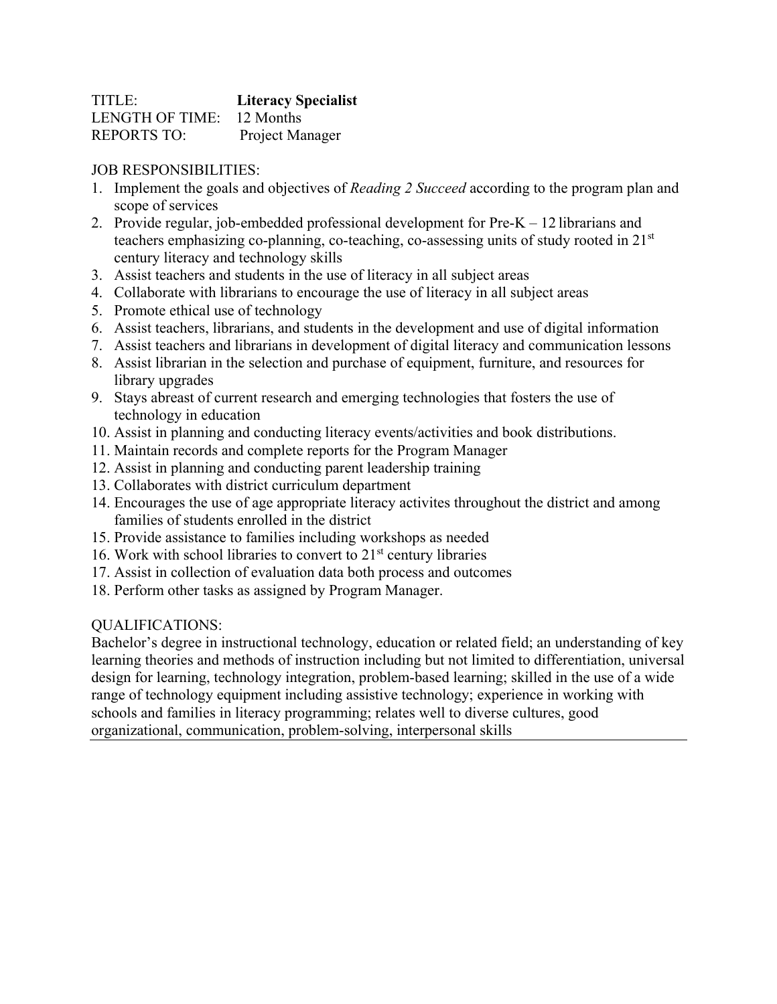| TITLE:             | <b>Literacy Specialist</b> |
|--------------------|----------------------------|
| LENGTH OF TIME:    | 12 Months                  |
| <b>REPORTS TO:</b> | Project Manager            |

## JOB RESPONSIBILITIES:

- 1. Implement the goals and objectives of *Reading 2 Succeed* according to the program plan and scope of services
- 2. Provide regular, job-embedded professional development for  $Pre-K 12$  librarians and teachers emphasizing co-planning, co-teaching, co-assessing units of study rooted in 21st century literacy and technology skills
- 3. Assist teachers and students in the use of literacy in all subject areas
- 4. Collaborate with librarians to encourage the use of literacy in all subject areas
- 5. Promote ethical use of technology
- 6. Assist teachers, librarians, and students in the development and use of digital information
- 7. Assist teachers and librarians in development of digital literacy and communication lessons
- 8. Assist librarian in the selection and purchase of equipment, furniture, and resources for library upgrades
- 9. Stays abreast of current research and emerging technologies that fosters the use of technology in education
- 10. Assist in planning and conducting literacy events/activities and book distributions.
- 11. Maintain records and complete reports for the Program Manager
- 12. Assist in planning and conducting parent leadership training
- 13. Collaborates with district curriculum department
- 14. Encourages the use of age appropriate literacy activites throughout the district and among families of students enrolled in the district
- 15. Provide assistance to families including workshops as needed
- 16. Work with school libraries to convert to  $21<sup>st</sup>$  century libraries
- 17. Assist in collection of evaluation data both process and outcomes
- 18. Perform other tasks as assigned by Program Manager.

## QUALIFICATIONS:

 organizational, communication, problem-solving, interpersonal skills Bachelor's degree in instructional technology, education or related field; an understanding of key learning theories and methods of instruction including but not limited to differentiation, universal design for learning, technology integration, problem-based learning; skilled in the use of a wide range of technology equipment including assistive technology; experience in working with schools and families in literacy programming; relates well to diverse cultures, good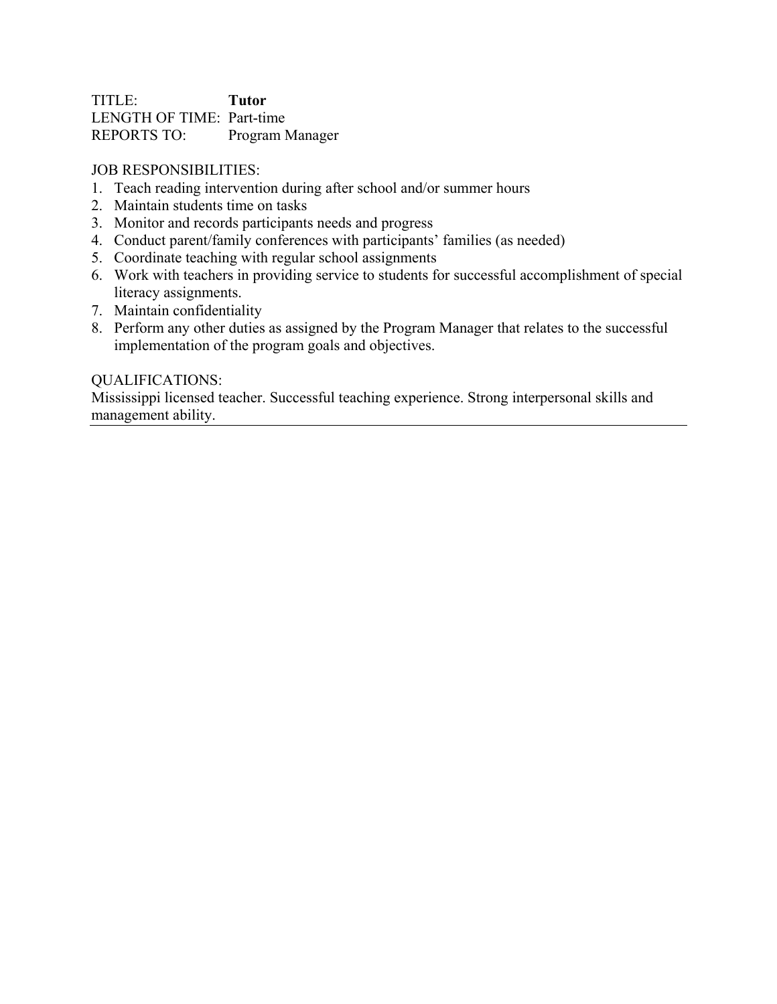LENGTH OF TIME: Part-time REPORTS TO: Program Manager TITLE: **Tutor** 

#### JOB RESPONSIBILITIES:

- 1. Teach reading intervention during after school and/or summer hours
- 2. Maintain students time on tasks
- 3. Monitor and records participants needs and progress
- 4. Conduct parent/family conferences with participants' families (as needed)
- 5. Coordinate teaching with regular school assignments
- 6. Work with teachers in providing service to students for successful accomplishment of special literacy assignments.
- 7. Maintain confidentiality
- 8. Perform any other duties as assigned by the Program Manager that relates to the successful implementation of the program goals and objectives.

#### QUALIFICATIONS:

 Mississippi licensed teacher. Successful teaching experience. Strong interpersonal skills and management ability.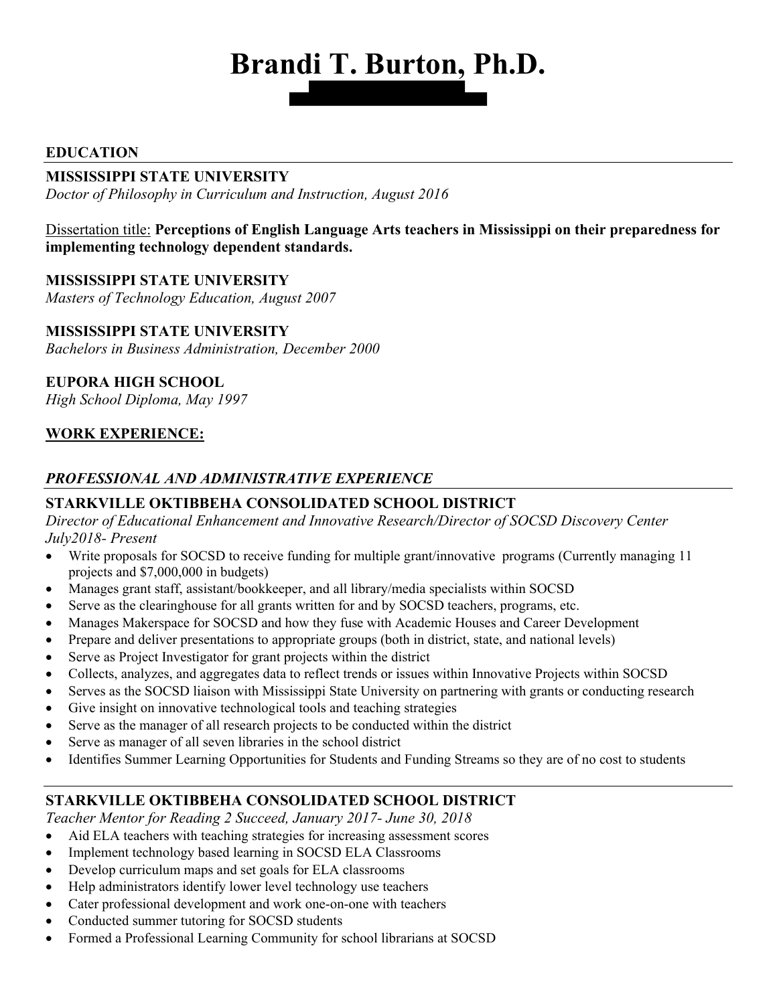# **Brandi T. Burton, Ph.D.**

#### **EDUCATION**

#### **MISSISSIPPI STATE UNIVERSITY**

*Doctor of Philosophy in Curriculum and Instruction, August 2016* 

Dissertation title: **Perceptions of English Language Arts teachers in Mississippi on their preparedness for implementing technology dependent standards.** 

#### **MISSISSIPPI STATE UNIVERSITY**

*Masters of Technology Education, August 2007* 

#### **MISSISSIPPI STATE UNIVERSITY**

*Bachelors in Business Administration, December 2000* 

#### **EUPORA HIGH SCHOOL**

*High School Diploma, May 1997* 

## **WORK EXPERIENCE:**

## *PROFESSIONAL AND ADMINISTRATIVE EXPERIENCE*

## **STARKVILLE OKTIBBEHA CONSOLIDATED SCHOOL DISTRICT**

 *July2018- Present Director of Educational Enhancement and Innovative Research/Director of SOCSD Discovery Center* 

- • Write proposals for SOCSD to receive funding for multiple grant/innovative programs (Currently managing 11 projects and \$7,000,000 in budgets)
- Manages grant staff, assistant/bookkeeper, and all library/media specialists within SOCSD
- Serve as the clearinghouse for all grants written for and by SOCSD teachers, programs, etc.
- Manages Makerspace for SOCSD and how they fuse with Academic Houses and Career Development
- Prepare and deliver presentations to appropriate groups (both in district, state, and national levels)
- Serve as Project Investigator for grant projects within the district
- • Collects, analyzes, and aggregates data to reflect trends or issues within Innovative Projects within SOCSD
- Serves as the SOCSD liaison with Mississippi State University on partnering with grants or conducting research
- Give insight on innovative technological tools and teaching strategies
- Serve as the manager of all research projects to be conducted within the district
- • Serve as manager of all seven libraries in the school district
- Identifies Summer Learning Opportunities for Students and Funding Streams so they are of no cost to students

## **STARKVILLE OKTIBBEHA CONSOLIDATED SCHOOL DISTRICT**

*Teacher Mentor for Reading 2 Succeed, January 2017- June 30, 2018* 

- Aid ELA teachers with teaching strategies for increasing assessment scores
- Implement technology based learning in SOCSD ELA Classrooms
- Develop curriculum maps and set goals for ELA classrooms
- Help administrators identify lower level technology use teachers
- • Cater professional development and work one-on-one with teachers
- Conducted summer tutoring for SOCSD students
- Formed a Professional Learning Community for school librarians at SOCSD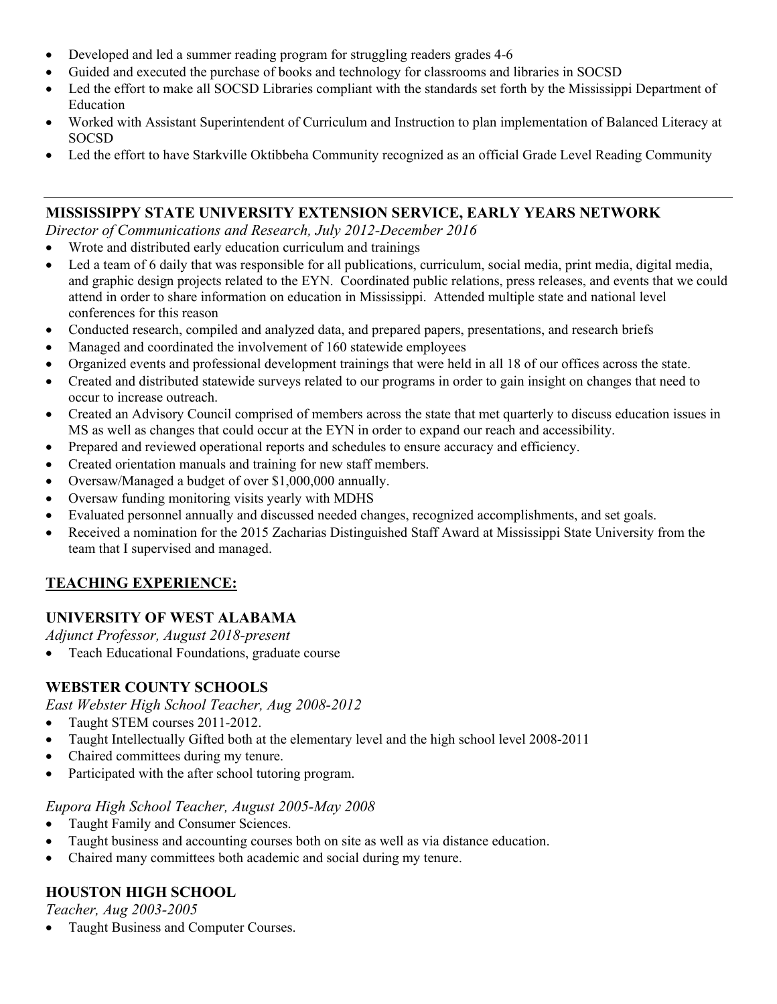- Developed and led a summer reading program for struggling readers grades 4-6
- Guided and executed the purchase of books and technology for classrooms and libraries in SOCSD
- Led the effort to make all SOCSD Libraries compliant with the standards set forth by the Mississippi Department of Education
- Worked with Assistant Superintendent of Curriculum and Instruction to plan implementation of Balanced Literacy at SOCSD
- • Led the effort to have Starkville Oktibbeha Community recognized as an official Grade Level Reading Community

## **MISSISSIPPY STATE UNIVERSITY EXTENSION SERVICE, EARLY YEARS NETWORK**

*Director of Communications and Research, July 2012-December 2016* 

- Wrote and distributed early education curriculum and trainings
- Led a team of 6 daily that was responsible for all publications, curriculum, social media, print media, digital media, and graphic design projects related to the EYN. Coordinated public relations, press releases, and events that we could attend in order to share information on education in Mississippi. Attended multiple state and national level conferences for this reason
- Conducted research, compiled and analyzed data, and prepared papers, presentations, and research briefs
- Managed and coordinated the involvement of 160 statewide employees
- • Organized events and professional development trainings that were held in all 18 of our offices across the state.
- occur to increase outreach. • Created and distributed statewide surveys related to our programs in order to gain insight on changes that need to
- MS as well as changes that could occur at the EYN in order to expand our reach and accessibility. Created an Advisory Council comprised of members across the state that met quarterly to discuss education issues in
- • Prepared and reviewed operational reports and schedules to ensure accuracy and efficiency.
- Created orientation manuals and training for new staff members.
- Oversaw/Managed a budget of over \$1,000,000 annually.
- Oversaw funding monitoring visits yearly with MDHS
- • Evaluated personnel annually and discussed needed changes, recognized accomplishments, and set goals.
- team that I supervised and managed. • Received a nomination for the 2015 Zacharias Distinguished Staff Award at Mississippi State University from the

## **TEACHING EXPERIENCE:**

## **UNIVERSITY OF WEST ALABAMA**

*Adjunct Professor, August 2018-present* 

• Teach Educational Foundations, graduate course

#### **WEBSTER COUNTY SCHOOLS**

*East Webster High School Teacher, Aug 2008-2012* 

- Taught STEM courses 2011-2012.
- Taught Intellectually Gifted both at the elementary level and the high school level 2008-2011
- Chaired committees during my tenure.
- Participated with the after school tutoring program.

#### *Eupora High School Teacher, August 2005-May 2008*

- • Taught Family and Consumer Sciences.
- • Taught business and accounting courses both on site as well as via distance education.
- • Chaired many committees both academic and social during my tenure.

## **HOUSTON HIGH SCHOOL**

*Teacher, Aug 2003-2005* 

• Taught Business and Computer Courses.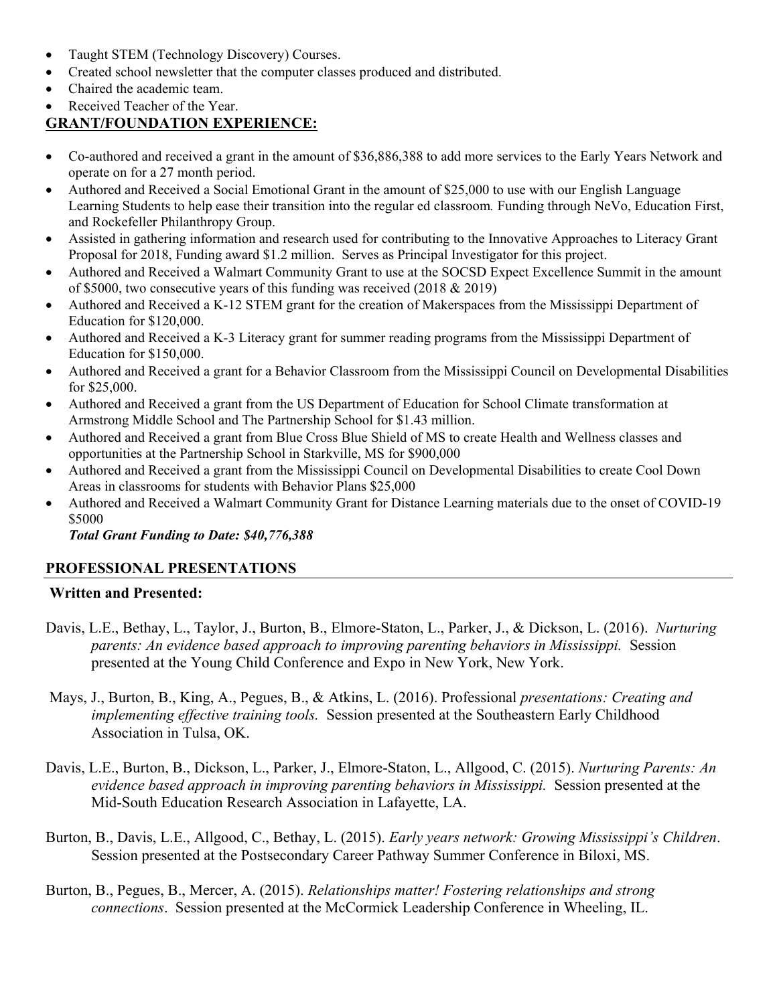- • Taught STEM (Technology Discovery) Courses.
- Created school newsletter that the computer classes produced and distributed.
- Chaired the academic team.
- Received Teacher of the Year.

## **GRANT/FOUNDATION EXPERIENCE:**

- operate on for a 27 month period. Co-authored and received a grant in the amount of \$36,886,388 to add more services to the Early Years Network and
- Authored and Received a Social Emotional Grant in the amount of \$25,000 to use with our English Language Learning Students to help ease their transition into the regular ed classroom*.* Funding through NeVo, Education First, and Rockefeller Philanthropy Group.
- Assisted in gathering information and research used for contributing to the Innovative Approaches to Literacy Grant Proposal for 2018, Funding award \$1.2 million. Serves as Principal Investigator for this project.
- • Authored and Received a Walmart Community Grant to use at the SOCSD Expect Excellence Summit in the amount of \$5000, two consecutive years of this funding was received (2018 & 2019)
- Authored and Received a K-12 STEM grant for the creation of Makerspaces from the Mississippi Department of Education for \$120,000.
- Authored and Received a K-3 Literacy grant for summer reading programs from the Mississippi Department of Education for \$150,000.
- for \$25,000. Authored and Received a grant for a Behavior Classroom from the Mississippi Council on Developmental Disabilities
- Armstrong Middle School and The Partnership School for \$1.43 million. • Authored and Received a grant from the US Department of Education for School Climate transformation at
- Authored and Received a grant from Blue Cross Blue Shield of MS to create Health and Wellness classes and opportunities at the Partnership School in Starkville, MS for \$900,000
- Authored and Received a grant from the Mississippi Council on Developmental Disabilities to create Cool Down Areas in classrooms for students with Behavior Plans \$25,000
- Authored and Received a Walmart Community Grant for Distance Learning materials due to the onset of COVID-19 \$5000

*Total Grant Funding to Date: \$40,776,388* 

#### **PROFESSIONAL PRESENTATIONS**

#### **Written and Presented:**

- Davis, L.E., Bethay, L., Taylor, J., Burton, B., Elmore-Staton, L., Parker, J., & Dickson, L. (2016). *Nurturing parents: An evidence based approach to improving parenting behaviors in Mississippi.* Session presented at the Young Child Conference and Expo in New York, New York.
- *implementing effective training tools.* Session presented at the Southeastern Early Childhood Mays, J., Burton, B., King, A., Pegues, B., & Atkins, L. (2016). Professional *presentations: Creating and*  Association in Tulsa, OK.
- Davis, L.E., Burton, B., Dickson, L., Parker, J., Elmore-Staton, L., Allgood, C. (2015). *Nurturing Parents: An evidence based approach in improving parenting behaviors in Mississippi.* Session presented at the Mid-South Education Research Association in Lafayette, LA.
- Session presented at the Postsecondary Career Pathway Summer Conference in Biloxi, MS. Burton, B., Davis, L.E., Allgood, C., Bethay, L. (2015). *Early years network: Growing Mississippi's Children*.
- Burton, B., Pegues, B., Mercer, A. (2015). *Relationships matter! Fostering relationships and strong connections*. Session presented at the McCormick Leadership Conference in Wheeling, IL.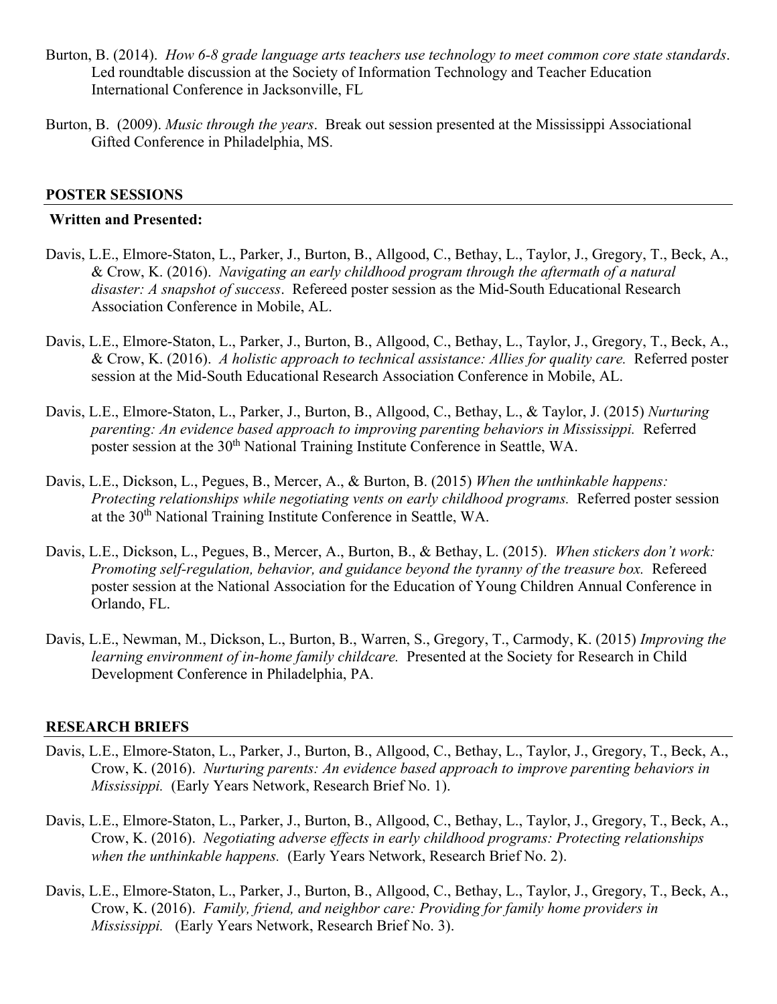- Burton, B. (2014). *How 6-8 grade language arts teachers use technology to meet common core state standards*. Led roundtable discussion at the Society of Information Technology and Teacher Education International Conference in Jacksonville, FL
- Burton, B. (2009). *Music through the years*. Break out session presented at the Mississippi Associational Gifted Conference in Philadelphia, MS.

#### **POSTER SESSIONS**

#### **Written and Presented:**

- Davis, L.E., Elmore-Staton, L., Parker, J., Burton, B., Allgood, C., Bethay, L., Taylor, J., Gregory, T., Beck, A., & Crow, K. (2016). *Navigating an early childhood program through the aftermath of a natural disaster: A snapshot of success*. Refereed poster session as the Mid-South Educational Research Association Conference in Mobile, AL.
- & Crow, K. (2016). *A holistic approach to technical assistance: Allies for quality care.* Referred poster Davis, L.E., Elmore-Staton, L., Parker, J., Burton, B., Allgood, C., Bethay, L., Taylor, J., Gregory, T., Beck, A., session at the Mid-South Educational Research Association Conference in Mobile, AL.
- parenting: An evidence based approach to improving parenting behaviors in Mississippi. Referred poster session at the 30<sup>th</sup> National Training Institute Conference in Seattle, WA. Davis, L.E., Elmore-Staton, L., Parker, J., Burton, B., Allgood, C., Bethay, L., & Taylor, J. (2015) *Nurturing*
- *Protecting relationships while negotiating vents on early childhood programs.* Referred poster session Davis, L.E., Dickson, L., Pegues, B., Mercer, A., & Burton, B. (2015) *When the unthinkable happens:*  at the 30<sup>th</sup> National Training Institute Conference in Seattle, WA.
- *Promoting self-regulation, behavior, and guidance beyond the tyranny of the treasure box.* Refereed poster session at the National Association for the Education of Young Children Annual Conference in Davis, L.E., Dickson, L., Pegues, B., Mercer, A., Burton, B., & Bethay, L. (2015). *When stickers don't work:*  Orlando, FL.
- *learning environment of in-home family childcare.* Presented at the Society for Research in Child Davis, L.E., Newman, M., Dickson, L., Burton, B., Warren, S., Gregory, T., Carmody, K. (2015) *Improving the*  Development Conference in Philadelphia, PA.

#### **RESEARCH BRIEFS**

- *Mississippi.* (Early Years Network, Research Brief No. 1). Davis, L.E., Elmore-Staton, L., Parker, J., Burton, B., Allgood, C., Bethay, L., Taylor, J., Gregory, T., Beck, A., Crow, K. (2016). *Nurturing parents: An evidence based approach to improve parenting behaviors in*
- Davis, L.E., Elmore-Staton, L., Parker, J., Burton, B., Allgood, C., Bethay, L., Taylor, J., Gregory, T., Beck, A., Crow, K. (2016). *Negotiating adverse effects in early childhood programs: Protecting relationships when the unthinkable happens.* (Early Years Network, Research Brief No. 2).
- *Mississippi.* (Early Years Network, Research Brief No. 3). Davis, L.E., Elmore-Staton, L., Parker, J., Burton, B., Allgood, C., Bethay, L., Taylor, J., Gregory, T., Beck, A., Crow, K. (2016). *Family, friend, and neighbor care: Providing for family home providers in*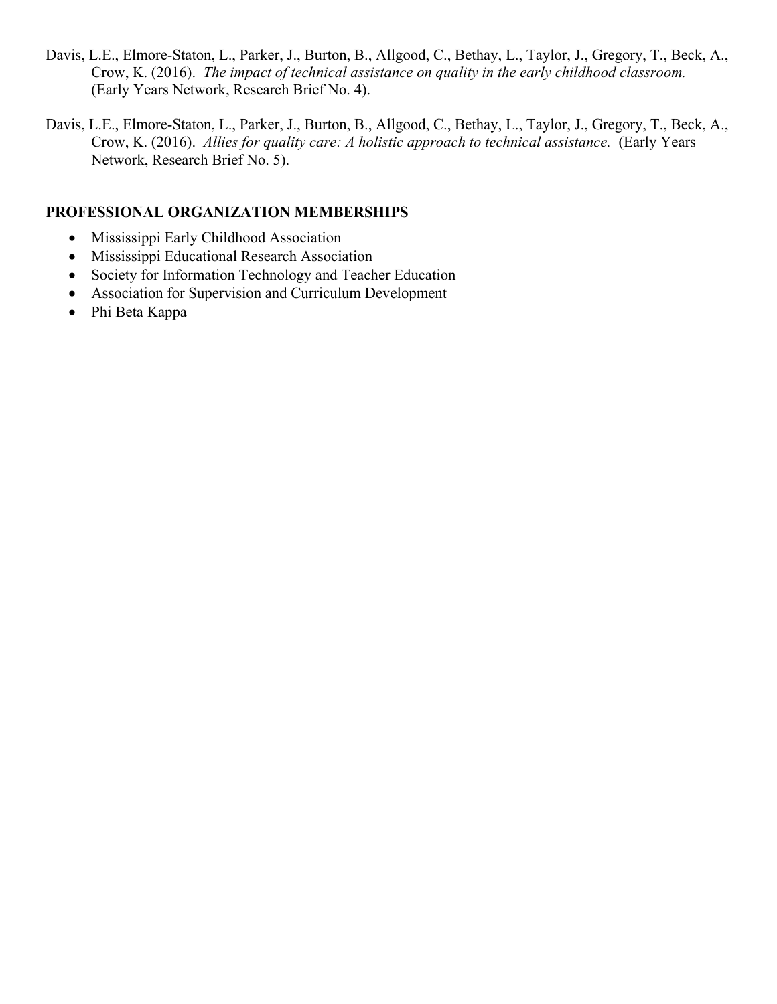- Davis, L.E., Elmore-Staton, L., Parker, J., Burton, B., Allgood, C., Bethay, L., Taylor, J., Gregory, T., Beck, A., Crow, K. (2016). *The impact of technical assistance on quality in the early childhood classroom.*  (Early Years Network, Research Brief No. 4).
- Davis, L.E., Elmore-Staton, L., Parker, J., Burton, B., Allgood, C., Bethay, L., Taylor, J., Gregory, T., Beck, A., Crow, K. (2016). *Allies for quality care: A holistic approach to technical assistance.* (Early Years Network, Research Brief No. 5).

## **PROFESSIONAL ORGANIZATION MEMBERSHIPS**

- Mississippi Early Childhood Association
- Mississippi Educational Research Association
- Society for Information Technology and Teacher Education
- Association for Supervision and Curriculum Development
- Phi Beta Kappa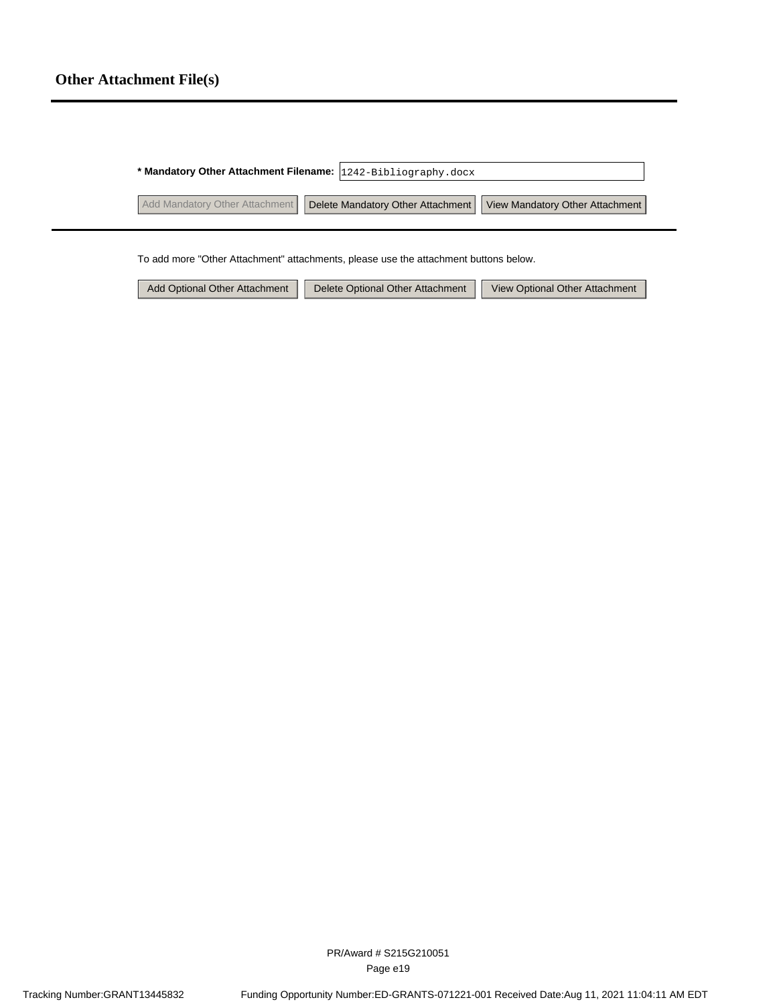|                                | * Mandatory Other Attachment Filename: 1242-Bibliography.docx       |  |
|--------------------------------|---------------------------------------------------------------------|--|
| Add Mandatory Other Attachment | Delete Mandatory Other Attachment   View Mandatory Other Attachment |  |

To add more "Other Attachment" attachments, please use the attachment buttons below.

| Add Optional Other Attachment | Delete Optional Other Attachment | View Optional Other Attachment |
|-------------------------------|----------------------------------|--------------------------------|
|-------------------------------|----------------------------------|--------------------------------|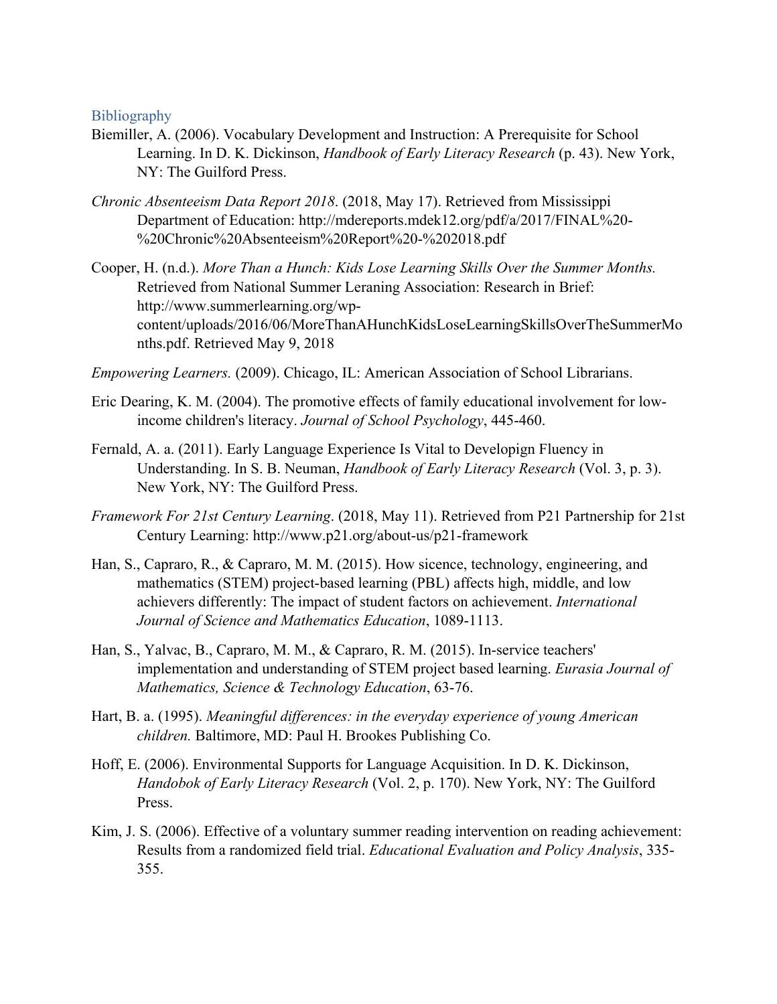#### **Bibliography**

- Biemiller, A. (2006). Vocabulary Development and Instruction: A Prerequisite for School Learning. In D. K. Dickinson, *Handbook of Early Literacy Research* (p. 43). New York, NY: The Guilford Press.
- *Chronic Absenteeism Data Report 2018*. (2018, May 17). Retrieved from Mississippi Department of Education: http://mdereports.mdek12.org/pdf/a/2017/FINAL%20- %20Chronic%20Absenteeism%20Report%20-%202018.pdf
- Retrieved from National Summer Leraning Association: Research in Brief: Cooper, H. (n.d.). *More Than a Hunch: Kids Lose Learning Skills Over the Summer Months.*  http://www.summerlearning.org/wpcontent/uploads/2016/06/MoreThanAHunchKidsLoseLearningSkillsOverTheSummerMo nths.pdf. Retrieved May 9, 2018
- *Empowering Learners.* (2009). Chicago, IL: American Association of School Librarians.
- Eric Dearing, K. M. (2004). The promotive effects of family educational involvement for lowincome children's literacy. *Journal of School Psychology*, 445-460.
- Fernald, A. a. (2011). Early Language Experience Is Vital to Developign Fluency in Understanding. In S. B. Neuman, *Handbook of Early Literacy Research* (Vol. 3, p. 3). New York, NY: The Guilford Press.
- *Framework For 21st Century Learning*. (2018, May 11). Retrieved from P21 Partnership for 21st Century Learning: http://www.p21.org/about-us/p21-framework
- mathematics (STEM) project-based learning (PBL) affects high, middle, and low Han, S., Capraro, R., & Capraro, M. M. (2015). How sicence, technology, engineering, and achievers differently: The impact of student factors on achievement. *International Journal of Science and Mathematics Education*, 1089-1113.
- Han, S., Yalvac, B., Capraro, M. M., & Capraro, R. M. (2015). In-service teachers' implementation and understanding of STEM project based learning. *Eurasia Journal of Mathematics, Science & Technology Education*, 63-76.
- Hart, B. a. (1995). *Meaningful differences: in the everyday experience of young American children.* Baltimore, MD: Paul H. Brookes Publishing Co.
- Hoff, E. (2006). Environmental Supports for Language Acquisition. In D. K. Dickinson, *Handobok of Early Literacy Research* (Vol. 2, p. 170). New York, NY: The Guilford Press.
- Kim, J. S. (2006). Effective of a voluntary summer reading intervention on reading achievement: Results from a randomized field trial. *Educational Evaluation and Policy Analysis*, 335- 355.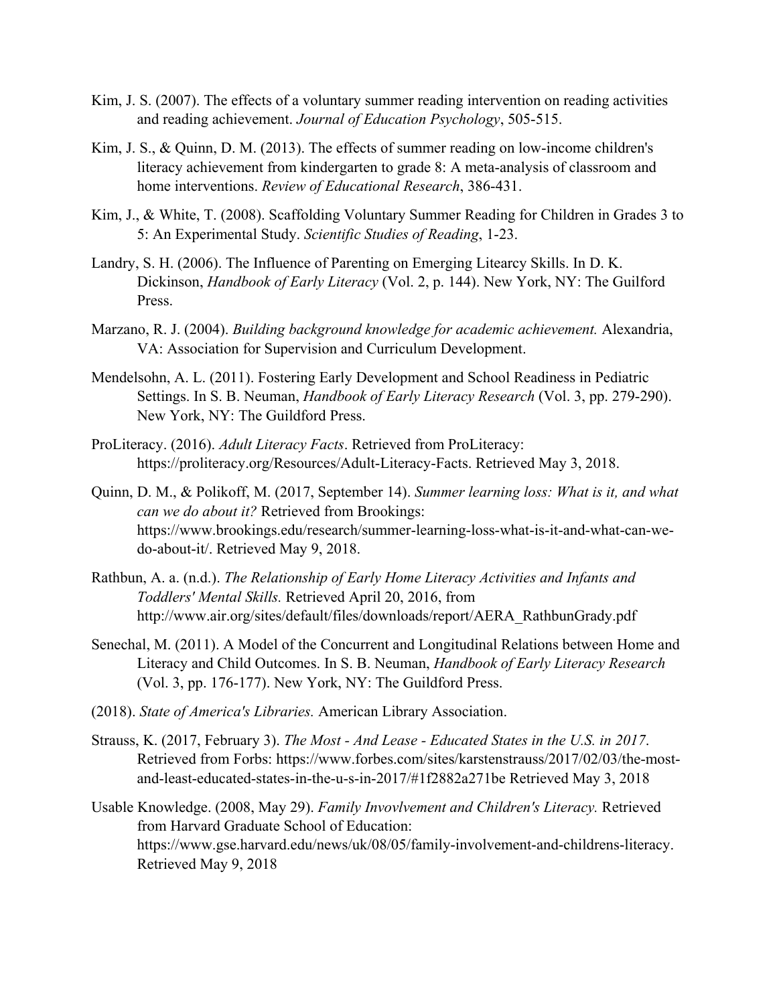- Kim, J. S. (2007). The effects of a voluntary summer reading intervention on reading activities and reading achievement. *Journal of Education Psychology*, 505-515.
- Kim, J. S., & Quinn, D. M. (2013). The effects of summer reading on low-income children's literacy achievement from kindergarten to grade 8: A meta-analysis of classroom and home interventions. *Review of Educational Research*, 386-431.
- Kim, J., & White, T. (2008). Scaffolding Voluntary Summer Reading for Children in Grades 3 to 5: An Experimental Study. *Scientific Studies of Reading*, 1-23.
- Landry, S. H. (2006). The Influence of Parenting on Emerging Litearcy Skills. In D. K. Dickinson, *Handbook of Early Literacy* (Vol. 2, p. 144). New York, NY: The Guilford Press.
- Marzano, R. J. (2004). *Building background knowledge for academic achievement.* Alexandria, VA: Association for Supervision and Curriculum Development.
- Mendelsohn, A. L. (2011). Fostering Early Development and School Readiness in Pediatric Settings. In S. B. Neuman, *Handbook of Early Literacy Research* (Vol. 3, pp. 279-290). New York, NY: The Guildford Press.
- ProLiteracy. (2016). *Adult Literacy Facts*. Retrieved from ProLiteracy: https://proliteracy.org/Resources/Adult-Literacy-Facts. Retrieved May 3, 2018.
- *can we do about it?* Retrieved from Brookings: Quinn, D. M., & Polikoff, M. (2017, September 14). *Summer learning loss: What is it, and what*  https://www.brookings.edu/research/summer-learning-loss-what-is-it-and-what-can-wedo-about-it/. Retrieved May 9, 2018.
- Rathbun, A. a. (n.d.). *The Relationship of Early Home Literacy Activities and Infants and Toddlers' Mental Skills.* Retrieved April 20, 2016, from http://www.air.org/sites/default/files/downloads/report/AERA\_RathbunGrady.pdf
- Senechal, M. (2011). A Model of the Concurrent and Longitudinal Relations between Home and Literacy and Child Outcomes. In S. B. Neuman, *Handbook of Early Literacy Research*  (Vol. 3, pp. 176-177). New York, NY: The Guildford Press.
- (2018). *State of America's Libraries.* American Library Association.
- Strauss, K. (2017, February 3). *The Most - And Lease Educated States in the U.S. in 2017*. Retrieved from Forbs: https://www.forbes.com/sites/karstenstrauss/2017/02/03/the-mostand-least-educated-states-in-the-u-s-in-2017/#1f2882a271be Retrieved May 3, 2018
- Usable Knowledge. (2008, May 29). *Family Invovlvement and Children's Literacy.* Retrieved from Harvard Graduate School of Education: https://www.gse.harvard.edu/news/uk/08/05/family-involvement-and-childrens-literacy. Retrieved May 9, 2018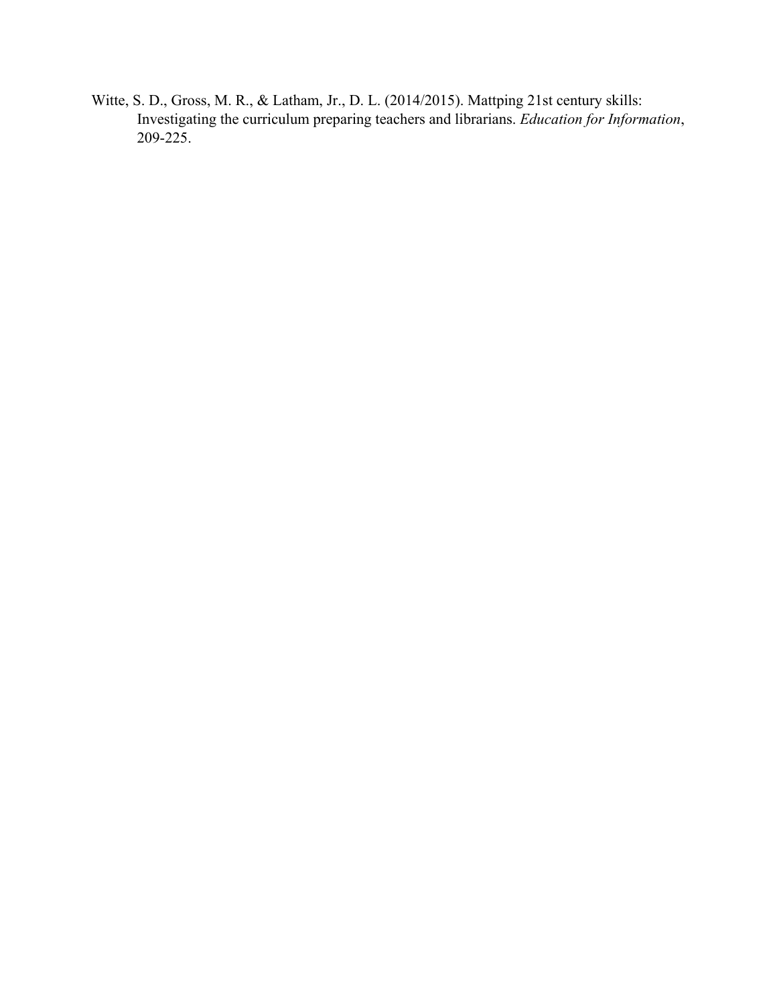Witte, S. D., Gross, M. R., & Latham, Jr., D. L. (2014/2015). Mattping 21st century skills: Investigating the curriculum preparing teachers and librarians. *Education for Information*, 209-225.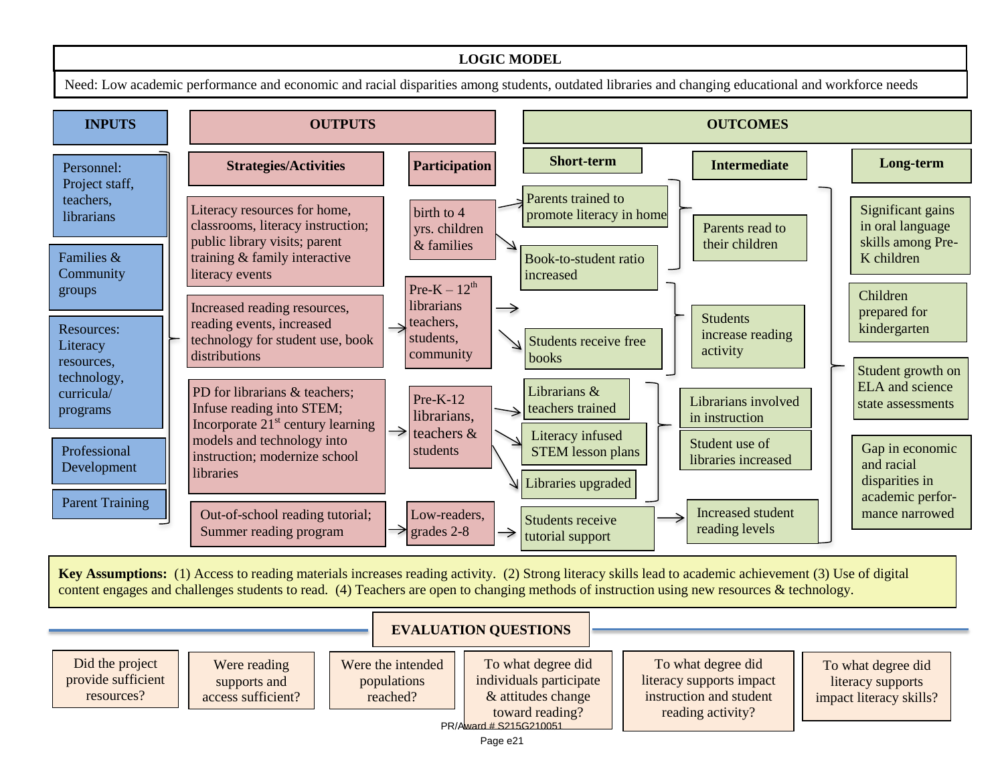#### **LOGIC MODEL**

Need: Low academic performance and economic and racial disparities among students, outdated libraries and changing educational and workforce needs

| <b>INPUTS</b>                           | <b>OUTPUTS</b>                                                                                                                                                                         | <b>OUTCOMES</b>                                                                                                                                                                   |
|-----------------------------------------|----------------------------------------------------------------------------------------------------------------------------------------------------------------------------------------|-----------------------------------------------------------------------------------------------------------------------------------------------------------------------------------|
| Personnel:<br>Project staff,            | Participation<br><b>Strategies/Activities</b>                                                                                                                                          | Short-term<br>Long-term<br><b>Intermediate</b>                                                                                                                                    |
| teachers,<br>librarians                 | Literacy resources for home,<br>birth to 4<br>classrooms, literacy instruction;<br>yrs. children                                                                                       | Parents trained to<br>Significant gains<br>promote literacy in home<br>in oral language<br>Parents read to                                                                        |
| Families &<br>Community                 | public library visits; parent<br>$\&$ families<br>training $&$ family interactive<br>literacy events                                                                                   | skills among Pre-<br>their children<br>Book-to-student ratio<br>K children<br>increased                                                                                           |
| groups<br>Resources:<br>Literacy        | Pre-K $-12^{\text{th}}$<br>librarians<br>Increased reading resources,<br>teachers,<br>reading events, increased<br>students.<br>technology for student use, book                       | Children<br>$\rightarrow$<br>prepared for<br><b>Students</b><br>kindergarten<br>increase reading<br>Students receive free                                                         |
| resources,<br>technology,<br>curricula/ | community<br>distributions<br>PD for librarians & teachers;<br>$Pre-K-12$                                                                                                              | activity<br>books<br>Student growth on<br>ELA and science<br>Librarians &<br>Librarians involved                                                                                  |
| programs<br>Professional                | Infuse reading into STEM;<br>librarians,<br>Incorporate $21st$ century learning<br>$\rightarrow$ teachers &<br>models and technology into<br>students<br>instruction; modernize school | state assessments<br>teachers trained<br>in instruction<br>Literacy infused<br>Student use of<br>Gap in economic<br><b>STEM</b> lesson plans<br>libraries increased<br>and racial |
| Development<br><b>Parent Training</b>   | libraries<br>Out-of-school reading tutorial;<br>Low-readers,                                                                                                                           | disparities in<br>Libraries upgraded<br>academic perfor-<br>Increased student<br>mance narrowed                                                                                   |
|                                         | Summer reading program<br>$\rightarrow$ grades 2-8                                                                                                                                     | Students receive<br>reading levels<br>→<br>tutorial support                                                                                                                       |

**Key Assumptions:** (1) Access to reading materials increases reading activity. (2) Strong literacy skills lead to academic achievement (3) Use of digital content engages and challenges students to read.(4) Teachers are open to changing methods of instruction using new resources & technology.

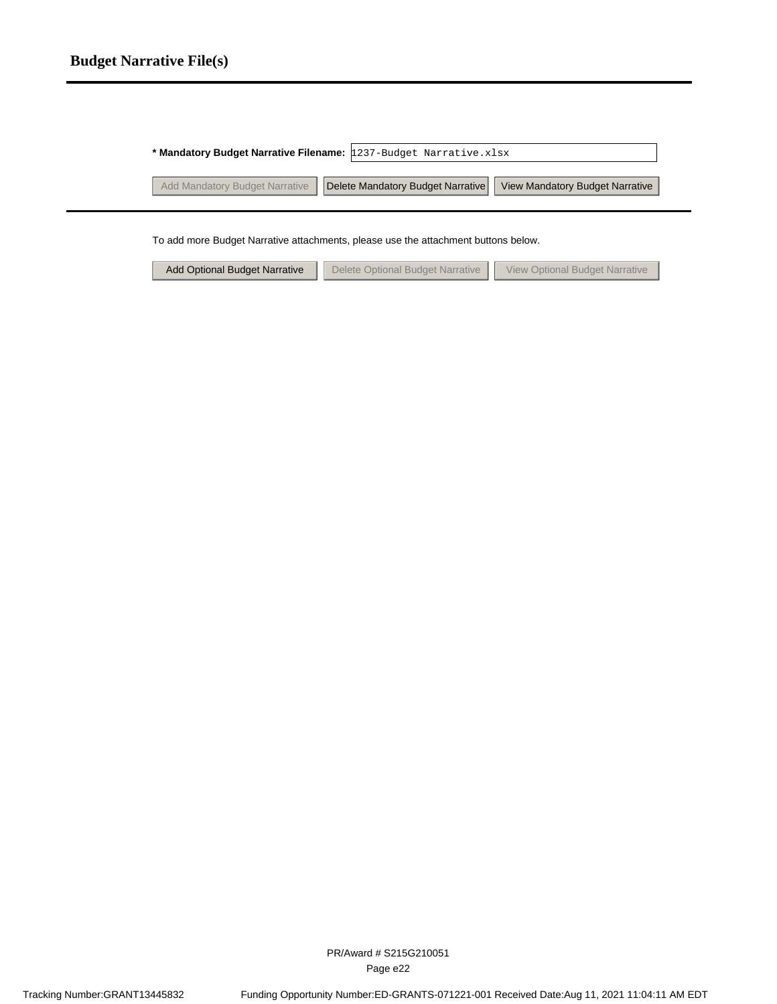## **Budget Narrative File(s)**

|                                | * Mandatory Budget Narrative Filename: 1237-Budget Narrative.xlsx |                                   |                                 |  |  |
|--------------------------------|-------------------------------------------------------------------|-----------------------------------|---------------------------------|--|--|
| Add Mandatory Budget Narrative |                                                                   | Delete Mandatory Budget Narrative | View Mandatory Budget Narrative |  |  |
|                                |                                                                   |                                   |                                 |  |  |

To add more Budget Narrative attachments, please use the attachment buttons below.

| Add Optional Budget Narrative   Delete Optional Budget Narrative   View Optional Budget Narrative |  |
|---------------------------------------------------------------------------------------------------|--|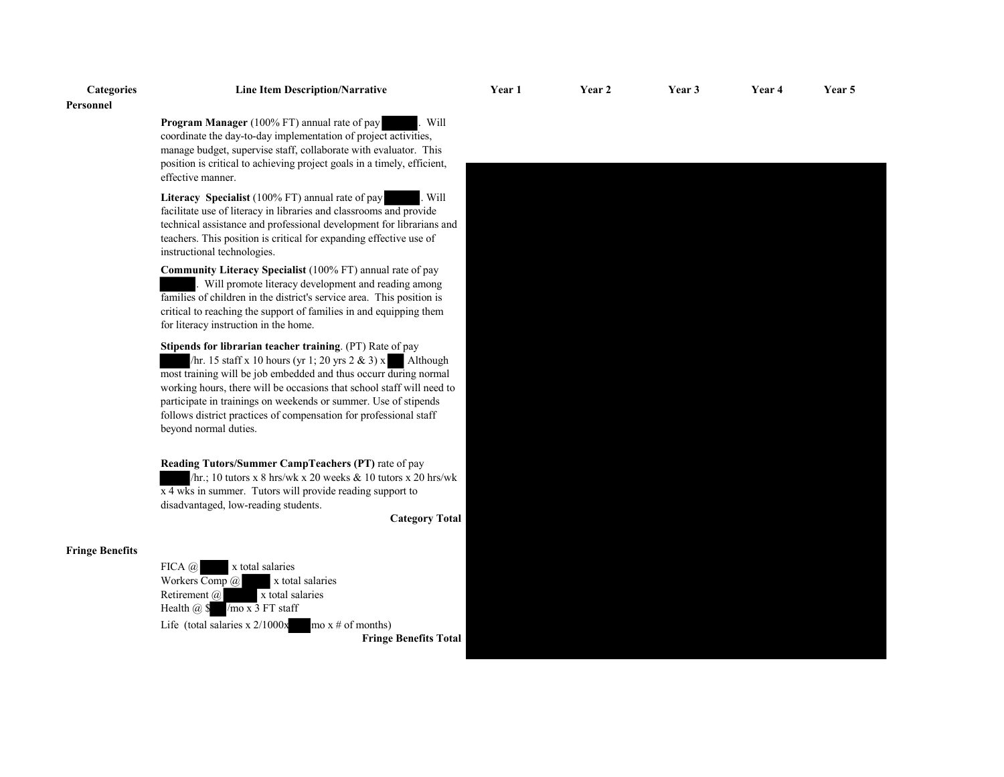#### **Personnel**

**Program Manager** (100% FT) annual rate of pay . Will coordinate the day-to-day implementation of project activities, manage budget, supervise staff, collaborate with evaluator. This position is critical to achieving project goals in a timely, efficient, effective manner.

Literacy Specialist (100% FT) annual rate of pay . Will facilitate use of literacy in libraries and classrooms and provide technical assistance and professional development for librarians and teachers. This position is critical for expanding effective use of instructional technologies.

**Community Literacy Specialist** (100% FT) annual rate of pay . Will promote literacy development and reading among families of children in the district's service area. This position is critical to reaching the support of families in and equipping them for literacy instruction in the home.

**Stipends for librarian teacher training**. (PT) Rate of pay /hr. 15 staff x 10 hours (yr 1; 20 yrs  $2 \& 3$ ) x Although most training will be job embedded and thus occurr during normal working hours, there will be occasions that school staff will need to participate in trainings on weekends or summer. Use of stipends follows district practices of compensation for professional staff beyond normal duties.

**Reading Tutors/Summer CampTeachers (PT)** rate of pay /hr.; 10 tutors x 8 hrs/wk x 20 weeks  $& 10$  tutors x 20 hrs/wk  $\overline{x}$  4 wks in summer. Tutors will provide reading support to disadvantaged, low-reading students.

**Category Total** 

#### **Fringe Benefits**

 $FIGA @$ Health  $@$  \$  $/$ mo x 3 FT staff x total salaries Workers Comp  $\omega$  x total salaries Retirement  $\overline{a}$  x total salaries Life (total salaries x  $2/1000x$  mo x # of months)

 **Fringe Benefits Total** 

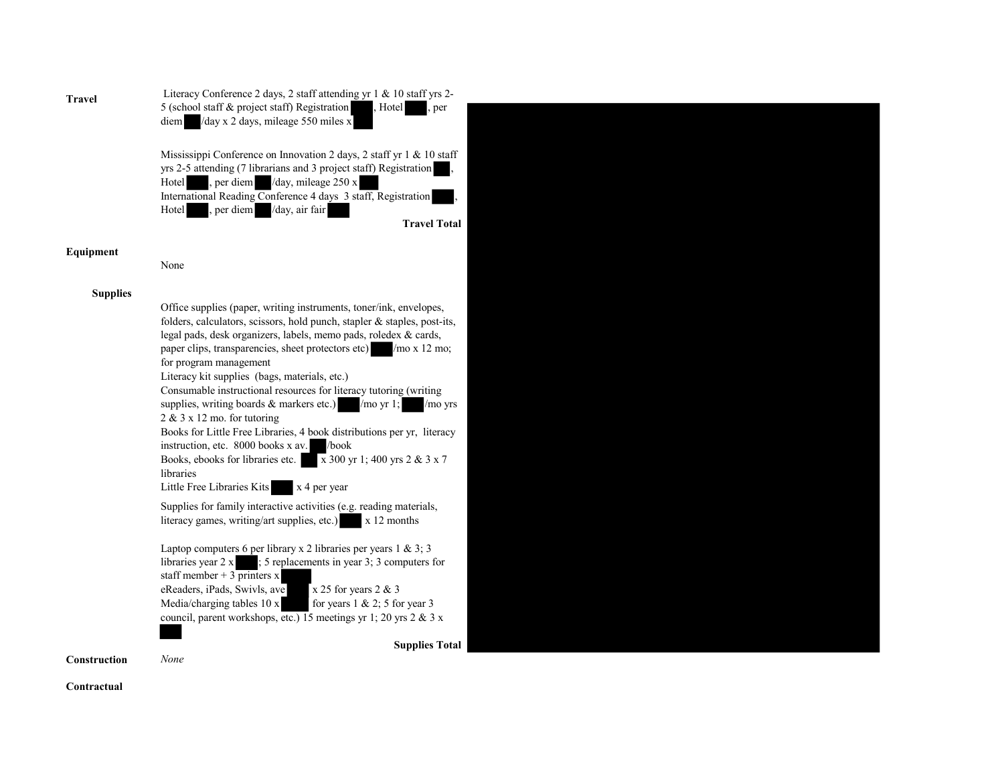| Literacy Conference 2 days, 2 staff attending yr 1 & 10 staff yrs 2-                                                                                                                                                                                                                                                                                                                                                                                                                                                                                                                                                                                                                                                                                                                                                                                                                                                                              |                                                                 |  |
|---------------------------------------------------------------------------------------------------------------------------------------------------------------------------------------------------------------------------------------------------------------------------------------------------------------------------------------------------------------------------------------------------------------------------------------------------------------------------------------------------------------------------------------------------------------------------------------------------------------------------------------------------------------------------------------------------------------------------------------------------------------------------------------------------------------------------------------------------------------------------------------------------------------------------------------------------|-----------------------------------------------------------------|--|
| /day x 2 days, mileage 550 miles x<br>diem                                                                                                                                                                                                                                                                                                                                                                                                                                                                                                                                                                                                                                                                                                                                                                                                                                                                                                        |                                                                 |  |
| Mississippi Conference on Innovation 2 days, 2 staff yr 1 & 10 staff<br>yrs 2-5 attending (7 librarians and 3 project staff) Registration<br>, per diem /day, mileage $250 x$<br>Hotel<br>International Reading Conference 4 days 3 staff, Registration<br>, per diem<br>/day, air fair<br>Hotel<br><b>Travel Total</b>                                                                                                                                                                                                                                                                                                                                                                                                                                                                                                                                                                                                                           |                                                                 |  |
| None                                                                                                                                                                                                                                                                                                                                                                                                                                                                                                                                                                                                                                                                                                                                                                                                                                                                                                                                              |                                                                 |  |
| Office supplies (paper, writing instruments, toner/ink, envelopes,<br>folders, calculators, scissors, hold punch, stapler & staples, post-its,<br>legal pads, desk organizers, labels, memo pads, roledex & cards,<br>paper clips, transparencies, sheet protectors etc)<br>/mo x 12 mo;<br>for program management<br>Literacy kit supplies (bags, materials, etc.)<br>Consumable instructional resources for literacy tutoring (writing<br>supplies, writing boards & markers etc.)<br>/mo yr 1;<br>/mo yrs<br>$2 \& 3 \times 12$ mo. for tutoring<br>Books for Little Free Libraries, 4 book distributions per yr, literacy<br>instruction, etc. 8000 books x av.<br>/book<br>x 300 yr 1; 400 yrs 2 & 3 x 7<br>Books, ebooks for libraries etc.<br>libraries<br>Little Free Libraries Kits<br>x 4 per year<br>Supplies for family interactive activities (e.g. reading materials,<br>literacy games, writing/art supplies, etc.)<br>x 12 months |                                                                 |  |
| Laptop computers 6 per library x 2 libraries per years $1 \& 3$ ; 3<br>; 5 replacements in year 3; 3 computers for<br>libraries year $2 x$<br>staff member $+3$ printers x<br>eReaders, iPads, Swivls, ave<br>x 25 for years $2 & 3$<br>Media/charging tables 10 x<br>for years $1 \& 2$ ; 5 for year 3<br>council, parent workshops, etc.) 15 meetings yr 1; 20 yrs 2 & 3 x<br><b>Supplies Total</b><br>None                                                                                                                                                                                                                                                                                                                                                                                                                                                                                                                                     |                                                                 |  |
|                                                                                                                                                                                                                                                                                                                                                                                                                                                                                                                                                                                                                                                                                                                                                                                                                                                                                                                                                   | 5 (school staff & project staff) Registration<br>Hotel<br>, per |  |

**Contractual**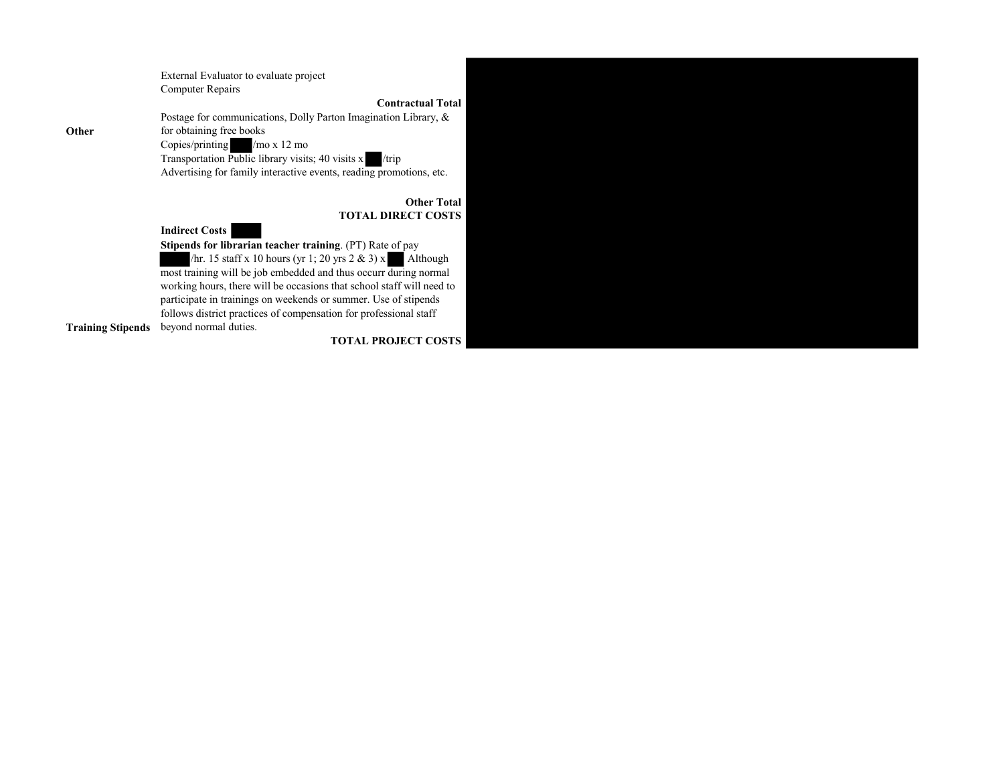External Evaluator to evaluate project Computer Repairs

**Contractual Total**  Postage for communications, Dolly Parton Imagination Library, & for obtaining free books Copies/printing /mo x 12 mo Transportation Public library visits; 40 visits x  $/$ trip

Advertising for family interactive events, reading promotions, etc.

**Other Total TOTAL DIRECT COSTS** 

**Indirect Costs** 

**Stipends for librarian teacher training**. (PT) Rate of pay /hr. 15 staff x 10 hours (yr 1; 20 yrs  $2 \& 3$ ) x Although most training will be job embedded and thus occurr during normal working hours, there will be occasions that school staff will need to participate in trainings on weekends or summer. Use of stipends follows district practices of compensation for professional staff

**Training Stipends**  beyond normal duties.

**TOTAL PROJECT COSTS** 



**Other**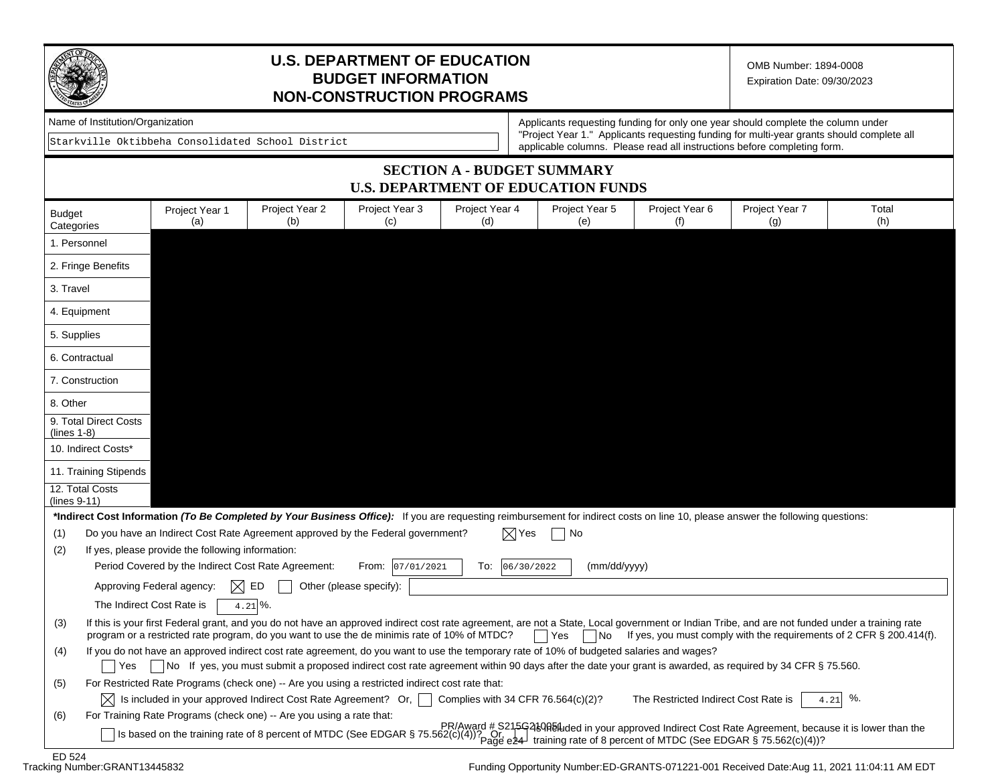

## **U.S. DEPARTMENT OF EDUCATION BUDGET INFORMATION NON-CONSTRUCTION PROGRAMS**

OMB Number: 1894-0008 Expiration Date: 09/30/2023

Starkville Oktibbeha Consolidated School District

Name of Institution/Organization **Applicants requesting funding for only one year should complete the column under** "Project Year 1." Applicants requesting funding for multi-year grants should complete all applicable columns. Please read all instructions before completing form.

#### **SECTION A - BUDGET SUMMARY U.S. DEPARTMENT OF EDUCATION FUNDS**

| <b>Budget</b><br>Categories                                                                                                                                                                                                                                                                                        | Project Year 1<br>(a)                                                                                                                                                                                                                                                                          | Project Year 2<br>(b) | Project Year 3<br>(c)   | Project Year 4<br>(d) | Project Year 5<br>(e) | Project Year 6<br>(f)                | Project Year 7<br>(g) | Total<br>(h)                                                                                            |
|--------------------------------------------------------------------------------------------------------------------------------------------------------------------------------------------------------------------------------------------------------------------------------------------------------------------|------------------------------------------------------------------------------------------------------------------------------------------------------------------------------------------------------------------------------------------------------------------------------------------------|-----------------------|-------------------------|-----------------------|-----------------------|--------------------------------------|-----------------------|---------------------------------------------------------------------------------------------------------|
| 1. Personnel                                                                                                                                                                                                                                                                                                       |                                                                                                                                                                                                                                                                                                |                       |                         |                       |                       |                                      |                       |                                                                                                         |
| 2. Fringe Benefits                                                                                                                                                                                                                                                                                                 |                                                                                                                                                                                                                                                                                                |                       |                         |                       |                       |                                      |                       |                                                                                                         |
| 3. Travel                                                                                                                                                                                                                                                                                                          |                                                                                                                                                                                                                                                                                                |                       |                         |                       |                       |                                      |                       |                                                                                                         |
| 4. Equipment                                                                                                                                                                                                                                                                                                       |                                                                                                                                                                                                                                                                                                |                       |                         |                       |                       |                                      |                       |                                                                                                         |
| 5. Supplies                                                                                                                                                                                                                                                                                                        |                                                                                                                                                                                                                                                                                                |                       |                         |                       |                       |                                      |                       |                                                                                                         |
| 6. Contractual                                                                                                                                                                                                                                                                                                     |                                                                                                                                                                                                                                                                                                |                       |                         |                       |                       |                                      |                       |                                                                                                         |
| 7. Construction                                                                                                                                                                                                                                                                                                    |                                                                                                                                                                                                                                                                                                |                       |                         |                       |                       |                                      |                       |                                                                                                         |
| 8. Other                                                                                                                                                                                                                                                                                                           |                                                                                                                                                                                                                                                                                                |                       |                         |                       |                       |                                      |                       |                                                                                                         |
| 9. Total Direct Costs<br>$($ lines 1-8 $)$                                                                                                                                                                                                                                                                         |                                                                                                                                                                                                                                                                                                |                       |                         |                       |                       |                                      |                       |                                                                                                         |
| 10. Indirect Costs*                                                                                                                                                                                                                                                                                                |                                                                                                                                                                                                                                                                                                |                       |                         |                       |                       |                                      |                       |                                                                                                         |
| 11. Training Stipends                                                                                                                                                                                                                                                                                              |                                                                                                                                                                                                                                                                                                |                       |                         |                       |                       |                                      |                       |                                                                                                         |
| 12. Total Costs<br>$(lines 9-11)$                                                                                                                                                                                                                                                                                  |                                                                                                                                                                                                                                                                                                |                       |                         |                       |                       |                                      |                       |                                                                                                         |
|                                                                                                                                                                                                                                                                                                                    | *Indirect Cost Information (To Be Completed by Your Business Office): If you are requesting reimbursement for indirect costs on line 10, please answer the following questions:                                                                                                                |                       |                         |                       |                       |                                      |                       |                                                                                                         |
| (1)                                                                                                                                                                                                                                                                                                                | Do you have an Indirect Cost Rate Agreement approved by the Federal government?                                                                                                                                                                                                                |                       |                         | ∣XI Yes               | No                    |                                      |                       |                                                                                                         |
| (2)                                                                                                                                                                                                                                                                                                                | If yes, please provide the following information:                                                                                                                                                                                                                                              |                       |                         |                       |                       |                                      |                       |                                                                                                         |
|                                                                                                                                                                                                                                                                                                                    | Period Covered by the Indirect Cost Rate Agreement:                                                                                                                                                                                                                                            |                       | From: 07/01/2021        | 06/30/2022<br>To:     | (mm/dd/yyyy)          |                                      |                       |                                                                                                         |
|                                                                                                                                                                                                                                                                                                                    | Approving Federal agency:<br>$\bowtie$                                                                                                                                                                                                                                                         | ED                    | Other (please specify): |                       |                       |                                      |                       |                                                                                                         |
|                                                                                                                                                                                                                                                                                                                    | The Indirect Cost Rate is                                                                                                                                                                                                                                                                      | $4.21\%$ .            |                         |                       |                       |                                      |                       |                                                                                                         |
| (3)                                                                                                                                                                                                                                                                                                                | If this is your first Federal grant, and you do not have an approved indirect cost rate agreement, are not a State, Local government or Indian Tribe, and are not funded under a training rate<br>program or a restricted rate program, do you want to use the de minimis rate of 10% of MTDC? |                       |                         |                       | Yes<br>No             |                                      |                       | If yes, you must comply with the requirements of 2 CFR § 200.414(f).                                    |
| If you do not have an approved indirect cost rate agreement, do you want to use the temporary rate of 10% of budgeted salaries and wages?<br>(4)<br>No If yes, you must submit a proposed indirect cost rate agreement within 90 days after the date your grant is awarded, as required by 34 CFR § 75.560.<br>Yes |                                                                                                                                                                                                                                                                                                |                       |                         |                       |                       |                                      |                       |                                                                                                         |
| (5)                                                                                                                                                                                                                                                                                                                | For Restricted Rate Programs (check one) -- Are you using a restricted indirect cost rate that:                                                                                                                                                                                                |                       |                         |                       |                       |                                      |                       |                                                                                                         |
|                                                                                                                                                                                                                                                                                                                    | $\vert\chi\vert$ Is included in your approved Indirect Cost Rate Agreement? Or, $\vert\,\,\vert$ Complies with 34 CFR 76.564(c)(2)?                                                                                                                                                            |                       |                         |                       |                       | The Restricted Indirect Cost Rate is |                       | $4.21$ %.                                                                                               |
| (6)                                                                                                                                                                                                                                                                                                                | For Training Rate Programs (check one) -- Are you using a rate that:                                                                                                                                                                                                                           |                       |                         |                       |                       |                                      |                       |                                                                                                         |
|                                                                                                                                                                                                                                                                                                                    | Is based on the training rate of 8 percent of MTDC (See EDGAR § 75.562(c)(4))? Or and training rate of 8 percent of MTDC (See EDGAR § 75.562(c)(4))?                                                                                                                                           |                       |                         |                       |                       |                                      |                       | PR/Award # S215G219Rafluded in your approved Indirect Cost Rate Agreement, because it is lower than the |
| $FD$ 524                                                                                                                                                                                                                                                                                                           |                                                                                                                                                                                                                                                                                                |                       |                         |                       |                       |                                      |                       |                                                                                                         |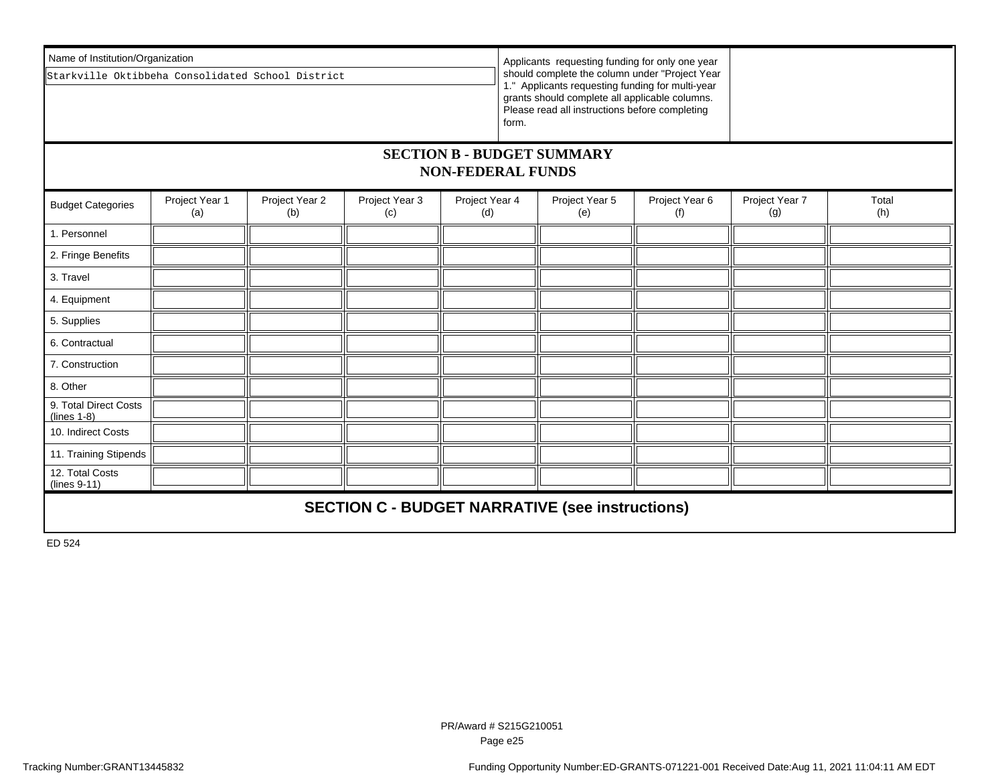| Name of Institution/Organization                              |                       |                       |                       | Applicants requesting funding for only one year |                                                                                                                                                                                                                 |                       |                       |                       |              |
|---------------------------------------------------------------|-----------------------|-----------------------|-----------------------|-------------------------------------------------|-----------------------------------------------------------------------------------------------------------------------------------------------------------------------------------------------------------------|-----------------------|-----------------------|-----------------------|--------------|
| Starkville Oktibbeha Consolidated School District             |                       |                       |                       |                                                 | should complete the column under "Project Year<br>1." Applicants requesting funding for multi-year<br>grants should complete all applicable columns.<br>Please read all instructions before completing<br>form. |                       |                       |                       |              |
| <b>SECTION B - BUDGET SUMMARY</b><br><b>NON-FEDERAL FUNDS</b> |                       |                       |                       |                                                 |                                                                                                                                                                                                                 |                       |                       |                       |              |
| <b>Budget Categories</b>                                      | Project Year 1<br>(a) | Project Year 2<br>(b) | Project Year 3<br>(c) | Project Year 4<br>(d)                           |                                                                                                                                                                                                                 | Project Year 5<br>(e) | Project Year 6<br>(f) | Project Year 7<br>(g) | Total<br>(h) |
| 1. Personnel                                                  |                       |                       |                       |                                                 |                                                                                                                                                                                                                 |                       |                       |                       |              |
| 2. Fringe Benefits                                            |                       |                       |                       |                                                 |                                                                                                                                                                                                                 |                       |                       |                       |              |
| 3. Travel                                                     |                       |                       |                       |                                                 |                                                                                                                                                                                                                 |                       |                       |                       |              |
| 4. Equipment                                                  |                       |                       |                       |                                                 |                                                                                                                                                                                                                 |                       |                       |                       |              |
| 5. Supplies                                                   |                       |                       |                       |                                                 |                                                                                                                                                                                                                 |                       |                       |                       |              |
| 6. Contractual                                                |                       |                       |                       |                                                 |                                                                                                                                                                                                                 |                       |                       |                       |              |
| 7. Construction                                               |                       |                       |                       |                                                 |                                                                                                                                                                                                                 |                       |                       |                       |              |
| 8. Other                                                      |                       |                       |                       |                                                 |                                                                                                                                                                                                                 |                       |                       |                       |              |
| 9. Total Direct Costs<br>$(lines 1-8)$                        |                       |                       |                       |                                                 |                                                                                                                                                                                                                 |                       |                       |                       |              |
| 10. Indirect Costs                                            |                       |                       |                       |                                                 |                                                                                                                                                                                                                 |                       |                       |                       |              |
| 11. Training Stipends                                         |                       |                       |                       |                                                 |                                                                                                                                                                                                                 |                       |                       |                       |              |
| 12. Total Costs<br>(lines 9-11)                               |                       |                       |                       |                                                 |                                                                                                                                                                                                                 |                       |                       |                       |              |
| <b>SECTION C - BUDGET NARRATIVE (see instructions)</b>        |                       |                       |                       |                                                 |                                                                                                                                                                                                                 |                       |                       |                       |              |

ED 524